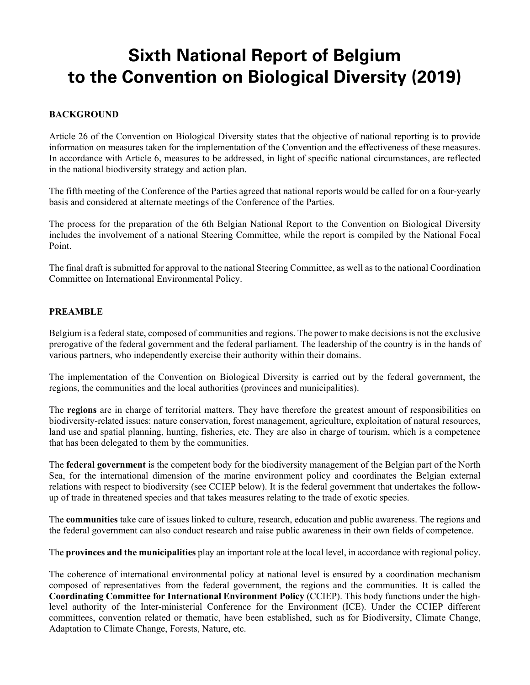# **Sixth National Report of Belgium to the Convention on Biological Diversity (2019)**

# **BACKGROUND**

Article 26 of the Convention on Biological Diversity states that the objective of national reporting is to provide information on measures taken for the implementation of the Convention and the effectiveness of these measures. In accordance with Article 6, measures to be addressed, in light of specific national circumstances, are reflected in the national biodiversity strategy and action plan.

The fifth meeting of the Conference of the Parties agreed that national reports would be called for on a four-yearly basis and considered at alternate meetings of the Conference of the Parties.

The process for the preparation of the 6th Belgian National Report to the Convention on Biological Diversity includes the involvement of a national Steering Committee, while the report is compiled by the National Focal Point.

The final draft is submitted for approval to the national Steering Committee, as well as to the national Coordination Committee on International Environmental Policy.

## **PREAMBLE**

Belgium is a federal state, composed of communities and regions. The power to make decisions is not the exclusive prerogative of the federal government and the federal parliament. The leadership of the country is in the hands of various partners, who independently exercise their authority within their domains.

The implementation of the Convention on Biological Diversity is carried out by the federal government, the regions, the communities and the local authorities (provinces and municipalities).

The **regions** are in charge of territorial matters. They have therefore the greatest amount of responsibilities on biodiversity-related issues: nature conservation, forest management, agriculture, exploitation of natural resources, land use and spatial planning, hunting, fisheries, etc. They are also in charge of tourism, which is a competence that has been delegated to them by the communities.

The **federal government** is the competent body for the biodiversity management of the Belgian part of the North Sea, for the international dimension of the marine environment policy and coordinates the Belgian external relations with respect to biodiversity (see CCIEP below). It is the federal government that undertakes the followup of trade in threatened species and that takes measures relating to the trade of exotic species.

The **communities** take care of issues linked to culture, research, education and public awareness. The regions and the federal government can also conduct research and raise public awareness in their own fields of competence.

The **provinces and the municipalities** play an important role at the local level, in accordance with regional policy.

The coherence of international environmental policy at national level is ensured by a coordination mechanism composed of representatives from the federal government, the regions and the communities. It is called the **Coordinating Committee for International Environment Policy** (CCIEP). This body functions under the highlevel authority of the Inter-ministerial Conference for the Environment (ICE). Under the CCIEP different committees, convention related or thematic, have been established, such as for Biodiversity, Climate Change, Adaptation to Climate Change, Forests, Nature, etc.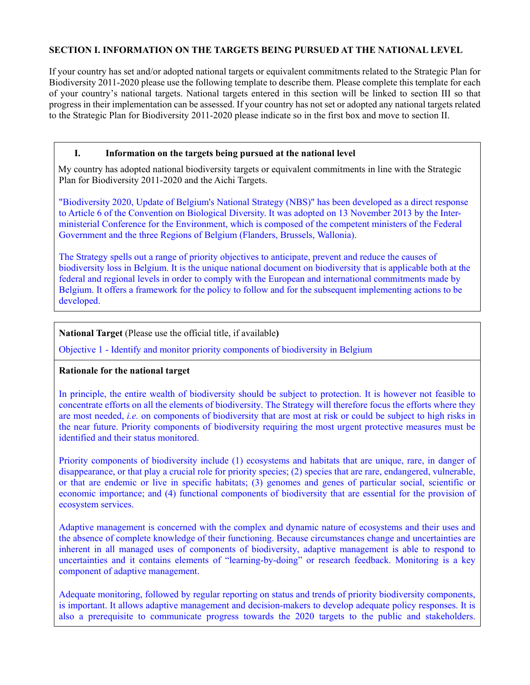# **SECTION I. INFORMATION ON THE TARGETS BEING PURSUED AT THE NATIONAL LEVEL**

If your country has set and/or adopted national targets or equivalent commitments related to the Strategic Plan for Biodiversity 2011-2020 please use the following template to describe them. Please complete this template for each of your country's national targets. National targets entered in this section will be linked to section III so that progress in their implementation can be assessed. If your country has not set or adopted any national targets related to the Strategic Plan for Biodiversity 2011-2020 please indicate so in the first box and move to section II.

## **I. Information on the targets being pursued at the national level**

My country has adopted national biodiversity targets or equivalent commitments in line with the Strategic Plan for Biodiversity 2011-2020 and the Aichi Targets.

"Biodiversity 2020, Update of Belgium's National Strategy (NBS)" has been developed as a direct response to Article 6 of the Convention on Biological Diversity. It was adopted on 13 November 2013 by the Interministerial Conference for the Environment, which is composed of the competent ministers of the Federal Government and the three Regions of Belgium (Flanders, Brussels, Wallonia).

The Strategy spells out a range of priority objectives to anticipate, prevent and reduce the causes of biodiversity loss in Belgium. It is the unique national document on biodiversity that is applicable both at the federal and regional levels in order to comply with the European and international commitments made by Belgium. It offers a framework for the policy to follow and for the subsequent implementing actions to be developed.

# **National Target** (Please use the official title, if available**)**

Objective 1 - Identify and monitor priority components of biodiversity in Belgium

## **Rationale for the national target**

In principle, the entire wealth of biodiversity should be subject to protection. It is however not feasible to concentrate efforts on all the elements of biodiversity. The Strategy will therefore focus the efforts where they are most needed, *i.e.* on components of biodiversity that are most at risk or could be subject to high risks in the near future. Priority components of biodiversity requiring the most urgent protective measures must be identified and their status monitored.

Priority components of biodiversity include (1) ecosystems and habitats that are unique, rare, in danger of disappearance, or that play a crucial role for priority species; (2) species that are rare, endangered, vulnerable, or that are endemic or live in specific habitats; (3) genomes and genes of particular social, scientific or economic importance; and (4) functional components of biodiversity that are essential for the provision of ecosystem services.

Adaptive management is concerned with the complex and dynamic nature of ecosystems and their uses and the absence of complete knowledge of their functioning. Because circumstances change and uncertainties are inherent in all managed uses of components of biodiversity, adaptive management is able to respond to uncertainties and it contains elements of "learning-by-doing" or research feedback. Monitoring is a key component of adaptive management.

Adequate monitoring, followed by regular reporting on status and trends of priority biodiversity components, is important. It allows adaptive management and decision-makers to develop adequate policy responses. It is also a prerequisite to communicate progress towards the 2020 targets to the public and stakeholders.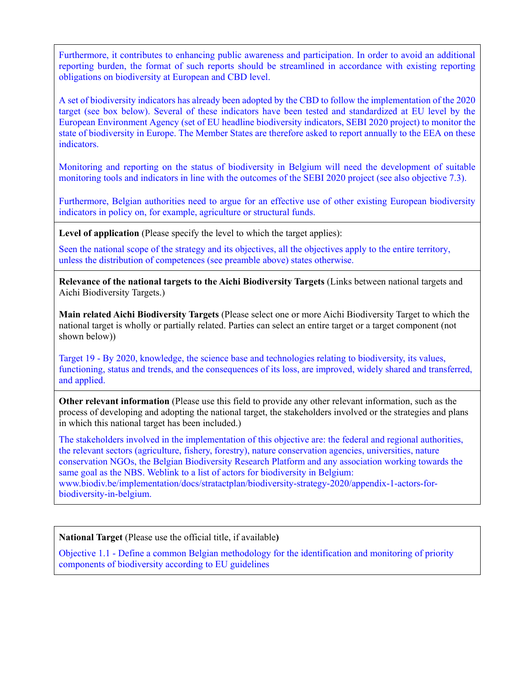Furthermore, it contributes to enhancing public awareness and participation. In order to avoid an additional reporting burden, the format of such reports should be streamlined in accordance with existing reporting obligations on biodiversity at European and CBD level.

A set of biodiversity indicators has already been adopted by the CBD to follow the implementation of the 2020 target (see box below). Several of these indicators have been tested and standardized at EU level by the European Environment Agency (set of EU headline biodiversity indicators, SEBI 2020 project) to monitor the state of biodiversity in Europe. The Member States are therefore asked to report annually to the EEA on these indicators.

Monitoring and reporting on the status of biodiversity in Belgium will need the development of suitable monitoring tools and indicators in line with the outcomes of the SEBI 2020 project (see also objective 7.3).

Furthermore, Belgian authorities need to argue for an effective use of other existing European biodiversity indicators in policy on, for example, agriculture or structural funds.

**Level of application** (Please specify the level to which the target applies):

Seen the national scope of the strategy and its objectives, all the objectives apply to the entire territory, unless the distribution of competences (see preamble above) states otherwise.

**Relevance of the national targets to the Aichi Biodiversity Targets** (Links between national targets and Aichi Biodiversity Targets.)

**Main related Aichi Biodiversity Targets** (Please select one or more Aichi Biodiversity Target to which the national target is wholly or partially related. Parties can select an entire target or a target component (not shown below))

Target 19 - By 2020, knowledge, the science base and technologies relating to biodiversity, its values, functioning, status and trends, and the consequences of its loss, are improved, widely shared and transferred, and applied.

**Other relevant information** (Please use this field to provide any other relevant information, such as the process of developing and adopting the national target, the stakeholders involved or the strategies and plans in which this national target has been included.)

The stakeholders involved in the implementation of this objective are: the federal and regional authorities, the relevant sectors (agriculture, fishery, forestry), nature conservation agencies, universities, nature conservation NGOs, the Belgian Biodiversity Research Platform and any association working towards the same goal as the NBS. Weblink to a list of actors for biodiversity in Belgium: www.biodiv.be/implementation/docs/stratactplan/biodiversity-strategy-2020/appendix-1-actors-forbiodiversity-in-belgium.

**National Target** (Please use the official title, if available**)**

Objective 1.1 - Define a common Belgian methodology for the identification and monitoring of priority components of biodiversity according to EU guidelines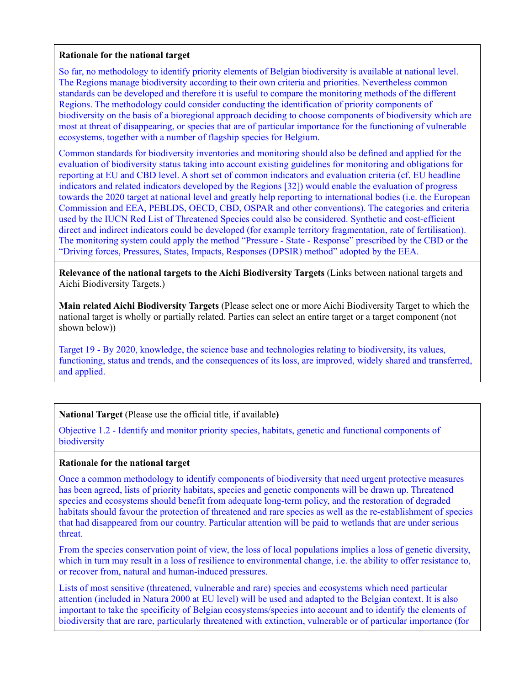#### **Rationale for the national target**

So far, no methodology to identify priority elements of Belgian biodiversity is available at national level. The Regions manage biodiversity according to their own criteria and priorities. Nevertheless common standards can be developed and therefore it is useful to compare the monitoring methods of the different Regions. The methodology could consider conducting the identification of priority components of biodiversity on the basis of a bioregional approach deciding to choose components of biodiversity which are most at threat of disappearing, or species that are of particular importance for the functioning of vulnerable ecosystems, together with a number of flagship species for Belgium.

Common standards for biodiversity inventories and monitoring should also be defined and applied for the evaluation of biodiversity status taking into account existing guidelines for monitoring and obligations for reporting at EU and CBD level. A short set of common indicators and evaluation criteria (cf. EU headline indicators and related indicators developed by the Regions [32]) would enable the evaluation of progress towards the 2020 target at national level and greatly help reporting to international bodies (i.e. the European Commission and EEA, PEBLDS, OECD, CBD, OSPAR and other conventions). The categories and criteria used by the IUCN Red List of Threatened Species could also be considered. Synthetic and cost-efficient direct and indirect indicators could be developed (for example territory fragmentation, rate of fertilisation). The monitoring system could apply the method "Pressure - State - Response" prescribed by the CBD or the "Driving forces, Pressures, States, Impacts, Responses (DPSIR) method" adopted by the EEA.

**Relevance of the national targets to the Aichi Biodiversity Targets** (Links between national targets and Aichi Biodiversity Targets.)

**Main related Aichi Biodiversity Targets** (Please select one or more Aichi Biodiversity Target to which the national target is wholly or partially related. Parties can select an entire target or a target component (not shown below))

Target 19 - By 2020, knowledge, the science base and technologies relating to biodiversity, its values, functioning, status and trends, and the consequences of its loss, are improved, widely shared and transferred, and applied.

## **National Target** (Please use the official title, if available**)**

Objective 1.2 - Identify and monitor priority species, habitats, genetic and functional components of biodiversity

#### **Rationale for the national target**

Once a common methodology to identify components of biodiversity that need urgent protective measures has been agreed, lists of priority habitats, species and genetic components will be drawn up. Threatened species and ecosystems should benefit from adequate long-term policy, and the restoration of degraded habitats should favour the protection of threatened and rare species as well as the re-establishment of species that had disappeared from our country. Particular attention will be paid to wetlands that are under serious threat.

From the species conservation point of view, the loss of local populations implies a loss of genetic diversity, which in turn may result in a loss of resilience to environmental change, i.e. the ability to offer resistance to, or recover from, natural and human-induced pressures.

Lists of most sensitive (threatened, vulnerable and rare) species and ecosystems which need particular attention (included in Natura 2000 at EU level) will be used and adapted to the Belgian context. It is also important to take the specificity of Belgian ecosystems/species into account and to identify the elements of biodiversity that are rare, particularly threatened with extinction, vulnerable or of particular importance (for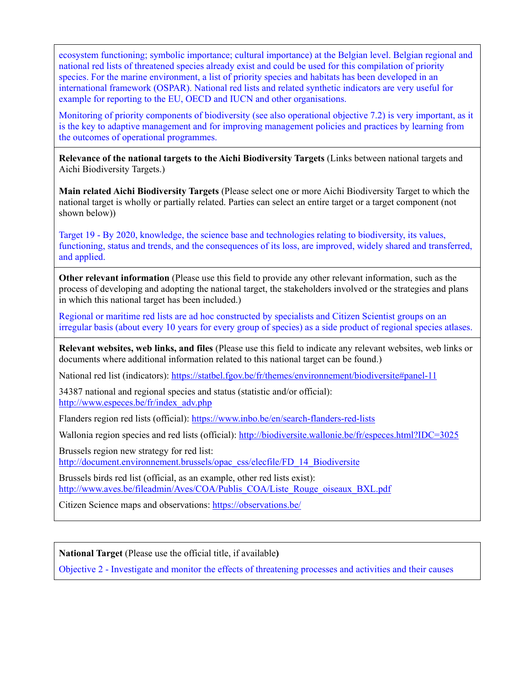ecosystem functioning; symbolic importance; cultural importance) at the Belgian level. Belgian regional and national red lists of threatened species already exist and could be used for this compilation of priority species. For the marine environment, a list of priority species and habitats has been developed in an international framework (OSPAR). National red lists and related synthetic indicators are very useful for example for reporting to the EU, OECD and IUCN and other organisations.

Monitoring of priority components of biodiversity (see also operational objective 7.2) is very important, as it is the key to adaptive management and for improving management policies and practices by learning from the outcomes of operational programmes.

**Relevance of the national targets to the Aichi Biodiversity Targets** (Links between national targets and Aichi Biodiversity Targets.)

**Main related Aichi Biodiversity Targets** (Please select one or more Aichi Biodiversity Target to which the national target is wholly or partially related. Parties can select an entire target or a target component (not shown below))

Target 19 - By 2020, knowledge, the science base and technologies relating to biodiversity, its values, functioning, status and trends, and the consequences of its loss, are improved, widely shared and transferred, and applied.

**Other relevant information** (Please use this field to provide any other relevant information, such as the process of developing and adopting the national target, the stakeholders involved or the strategies and plans in which this national target has been included.)

Regional or maritime red lists are ad hoc constructed by specialists and Citizen Scientist groups on an irregular basis (about every 10 years for every group of species) as a side product of regional species atlases.

**Relevant websites, web links, and files** (Please use this field to indicate any relevant websites, web links or documents where additional information related to this national target can be found.)

National red list (indicators):<https://statbel.fgov.be/fr/themes/environnement/biodiversite#panel-11>

34387 national and regional species and status (statistic and/or official): [http://www.especes.be/fr/index\\_adv.php](http://www.especes.be/fr/index_adv.php)

Flanders region red lists (official):<https://www.inbo.be/en/search-flanders-red-lists>

Wallonia region species and red lists (official):<http://biodiversite.wallonie.be/fr/especes.html?IDC=3025>

Brussels region new strategy for red list:

[http://document.environnement.brussels/opac\\_css/elecfile/FD\\_14\\_Biodiversite](http://document.environnement.brussels/opac_css/elecfile/FD_14_Biodiversite)

Brussels birds red list (official, as an example, other red lists exist): [http://www.aves.be/fileadmin/Aves/COA/Publis\\_COA/Liste\\_Rouge\\_oiseaux\\_BXL.pdf](http://www.aves.be/fileadmin/Aves/COA/Publis_COA/Liste_Rouge_oiseaux_BXL.pdf)

Citizen Science maps and observations:<https://observations.be/>

**National Target** (Please use the official title, if available**)**

Objective 2 - Investigate and monitor the effects of threatening processes and activities and their causes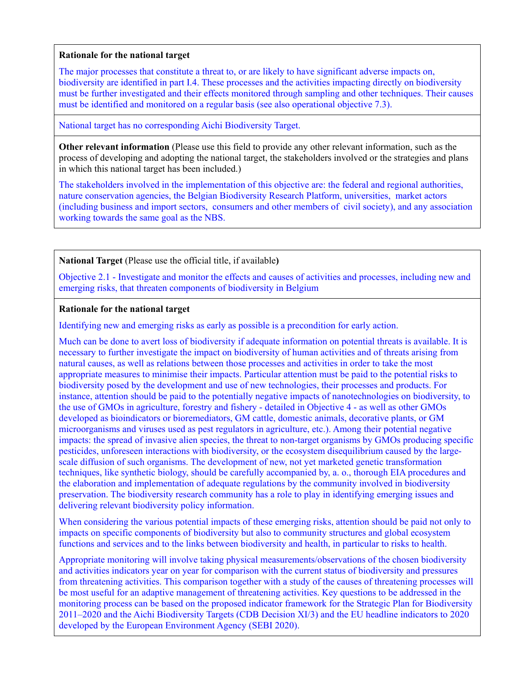#### **Rationale for the national target**

The major processes that constitute a threat to, or are likely to have significant adverse impacts on, biodiversity are identified in part I.4. These processes and the activities impacting directly on biodiversity must be further investigated and their effects monitored through sampling and other techniques. Their causes must be identified and monitored on a regular basis (see also operational objective 7.3).

National target has no corresponding Aichi Biodiversity Target.

**Other relevant information** (Please use this field to provide any other relevant information, such as the process of developing and adopting the national target, the stakeholders involved or the strategies and plans in which this national target has been included.)

The stakeholders involved in the implementation of this objective are: the federal and regional authorities, nature conservation agencies, the Belgian Biodiversity Research Platform, universities, market actors (including business and import sectors, consumers and other members of civil society), and any association working towards the same goal as the NBS.

## **National Target** (Please use the official title, if available**)**

Objective 2.1 - Investigate and monitor the effects and causes of activities and processes, including new and emerging risks, that threaten components of biodiversity in Belgium

## **Rationale for the national target**

Identifying new and emerging risks as early as possible is a precondition for early action.

Much can be done to avert loss of biodiversity if adequate information on potential threats is available. It is necessary to further investigate the impact on biodiversity of human activities and of threats arising from natural causes, as well as relations between those processes and activities in order to take the most appropriate measures to minimise their impacts. Particular attention must be paid to the potential risks to biodiversity posed by the development and use of new technologies, their processes and products. For instance, attention should be paid to the potentially negative impacts of nanotechnologies on biodiversity, to the use of GMOs in agriculture, forestry and fishery - detailed in Objective 4 - as well as other GMOs developed as bioindicators or bioremediators, GM cattle, domestic animals, decorative plants, or GM microorganisms and viruses used as pest regulators in agriculture, etc.). Among their potential negative impacts: the spread of invasive alien species, the threat to non-target organisms by GMOs producing specific pesticides, unforeseen interactions with biodiversity, or the ecosystem disequilibrium caused by the largescale diffusion of such organisms. The development of new, not yet marketed genetic transformation techniques, like synthetic biology, should be carefully accompanied by, a. o., thorough EIA procedures and the elaboration and implementation of adequate regulations by the community involved in biodiversity preservation. The biodiversity research community has a role to play in identifying emerging issues and delivering relevant biodiversity policy information.

When considering the various potential impacts of these emerging risks, attention should be paid not only to impacts on specific components of biodiversity but also to community structures and global ecosystem functions and services and to the links between biodiversity and health, in particular to risks to health.

Appropriate monitoring will involve taking physical measurements/observations of the chosen biodiversity and activities indicators year on year for comparison with the current status of biodiversity and pressures from threatening activities. This comparison together with a study of the causes of threatening processes will be most useful for an adaptive management of threatening activities. Key questions to be addressed in the monitoring process can be based on the proposed indicator framework for the Strategic Plan for Biodiversity 2011–2020 and the Aichi Biodiversity Targets (CDB Decision XI/3) and the EU headline indicators to 2020 developed by the European Environment Agency (SEBI 2020).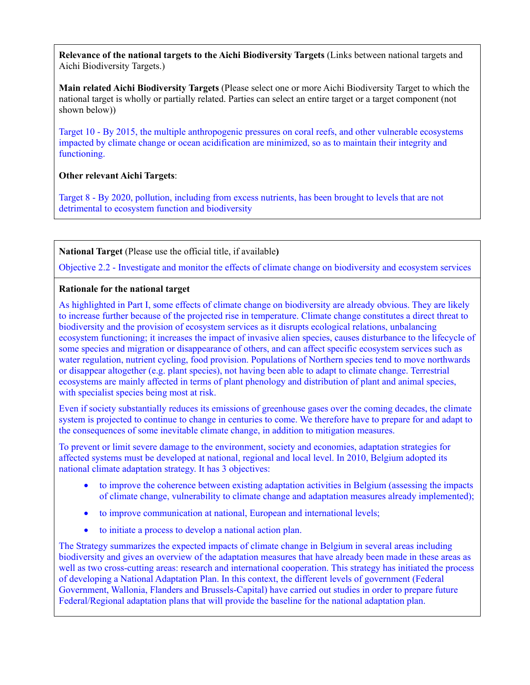**Relevance of the national targets to the Aichi Biodiversity Targets** (Links between national targets and Aichi Biodiversity Targets.)

**Main related Aichi Biodiversity Targets** (Please select one or more Aichi Biodiversity Target to which the national target is wholly or partially related. Parties can select an entire target or a target component (not shown below))

Target 10 - By 2015, the multiple anthropogenic pressures on coral reefs, and other vulnerable ecosystems impacted by climate change or ocean acidification are minimized, so as to maintain their integrity and functioning.

# **Other relevant Aichi Targets**:

Target 8 - By 2020, pollution, including from excess nutrients, has been brought to levels that are not detrimental to ecosystem function and biodiversity

**National Target** (Please use the official title, if available**)**

Objective 2.2 - Investigate and monitor the effects of climate change on biodiversity and ecosystem services

# **Rationale for the national target**

As highlighted in Part I, some effects of climate change on biodiversity are already obvious. They are likely to increase further because of the projected rise in temperature. Climate change constitutes a direct threat to biodiversity and the provision of ecosystem services as it disrupts ecological relations, unbalancing ecosystem functioning; it increases the impact of invasive alien species, causes disturbance to the lifecycle of some species and migration or disappearance of others, and can affect specific ecosystem services such as water regulation, nutrient cycling, food provision. Populations of Northern species tend to move northwards or disappear altogether (e.g. plant species), not having been able to adapt to climate change. Terrestrial ecosystems are mainly affected in terms of plant phenology and distribution of plant and animal species, with specialist species being most at risk.

Even if society substantially reduces its emissions of greenhouse gases over the coming decades, the climate system is projected to continue to change in centuries to come. We therefore have to prepare for and adapt to the consequences of some inevitable climate change, in addition to mitigation measures.

To prevent or limit severe damage to the environment, society and economies, adaptation strategies for affected systems must be developed at national, regional and local level. In 2010, Belgium adopted its national climate adaptation strategy. It has 3 objectives:

- to improve the coherence between existing adaptation activities in Belgium (assessing the impacts of climate change, vulnerability to climate change and adaptation measures already implemented);
- to improve communication at national, European and international levels;
- to initiate a process to develop a national action plan.

The Strategy summarizes the expected impacts of climate change in Belgium in several areas including biodiversity and gives an overview of the adaptation measures that have already been made in these areas as well as two cross-cutting areas: research and international cooperation. This strategy has initiated the process of developing a National Adaptation Plan. In this context, the different levels of government (Federal Government, Wallonia, Flanders and Brussels-Capital) have carried out studies in order to prepare future Federal/Regional adaptation plans that will provide the baseline for the national adaptation plan.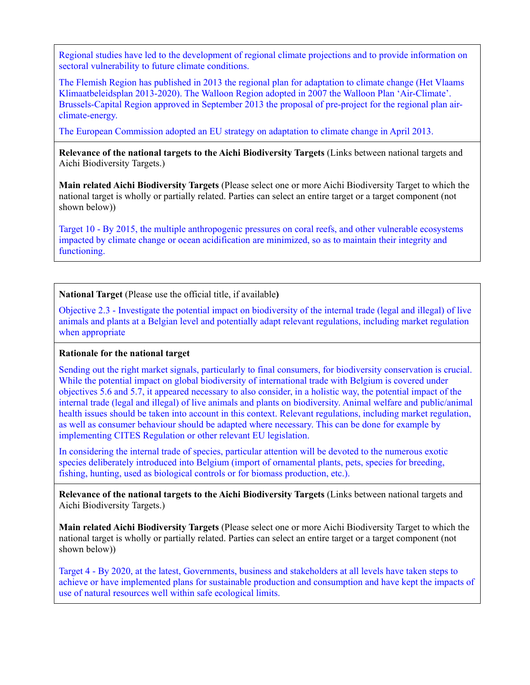Regional studies have led to the development of regional climate projections and to provide information on sectoral vulnerability to future climate conditions.

The Flemish Region has published in 2013 the regional plan for adaptation to climate change (Het Vlaams Klimaatbeleidsplan 2013-2020). The Walloon Region adopted in 2007 the Walloon Plan 'Air-Climate'. Brussels-Capital Region approved in September 2013 the proposal of pre-project for the regional plan airclimate-energy.

The European Commission adopted an EU strategy on adaptation to climate change in April 2013.

**Relevance of the national targets to the Aichi Biodiversity Targets** (Links between national targets and Aichi Biodiversity Targets.)

**Main related Aichi Biodiversity Targets** (Please select one or more Aichi Biodiversity Target to which the national target is wholly or partially related. Parties can select an entire target or a target component (not shown below))

Target 10 - By 2015, the multiple anthropogenic pressures on coral reefs, and other vulnerable ecosystems impacted by climate change or ocean acidification are minimized, so as to maintain their integrity and functioning.

**National Target** (Please use the official title, if available**)**

Objective 2.3 - Investigate the potential impact on biodiversity of the internal trade (legal and illegal) of live animals and plants at a Belgian level and potentially adapt relevant regulations, including market regulation when appropriate

## **Rationale for the national target**

Sending out the right market signals, particularly to final consumers, for biodiversity conservation is crucial. While the potential impact on global biodiversity of international trade with Belgium is covered under objectives 5.6 and 5.7, it appeared necessary to also consider, in a holistic way, the potential impact of the internal trade (legal and illegal) of live animals and plants on biodiversity. Animal welfare and public/animal health issues should be taken into account in this context. Relevant regulations, including market regulation, as well as consumer behaviour should be adapted where necessary. This can be done for example by implementing CITES Regulation or other relevant EU legislation.

In considering the internal trade of species, particular attention will be devoted to the numerous exotic species deliberately introduced into Belgium (import of ornamental plants, pets, species for breeding, fishing, hunting, used as biological controls or for biomass production, etc.).

**Relevance of the national targets to the Aichi Biodiversity Targets** (Links between national targets and Aichi Biodiversity Targets.)

**Main related Aichi Biodiversity Targets** (Please select one or more Aichi Biodiversity Target to which the national target is wholly or partially related. Parties can select an entire target or a target component (not shown below))

Target 4 - By 2020, at the latest, Governments, business and stakeholders at all levels have taken steps to achieve or have implemented plans for sustainable production and consumption and have kept the impacts of use of natural resources well within safe ecological limits.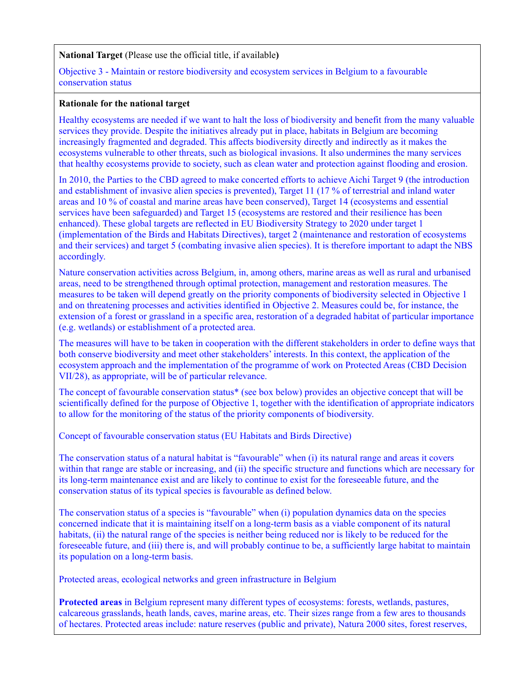#### **National Target** (Please use the official title, if available**)**

#### Objective 3 - Maintain or restore biodiversity and ecosystem services in Belgium to a favourable conservation status

## **Rationale for the national target**

Healthy ecosystems are needed if we want to halt the loss of biodiversity and benefit from the many valuable services they provide. Despite the initiatives already put in place, habitats in Belgium are becoming increasingly fragmented and degraded. This affects biodiversity directly and indirectly as it makes the ecosystems vulnerable to other threats, such as biological invasions. It also undermines the many services that healthy ecosystems provide to society, such as clean water and protection against flooding and erosion.

In 2010, the Parties to the CBD agreed to make concerted efforts to achieve Aichi Target 9 (the introduction and establishment of invasive alien species is prevented), Target 11 (17 % of terrestrial and inland water areas and 10 % of coastal and marine areas have been conserved), Target 14 (ecosystems and essential services have been safeguarded) and Target 15 (ecosystems are restored and their resilience has been enhanced). These global targets are reflected in EU Biodiversity Strategy to 2020 under target 1 (implementation of the Birds and Habitats Directives), target 2 (maintenance and restoration of ecosystems and their services) and target 5 (combating invasive alien species). It is therefore important to adapt the NBS accordingly.

Nature conservation activities across Belgium, in, among others, marine areas as well as rural and urbanised areas, need to be strengthened through optimal protection, management and restoration measures. The measures to be taken will depend greatly on the priority components of biodiversity selected in Objective 1 and on threatening processes and activities identified in Objective 2. Measures could be, for instance, the extension of a forest or grassland in a specific area, restoration of a degraded habitat of particular importance (e.g. wetlands) or establishment of a protected area.

The measures will have to be taken in cooperation with the different stakeholders in order to define ways that both conserve biodiversity and meet other stakeholders' interests. In this context, the application of the ecosystem approach and the implementation of the programme of work on Protected Areas (CBD Decision VII/28), as appropriate, will be of particular relevance.

The concept of favourable conservation status\* (see box below) provides an objective concept that will be scientifically defined for the purpose of Objective 1, together with the identification of appropriate indicators to allow for the monitoring of the status of the priority components of biodiversity.

Concept of favourable conservation status (EU Habitats and Birds Directive)

The conservation status of a natural habitat is "favourable" when (i) its natural range and areas it covers within that range are stable or increasing, and (ii) the specific structure and functions which are necessary for its long-term maintenance exist and are likely to continue to exist for the foreseeable future, and the conservation status of its typical species is favourable as defined below.

The conservation status of a species is "favourable" when (i) population dynamics data on the species concerned indicate that it is maintaining itself on a long-term basis as a viable component of its natural habitats, (ii) the natural range of the species is neither being reduced nor is likely to be reduced for the foreseeable future, and (iii) there is, and will probably continue to be, a sufficiently large habitat to maintain its population on a long-term basis.

Protected areas, ecological networks and green infrastructure in Belgium

**Protected areas** in Belgium represent many different types of ecosystems: forests, wetlands, pastures, calcareous grasslands, heath lands, caves, marine areas, etc. Their sizes range from a few ares to thousands of hectares. Protected areas include: nature reserves (public and private), Natura 2000 sites, forest reserves,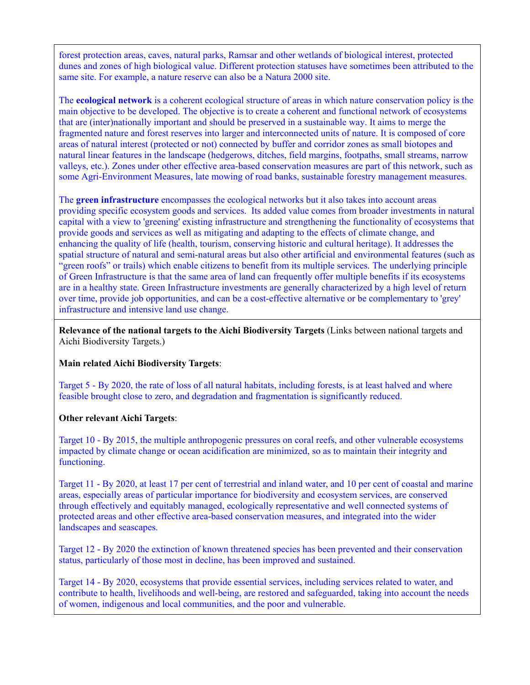forest protection areas, caves, natural parks, Ramsar and other wetlands of biological interest, protected dunes and zones of high biological value. Different protection statuses have sometimes been attributed to the same site. For example, a nature reserve can also be a Natura 2000 site.

The **ecological network** is a coherent ecological structure of areas in which nature conservation policy is the main objective to be developed. The objective is to create a coherent and functional network of ecosystems that are (inter)nationally important and should be preserved in a sustainable way. It aims to merge the fragmented nature and forest reserves into larger and interconnected units of nature. It is composed of core areas of natural interest (protected or not) connected by buffer and corridor zones as small biotopes and natural linear features in the landscape (hedgerows, ditches, field margins, footpaths, small streams, narrow valleys, etc.). Zones under other effective area-based conservation measures are part of this network, such as some Agri-Environment Measures, late mowing of road banks, sustainable forestry management measures.

The **green infrastructure** encompasses the ecological networks but it also takes into account areas providing specific ecosystem goods and services. Its added value comes from broader investments in natural capital with a view to 'greening' existing infrastructure and strengthening the functionality of ecosystems that provide goods and services as well as mitigating and adapting to the effects of climate change, and enhancing the quality of life (health, tourism, conserving historic and cultural heritage). It addresses the spatial structure of natural and semi-natural areas but also other artificial and environmental features (such as "green roofs" or trails) which enable citizens to benefit from its multiple services. The underlying principle of Green Infrastructure is that the same area of land can frequently offer multiple benefits if its ecosystems are in a healthy state. Green Infrastructure investments are generally characterized by a high level of return over time, provide job opportunities, and can be a cost-effective alternative or be complementary to 'grey' infrastructure and intensive land use change.

**Relevance of the national targets to the Aichi Biodiversity Targets** (Links between national targets and Aichi Biodiversity Targets.)

## **Main related Aichi Biodiversity Targets**:

Target 5 - By 2020, the rate of loss of all natural habitats, including forests, is at least halved and where feasible brought close to zero, and degradation and fragmentation is significantly reduced.

## **Other relevant Aichi Targets**:

Target 10 - By 2015, the multiple anthropogenic pressures on coral reefs, and other vulnerable ecosystems impacted by climate change or ocean acidification are minimized, so as to maintain their integrity and functioning.

Target 11 - By 2020, at least 17 per cent of terrestrial and inland water, and 10 per cent of coastal and marine areas, especially areas of particular importance for biodiversity and ecosystem services, are conserved through effectively and equitably managed, ecologically representative and well connected systems of protected areas and other effective area-based conservation measures, and integrated into the wider landscapes and seascapes.

Target 12 - By 2020 the extinction of known threatened species has been prevented and their conservation status, particularly of those most in decline, has been improved and sustained.

Target 14 - By 2020, ecosystems that provide essential services, including services related to water, and contribute to health, livelihoods and well-being, are restored and safeguarded, taking into account the needs of women, indigenous and local communities, and the poor and vulnerable.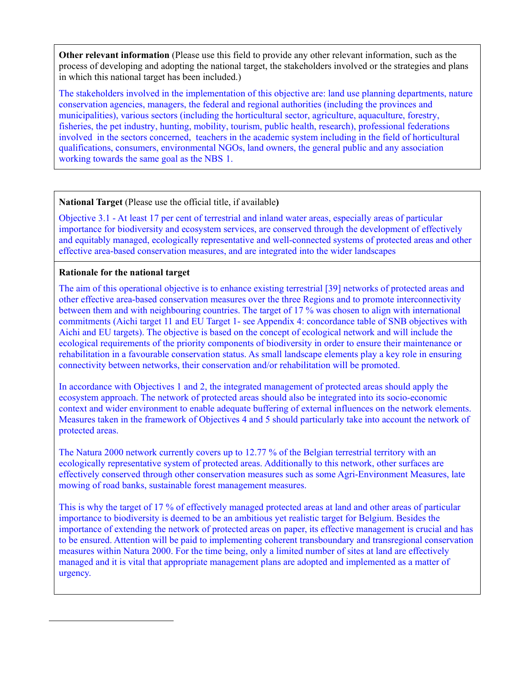**Other relevant information** (Please use this field to provide any other relevant information, such as the process of developing and adopting the national target, the stakeholders involved or the strategies and plans in which this national target has been included.)

The stakeholders involved in the implementation of this objective are: land use planning departments, nature conservation agencies, managers, the federal and regional authorities (including the provinces and municipalities), various sectors (including the horticultural sector, agriculture, aquaculture, forestry, fisheries, the pet industry, hunting, mobility, tourism, public health, research), professional federations involved in the sectors concerned, teachers in the academic system including in the field of horticultural qualifications, consumers, environmental NGOs, land owners, the general public and any association working towards the same goal as the NBS [1.](#page-10-0)

## **National Target** (Please use the official title, if available**)**

Objective 3.1 - At least 17 per cent of terrestrial and inland water areas, especially areas of particular importance for biodiversity and ecosystem services, are conserved through the development of effectively and equitably managed, ecologically representative and well-connected systems of protected areas and other effective area-based conservation measures, and are integrated into the wider landscapes

## **Rationale for the national target**

<span id="page-10-0"></span> $\overline{a}$ 

The aim of this operational objective is to enhance existing terrestrial [39] networks of protected areas and other effective area-based conservation measures over the three Regions and to promote interconnectivity between them and with neighbouring countries. The target of 17 % was chosen to align with international commitments (Aichi target 11 and EU Target 1- see Appendix 4: concordance table of SNB objectives with Aichi and EU targets). The objective is based on the concept of ecological network and will include the ecological requirements of the priority components of biodiversity in order to ensure their maintenance or rehabilitation in a favourable conservation status. As small landscape elements play a key role in ensuring connectivity between networks, their conservation and/or rehabilitation will be promoted.

In accordance with Objectives 1 and 2, the integrated management of protected areas should apply the ecosystem approach. The network of protected areas should also be integrated into its socio-economic context and wider environment to enable adequate buffering of external influences on the network elements. Measures taken in the framework of Objectives 4 and 5 should particularly take into account the network of protected areas.

The Natura 2000 network currently covers up to 12.77 % of the Belgian terrestrial territory with an ecologically representative system of protected areas. Additionally to this network, other surfaces are effectively conserved through other conservation measures such as some Agri-Environment Measures, late mowing of road banks, sustainable forest management measures.

This is why the target of 17 % of effectively managed protected areas at land and other areas of particular importance to biodiversity is deemed to be an ambitious yet realistic target for Belgium. Besides the importance of extending the network of protected areas on paper, its effective management is crucial and has to be ensured. Attention will be paid to implementing coherent transboundary and transregional conservation measures within Natura 2000. For the time being, only a limited number of sites at land are effectively managed and it is vital that appropriate management plans are adopted and implemented as a matter of urgency.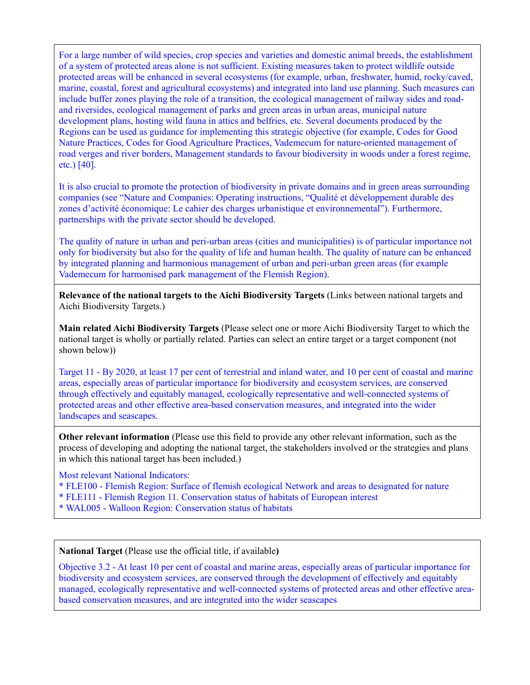For a large number of wild species, crop species and varieties and domestic animal breeds, the establishment of a system of protected areas alone is not sufficient. Existing measures taken to protect wildlife outside protected areas will be enhanced in several ecosystems (for example, urban, freshwater, humid, rocky/caved, marine, coastal, forest and agricultural ecosystems) and integrated into land use planning. Such measures can include buffer zones playing the role of a transition, the ecological management of railway sides and roadand riversides, ecological management of parks and green areas in urban areas, municipal nature development plans, hosting wild fauna in attics and belfries, etc. Several documents produced by the Regions can be used as guidance for implementing this strategic objective (for example, Codes for Good Nature Practices, Codes for Good Agriculture Practices, Vademecum for nature-oriented management of road verges and river borders, Management standards to favour biodiversity in woods under a forest regime, etc.) [40].

It is also crucial to promote the protection of biodiversity in private domains and in green areas surrounding companies (see "Nature and Companies: Operating instructions, "Qualité et développement durable des zones d'activité économique: Le cahier des charges urbanistique et environnemental"). Furthermore, partnerships with the private sector should be developed.

The quality of nature in urban and peri-urban areas (cities and municipalities) is of particular importance not only for biodiversity but also for the quality of life and human health. The quality of nature can be enhanced by integrated planning and harmonious management of urban and peri-urban green areas (for example Vademecum for harmonised park management of the Flemish Region).

**Relevance of the national targets to the Aichi Biodiversity Targets** (Links between national targets and Aichi Biodiversity Targets.)

**Main related Aichi Biodiversity Targets** (Please select one or more Aichi Biodiversity Target to which the national target is wholly or partially related. Parties can select an entire target or a target component (not shown below))

Target 11 - By 2020, at least 17 per cent of terrestrial and inland water, and 10 per cent of coastal and marine areas, especially areas of particular importance for biodiversity and ecosystem services, are conserved through effectively and equitably managed, ecologically representative and well-connected systems of protected areas and other effective area-based conservation measures, and integrated into the wider landscapes and seascapes.

**Other relevant information** (Please use this field to provide any other relevant information, such as the process of developing and adopting the national target, the stakeholders involved or the strategies and plans in which this national target has been included.)

Most relevant National Indicators:

- \* FLE100 Flemish Region: Surface of flemish ecological Network and areas to designated for nature
- \* FLE111 Flemish Region 11. Conservation status of habitats of European interest
- \* WAL005 Walloon Region: Conservation status of habitats

**National Target** (Please use the official title, if available**)**

Objective 3.2 - At least 10 per cent of coastal and marine areas, especially areas of particular importance for biodiversity and ecosystem services, are conserved through the development of effectively and equitably managed, ecologically representative and well-connected systems of protected areas and other effective areabased conservation measures, and are integrated into the wider seascapes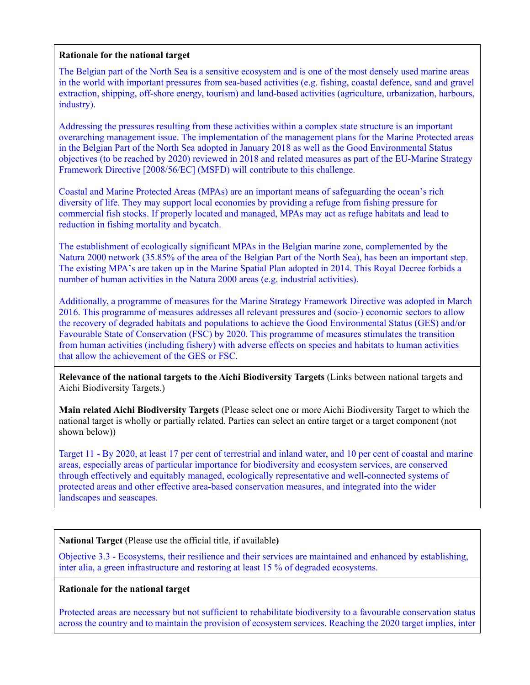#### **Rationale for the national target**

The Belgian part of the North Sea is a sensitive ecosystem and is one of the most densely used marine areas in the world with important pressures from sea-based activities (e.g. fishing, coastal defence, sand and gravel extraction, shipping, off-shore energy, tourism) and land-based activities (agriculture, urbanization, harbours, industry).

Addressing the pressures resulting from these activities within a complex state structure is an important overarching management issue. The implementation of the management plans for the Marine Protected areas in the Belgian Part of the North Sea adopted in January 2018 as well as the Good Environmental Status objectives (to be reached by 2020) reviewed in 2018 and related measures as part of the EU-Marine Strategy Framework Directive [2008/56/EC] (MSFD) will contribute to this challenge.

Coastal and Marine Protected Areas (MPAs) are an important means of safeguarding the ocean's rich diversity of life. They may support local economies by providing a refuge from fishing pressure for commercial fish stocks. If properly located and managed, MPAs may act as refuge habitats and lead to reduction in fishing mortality and bycatch.

The establishment of ecologically significant MPAs in the Belgian marine zone, complemented by the Natura 2000 network (35.85% of the area of the Belgian Part of the North Sea), has been an important step. The existing MPA's are taken up in the Marine Spatial Plan adopted in 2014. This Royal Decree forbids a number of human activities in the Natura 2000 areas (e.g. industrial activities).

Additionally, a programme of measures for the Marine Strategy Framework Directive was adopted in March 2016. This programme of measures addresses all relevant pressures and (socio-) economic sectors to allow the recovery of degraded habitats and populations to achieve the Good Environmental Status (GES) and/or Favourable State of Conservation (FSC) by 2020. This programme of measures stimulates the transition from human activities (including fishery) with adverse effects on species and habitats to human activities that allow the achievement of the GES or FSC.

**Relevance of the national targets to the Aichi Biodiversity Targets** (Links between national targets and Aichi Biodiversity Targets.)

**Main related Aichi Biodiversity Targets** (Please select one or more Aichi Biodiversity Target to which the national target is wholly or partially related. Parties can select an entire target or a target component (not shown below))

Target 11 - By 2020, at least 17 per cent of terrestrial and inland water, and 10 per cent of coastal and marine areas, especially areas of particular importance for biodiversity and ecosystem services, are conserved through effectively and equitably managed, ecologically representative and well-connected systems of protected areas and other effective area-based conservation measures, and integrated into the wider landscapes and seascapes.

## **National Target** (Please use the official title, if available**)**

Objective 3.3 - Ecosystems, their resilience and their services are maintained and enhanced by establishing, inter alia, a green infrastructure and restoring at least 15 % of degraded ecosystems.

## **Rationale for the national target**

Protected areas are necessary but not sufficient to rehabilitate biodiversity to a favourable conservation status across the country and to maintain the provision of ecosystem services. Reaching the 2020 target implies, inter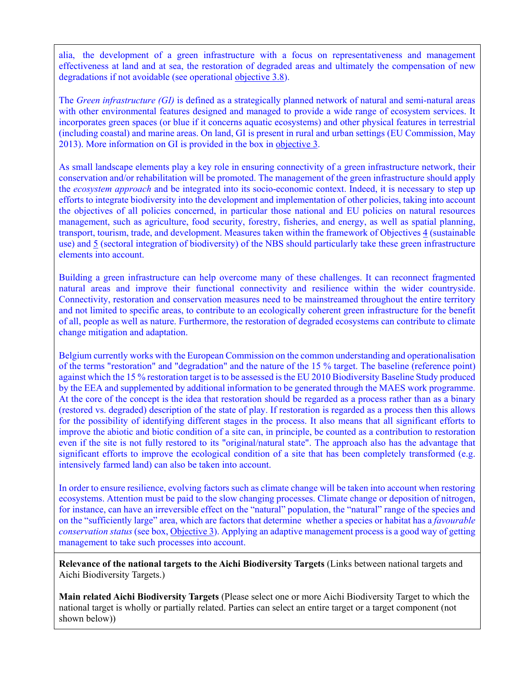alia, the development of a green infrastructure with a focus on representativeness and management effectiveness at land and at sea, the restoration of degraded areas and ultimately the compensation of new degradations if not avoidable (see operational [objective 3.8\)](https://be-tct.biodiversity.europa.eu/objectives/3#3.8).

The *Green infrastructure (GI)* is defined as a strategically planned network of natural and semi-natural areas with other environmental features designed and managed to provide a wide range of ecosystem services. It incorporates green spaces (or blue if it concerns aquatic ecosystems) and other physical features in terrestrial (including coastal) and marine areas. On land, GI is present in rural and urban settings (EU Commission, May 2013). More information on GI is provided in the box in [objective 3.](https://be-tct.biodiversity.europa.eu/objectives/3)

As small landscape elements play a key role in ensuring connectivity of a green infrastructure network, their conservation and/or rehabilitation will be promoted. The management of the green infrastructure should apply the *ecosystem approach* and be integrated into its socio-economic context. Indeed, it is necessary to step up efforts to integrate biodiversity into the development and implementation of other policies, taking into account the objectives of all policies concerned, in particular those national and EU policies on natural resources management, such as agriculture, food security, forestry, fisheries, and energy, as well as spatial planning, transport, tourism, trade, and development. Measures taken within the framework of Objective[s 4](https://be-tct.biodiversity.europa.eu/objectives/4) (sustainable use) and [5](https://be-tct.biodiversity.europa.eu/objectives/5) (sectoral integration of biodiversity) of the NBS should particularly take these green infrastructure elements into account.

Building a green infrastructure can help overcome many of these challenges. It can reconnect fragmented natural areas and improve their functional connectivity and resilience within the wider countryside. Connectivity, restoration and conservation measures need to be mainstreamed throughout the entire territory and not limited to specific areas, to contribute to an ecologically coherent green infrastructure for the benefit of all, people as well as nature. Furthermore, the restoration of degraded ecosystems can contribute to climate change mitigation and adaptation.

Belgium currently works with the European Commission on the common understanding and operationalisation of the terms "restoration" and "degradation" and the nature of the 15 % target. The baseline (reference point) against which the 15 % restoration target is to be assessed is the EU 2010 Biodiversity Baseline Study produced by the EEA and supplemented by additional information to be generated through the MAES work programme. At the core of the concept is the idea that restoration should be regarded as a process rather than as a binary (restored vs. degraded) description of the state of play. If restoration is regarded as a process then this allows for the possibility of identifying different stages in the process. It also means that all significant efforts to improve the abiotic and biotic condition of a site can, in principle, be counted as a contribution to restoration even if the site is not fully restored to its "original/natural state". The approach also has the advantage that significant efforts to improve the ecological condition of a site that has been completely transformed (e.g. intensively farmed land) can also be taken into account.

In order to ensure resilience, evolving factors such as climate change will be taken into account when restoring ecosystems. Attention must be paid to the slow changing processes. Climate change or deposition of nitrogen, for instance, can have an irreversible effect on the "natural" population, the "natural" range of the species and on the "sufficiently large" area, which are factors that determine whether a species or habitat has a *favourable conservation status* (see box[, Objective 3\)](https://be-tct.biodiversity.europa.eu/objectives/3). Applying an adaptive management process is a good way of getting management to take such processes into account.

**Relevance of the national targets to the Aichi Biodiversity Targets** (Links between national targets and Aichi Biodiversity Targets.)

**Main related Aichi Biodiversity Targets** (Please select one or more Aichi Biodiversity Target to which the national target is wholly or partially related. Parties can select an entire target or a target component (not shown below))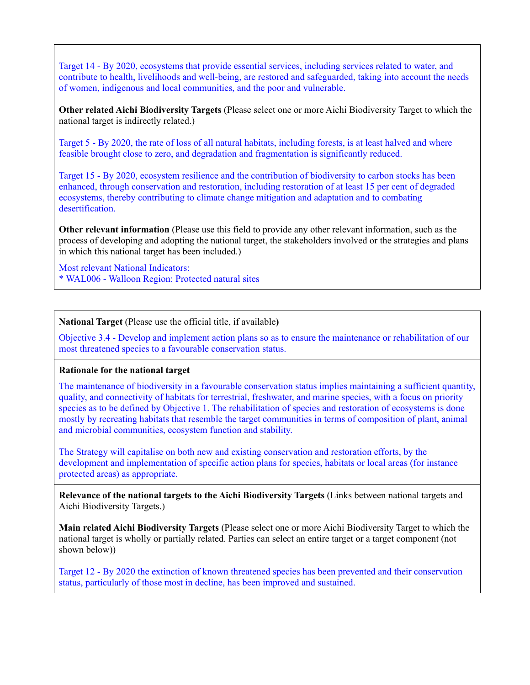Target 14 - By 2020, ecosystems that provide essential services, including services related to water, and contribute to health, livelihoods and well-being, are restored and safeguarded, taking into account the needs of women, indigenous and local communities, and the poor and vulnerable.

**Other related Aichi Biodiversity Targets** (Please select one or more Aichi Biodiversity Target to which the national target is indirectly related.)

Target 5 - By 2020, the rate of loss of all natural habitats, including forests, is at least halved and where feasible brought close to zero, and degradation and fragmentation is significantly reduced.

Target 15 - By 2020, ecosystem resilience and the contribution of biodiversity to carbon stocks has been enhanced, through conservation and restoration, including restoration of at least 15 per cent of degraded ecosystems, thereby contributing to climate change mitigation and adaptation and to combating desertification.

**Other relevant information** (Please use this field to provide any other relevant information, such as the process of developing and adopting the national target, the stakeholders involved or the strategies and plans in which this national target has been included.)

Most relevant National Indicators: \* WAL006 - Walloon Region: Protected natural sites

**National Target** (Please use the official title, if available**)**

Objective 3.4 - Develop and implement action plans so as to ensure the maintenance or rehabilitation of our most threatened species to a favourable conservation status.

#### **Rationale for the national target**

The maintenance of biodiversity in a favourable conservation status implies maintaining a sufficient quantity, quality, and connectivity of habitats for terrestrial, freshwater, and marine species, with a focus on priority species as to be defined by Objective 1. The rehabilitation of species and restoration of ecosystems is done mostly by recreating habitats that resemble the target communities in terms of composition of plant, animal and microbial communities, ecosystem function and stability.

The Strategy will capitalise on both new and existing conservation and restoration efforts, by the development and implementation of specific action plans for species, habitats or local areas (for instance protected areas) as appropriate.

**Relevance of the national targets to the Aichi Biodiversity Targets** (Links between national targets and Aichi Biodiversity Targets.)

**Main related Aichi Biodiversity Targets** (Please select one or more Aichi Biodiversity Target to which the national target is wholly or partially related. Parties can select an entire target or a target component (not shown below))

Target 12 - By 2020 the extinction of known threatened species has been prevented and their conservation status, particularly of those most in decline, has been improved and sustained.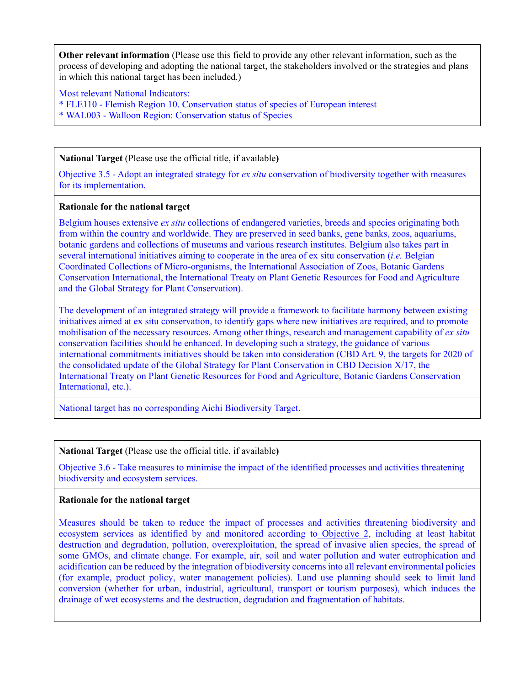**Other relevant information** (Please use this field to provide any other relevant information, such as the process of developing and adopting the national target, the stakeholders involved or the strategies and plans in which this national target has been included.)

Most relevant National Indicators: \* FLE110 - Flemish Region 10. Conservation status of species of European interest \* WAL003 - Walloon Region: Conservation status of Species

**National Target** (Please use the official title, if available**)**

Objective 3.5 - Adopt an integrated strategy for *ex situ* conservation of biodiversity together with measures for its implementation.

#### **Rationale for the national target**

Belgium houses extensive *ex situ* collections of endangered varieties, breeds and species originating both from within the country and worldwide. They are preserved in seed banks, gene banks, zoos, aquariums, botanic gardens and collections of museums and various research institutes. Belgium also takes part in several international initiatives aiming to cooperate in the area of ex situ conservation (*i.e.* Belgian Coordinated Collections of Micro-organisms, the International Association of Zoos, Botanic Gardens Conservation International, the International Treaty on Plant Genetic Resources for Food and Agriculture and the Global Strategy for Plant Conservation).

The development of an integrated strategy will provide a framework to facilitate harmony between existing initiatives aimed at ex situ conservation, to identify gaps where new initiatives are required, and to promote mobilisation of the necessary resources. Among other things, research and management capability of *ex situ* conservation facilities should be enhanced. In developing such a strategy, the guidance of various international commitments initiatives should be taken into consideration (CBD Art. 9, the targets for 2020 of the consolidated update of the Global Strategy for Plant Conservation in CBD Decision X/17, the International Treaty on Plant Genetic Resources for Food and Agriculture, Botanic Gardens Conservation International, etc.).

National target has no corresponding Aichi Biodiversity Target.

## **National Target** (Please use the official title, if available**)**

Objective 3.6 - Take measures to minimise the impact of the identified processes and activities threatening biodiversity and ecosystem services.

## **Rationale for the national target**

Measures should be taken to reduce the impact of processes and activities threatening biodiversity and ecosystem services as identified by and monitored according to [Objective 2,](https://be-tct.biodiversity.europa.eu/objectives/2) including at least habitat destruction and degradation, pollution, overexploitation, the spread of invasive alien species, the spread of some GMOs, and climate change. For example, air, soil and water pollution and water eutrophication and acidification can be reduced by the integration of biodiversity concerns into all relevant environmental policies (for example, product policy, water management policies). Land use planning should seek to limit land conversion (whether for urban, industrial, agricultural, transport or tourism purposes), which induces the drainage of wet ecosystems and the destruction, degradation and fragmentation of habitats.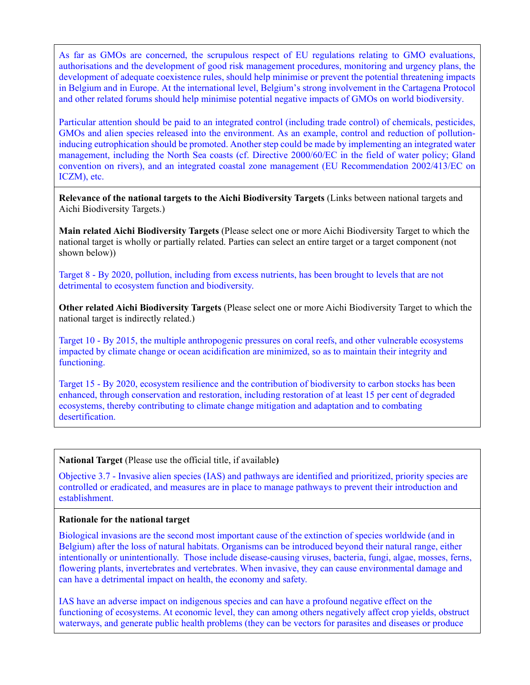As far as GMOs are concerned, the scrupulous respect of EU regulations relating to GMO evaluations, authorisations and the development of good risk management procedures, monitoring and urgency plans, the development of adequate coexistence rules, should help minimise or prevent the potential threatening impacts in Belgium and in Europe. At the international level, Belgium's strong involvement in the Cartagena Protocol and other related forums should help minimise potential negative impacts of GMOs on world biodiversity.

Particular attention should be paid to an integrated control (including trade control) of chemicals, pesticides, GMOs and alien species released into the environment. As an example, control and reduction of pollutioninducing eutrophication should be promoted. Another step could be made by implementing an integrated water management, including the North Sea coasts (cf. Directive 2000/60/EC in the field of water policy; Gland convention on rivers), and an integrated coastal zone management (EU Recommendation 2002/413/EC on ICZM), etc.

**Relevance of the national targets to the Aichi Biodiversity Targets** (Links between national targets and Aichi Biodiversity Targets.)

**Main related Aichi Biodiversity Targets** (Please select one or more Aichi Biodiversity Target to which the national target is wholly or partially related. Parties can select an entire target or a target component (not shown below))

Target 8 - By 2020, pollution, including from excess nutrients, has been brought to levels that are not detrimental to ecosystem function and biodiversity.

**Other related Aichi Biodiversity Targets** (Please select one or more Aichi Biodiversity Target to which the national target is indirectly related.)

Target 10 - By 2015, the multiple anthropogenic pressures on coral reefs, and other vulnerable ecosystems impacted by climate change or ocean acidification are minimized, so as to maintain their integrity and functioning.

Target 15 - By 2020, ecosystem resilience and the contribution of biodiversity to carbon stocks has been enhanced, through conservation and restoration, including restoration of at least 15 per cent of degraded ecosystems, thereby contributing to climate change mitigation and adaptation and to combating desertification.

**National Target** (Please use the official title, if available**)**

Objective 3.7 - Invasive alien species (IAS) and pathways are identified and prioritized, priority species are controlled or eradicated, and measures are in place to manage pathways to prevent their introduction and establishment.

#### **Rationale for the national target**

Biological invasions are the second most important cause of the extinction of species worldwide (and in Belgium) after the loss of natural habitats. Organisms can be introduced beyond their natural range, either intentionally or unintentionally. Those include disease-causing viruses, bacteria, fungi, algae, mosses, ferns, flowering plants, invertebrates and vertebrates. When invasive, they can cause environmental damage and can have a detrimental impact on health, the economy and safety.

IAS have an adverse impact on indigenous species and can have a profound negative effect on the functioning of ecosystems. At economic level, they can among others negatively affect crop yields, obstruct waterways, and generate public health problems (they can be vectors for parasites and diseases or produce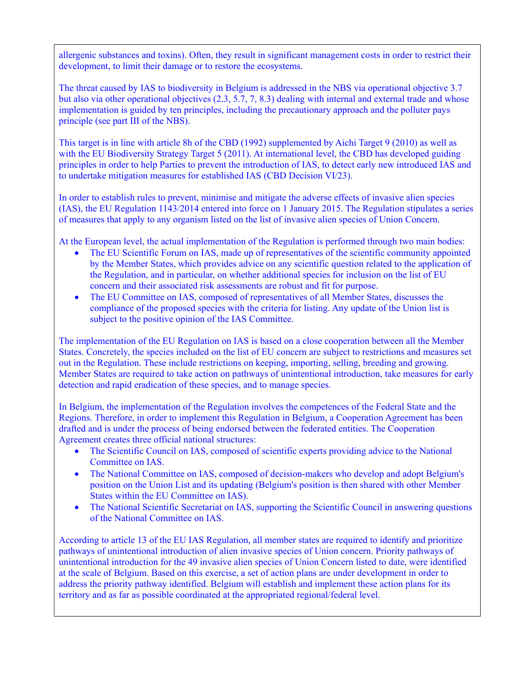allergenic substances and toxins). Often, they result in significant management costs in order to restrict their development, to limit their damage or to restore the ecosystems.

The threat caused by IAS to biodiversity in Belgium is addressed in the NBS via operational objective 3.7 but also via other operational objectives (2.3, 5.7, 7, 8.3) dealing with internal and external trade and whose implementation is guided by ten principles, including the precautionary approach and the polluter pays principle (see part III of the NBS).

This target is in line with article 8h of the CBD (1992) supplemented by Aichi Target 9 (2010) as well as with the EU Biodiversity Strategy Target 5 (2011). At international level, the CBD has developed guiding principles in order to help Parties to prevent the introduction of IAS, to detect early new introduced IAS and to undertake mitigation measures for established IAS (CBD Decision VI/23).

In order to establish rules to prevent, minimise and mitigate the adverse effects of invasive alien species (IAS), the EU Regulation 1143/2014 entered into force on 1 January 2015. The Regulation stipulates a series of measures that apply to any organism listed on the list of invasive alien species of Union Concern.

At the European level, the actual implementation of the Regulation is performed through two main bodies:

- The EU Scientific Forum on IAS, made up of representatives of the scientific community appointed by the Member States, which provides advice on any scientific question related to the application of the Regulation, and in particular, on whether additional species for inclusion on the list of EU concern and their associated risk assessments are robust and fit for purpose.
- The EU Committee on IAS, composed of representatives of all Member States, discusses the compliance of the proposed species with the criteria for listing. Any update of the Union list is subject to the positive opinion of the IAS Committee.

The implementation of the EU Regulation on IAS is based on a close cooperation between all the Member States. Concretely, the species included on the list of EU concern are subject to restrictions and measures set out in the Regulation. These include restrictions on keeping, importing, selling, breeding and growing. Member States are required to take action on pathways of unintentional introduction, take measures for early detection and rapid eradication of these species, and to manage species.

In Belgium, the implementation of the Regulation involves the competences of the Federal State and the Regions. Therefore, in order to implement this Regulation in Belgium, a Cooperation Agreement has been drafted and is under the process of being endorsed between the federated entities. The Cooperation Agreement creates three official national structures:

- The Scientific Council on IAS, composed of scientific experts providing advice to the National Committee on IAS.
- The National Committee on IAS, composed of decision-makers who develop and adopt Belgium's position on the Union List and its updating (Belgium's position is then shared with other Member States within the EU Committee on IAS).
- The National Scientific Secretariat on IAS, supporting the Scientific Council in answering questions of the National Committee on IAS.

According to article 13 of the EU IAS Regulation, all member states are required to identify and prioritize pathways of unintentional introduction of alien invasive species of Union concern. Priority pathways of unintentional introduction for the 49 invasive alien species of Union Concern listed to date, were identified at the scale of Belgium. Based on this exercise, a set of action plans are under development in order to address the priority pathway identified. Belgium will establish and implement these action plans for its territory and as far as possible coordinated at the appropriated regional/federal level.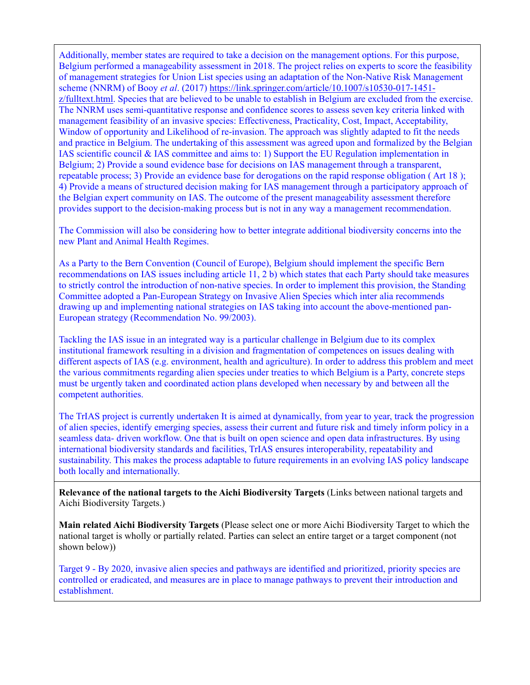Additionally, member states are required to take a decision on the management options. For this purpose, Belgium performed a manageability assessment in 2018. The project relies on experts to score the feasibility of management strategies for Union List species using an adaptation of the Non-Native Risk Management scheme (NNRM) of Booy *et al*. (2017) [https://link.springer.com/article/10.1007/s10530-017-1451](https://link.springer.com/article/10.1007/s10530-017-1451-z/fulltext.html) [z/fulltext.html.](https://link.springer.com/article/10.1007/s10530-017-1451-z/fulltext.html) Species that are believed to be unable to establish in Belgium are excluded from the exercise. The NNRM uses semi-quantitative response and confidence scores to assess seven key criteria linked with management feasibility of an invasive species: Effectiveness, Practicality, Cost, Impact, Acceptability, Window of opportunity and Likelihood of re-invasion. The approach was slightly adapted to fit the needs and practice in Belgium. The undertaking of this assessment was agreed upon and formalized by the Belgian IAS scientific council & IAS committee and aims to: 1) Support the EU Regulation implementation in Belgium; 2) Provide a sound evidence base for decisions on IAS management through a transparent, repeatable process; 3) Provide an evidence base for derogations on the rapid response obligation ( Art 18 ); 4) Provide a means of structured decision making for IAS management through a participatory approach of the Belgian expert community on IAS. The outcome of the present manageability assessment therefore provides support to the decision-making process but is not in any way a management recommendation.

The Commission will also be considering how to better integrate additional biodiversity concerns into the new Plant and Animal Health Regimes.

As a Party to the Bern Convention (Council of Europe), Belgium should implement the specific Bern recommendations on IAS issues including article 11, 2 b) which states that each Party should take measures to strictly control the introduction of non-native species. In order to implement this provision, the Standing Committee adopted a Pan-European Strategy on Invasive Alien Species which inter alia recommends drawing up and implementing national strategies on IAS taking into account the above-mentioned pan-European strategy (Recommendation No. 99/2003).

Tackling the IAS issue in an integrated way is a particular challenge in Belgium due to its complex institutional framework resulting in a division and fragmentation of competences on issues dealing with different aspects of IAS (e.g. environment, health and agriculture). In order to address this problem and meet the various commitments regarding alien species under treaties to which Belgium is a Party, concrete steps must be urgently taken and coordinated action plans developed when necessary by and between all the competent authorities.

The TrIAS project is currently undertaken It is aimed at dynamically, from year to year, track the progression of alien species, identify emerging species, assess their current and future risk and timely inform policy in a seamless data- driven workflow. One that is built on open science and open data infrastructures. By using international biodiversity standards and facilities, TrIAS ensures interoperability, repeatability and sustainability. This makes the process adaptable to future requirements in an evolving IAS policy landscape both locally and internationally.

**Relevance of the national targets to the Aichi Biodiversity Targets** (Links between national targets and Aichi Biodiversity Targets.)

**Main related Aichi Biodiversity Targets** (Please select one or more Aichi Biodiversity Target to which the national target is wholly or partially related. Parties can select an entire target or a target component (not shown below))

Target 9 - By 2020, invasive alien species and pathways are identified and prioritized, priority species are controlled or eradicated, and measures are in place to manage pathways to prevent their introduction and establishment.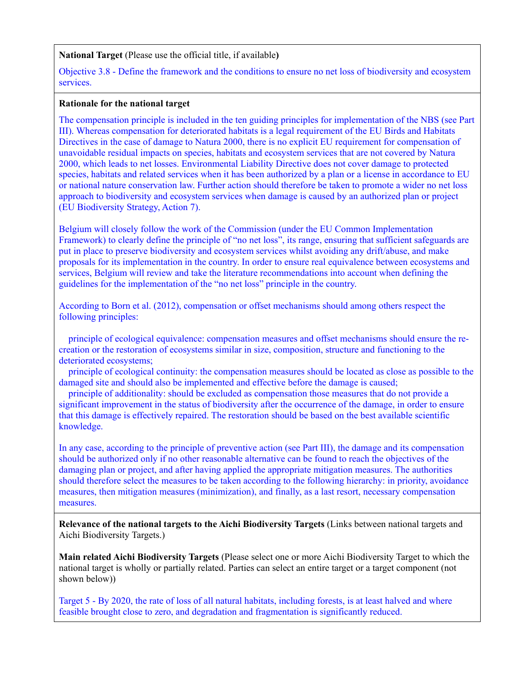#### **National Target** (Please use the official title, if available**)**

Objective 3.8 - Define the framework and the conditions to ensure no net loss of biodiversity and ecosystem services.

#### **Rationale for the national target**

The compensation principle is included in the ten guiding principles for implementation of the NBS (see Part III). Whereas compensation for deteriorated habitats is a legal requirement of the EU Birds and Habitats Directives in the case of damage to Natura 2000, there is no explicit EU requirement for compensation of unavoidable residual impacts on species, habitats and ecosystem services that are not covered by Natura 2000, which leads to net losses. Environmental Liability Directive does not cover damage to protected species, habitats and related services when it has been authorized by a plan or a license in accordance to EU or national nature conservation law. Further action should therefore be taken to promote a wider no net loss approach to biodiversity and ecosystem services when damage is caused by an authorized plan or project (EU Biodiversity Strategy, Action 7).

Belgium will closely follow the work of the Commission (under the EU Common Implementation Framework) to clearly define the principle of "no net loss", its range, ensuring that sufficient safeguards are put in place to preserve biodiversity and ecosystem services whilst avoiding any drift/abuse, and make proposals for its implementation in the country. In order to ensure real equivalence between ecosystems and services, Belgium will review and take the literature recommendations into account when defining the guidelines for the implementation of the "no net loss" principle in the country.

According to Born et al. (2012), compensation or offset mechanisms should among others respect the following principles:

 principle of ecological equivalence: compensation measures and offset mechanisms should ensure the recreation or the restoration of ecosystems similar in size, composition, structure and functioning to the deteriorated ecosystems;

 principle of ecological continuity: the compensation measures should be located as close as possible to the damaged site and should also be implemented and effective before the damage is caused;

 principle of additionality: should be excluded as compensation those measures that do not provide a significant improvement in the status of biodiversity after the occurrence of the damage, in order to ensure that this damage is effectively repaired. The restoration should be based on the best available scientific knowledge.

In any case, according to the principle of preventive action (see Part III), the damage and its compensation should be authorized only if no other reasonable alternative can be found to reach the objectives of the damaging plan or project, and after having applied the appropriate mitigation measures. The authorities should therefore select the measures to be taken according to the following hierarchy: in priority, avoidance measures, then mitigation measures (minimization), and finally, as a last resort, necessary compensation measures.

**Relevance of the national targets to the Aichi Biodiversity Targets** (Links between national targets and Aichi Biodiversity Targets.)

**Main related Aichi Biodiversity Targets** (Please select one or more Aichi Biodiversity Target to which the national target is wholly or partially related. Parties can select an entire target or a target component (not shown below))

Target 5 - By 2020, the rate of loss of all natural habitats, including forests, is at least halved and where feasible brought close to zero, and degradation and fragmentation is significantly reduced.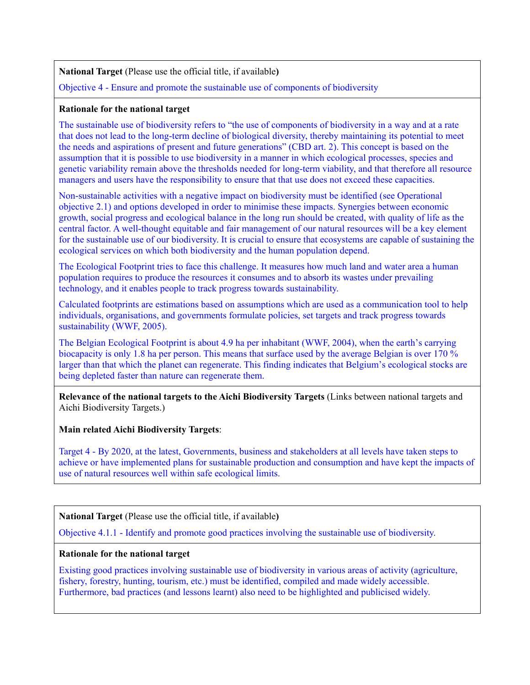**National Target** (Please use the official title, if available**)**

Objective 4 - Ensure and promote the sustainable use of components of biodiversity

## **Rationale for the national target**

The sustainable use of biodiversity refers to "the use of components of biodiversity in a way and at a rate that does not lead to the long-term decline of biological diversity, thereby maintaining its potential to meet the needs and aspirations of present and future generations" (CBD art. 2). This concept is based on the assumption that it is possible to use biodiversity in a manner in which ecological processes, species and genetic variability remain above the thresholds needed for long-term viability, and that therefore all resource managers and users have the responsibility to ensure that that use does not exceed these capacities.

Non-sustainable activities with a negative impact on biodiversity must be identified (see Operational objective 2.1) and options developed in order to minimise these impacts. Synergies between economic growth, social progress and ecological balance in the long run should be created, with quality of life as the central factor. A well-thought equitable and fair management of our natural resources will be a key element for the sustainable use of our biodiversity. It is crucial to ensure that ecosystems are capable of sustaining the ecological services on which both biodiversity and the human population depend.

The Ecological Footprint tries to face this challenge. It measures how much land and water area a human population requires to produce the resources it consumes and to absorb its wastes under prevailing technology, and it enables people to track progress towards sustainability.

Calculated footprints are estimations based on assumptions which are used as a communication tool to help individuals, organisations, and governments formulate policies, set targets and track progress towards sustainability (WWF, 2005).

The Belgian Ecological Footprint is about 4.9 ha per inhabitant (WWF, 2004), when the earth's carrying biocapacity is only 1.8 ha per person. This means that surface used by the average Belgian is over 170 % larger than that which the planet can regenerate. This finding indicates that Belgium's ecological stocks are being depleted faster than nature can regenerate them.

**Relevance of the national targets to the Aichi Biodiversity Targets** (Links between national targets and Aichi Biodiversity Targets.)

**Main related Aichi Biodiversity Targets**:

Target 4 - By 2020, at the latest, Governments, business and stakeholders at all levels have taken steps to achieve or have implemented plans for sustainable production and consumption and have kept the impacts of use of natural resources well within safe ecological limits.

# **National Target** (Please use the official title, if available**)**

Objective 4.1.1 - Identify and promote good practices involving the sustainable use of biodiversity.

# **Rationale for the national target**

Existing good practices involving sustainable use of biodiversity in various areas of activity (agriculture, fishery, forestry, hunting, tourism, etc.) must be identified, compiled and made widely accessible. Furthermore, bad practices (and lessons learnt) also need to be highlighted and publicised widely.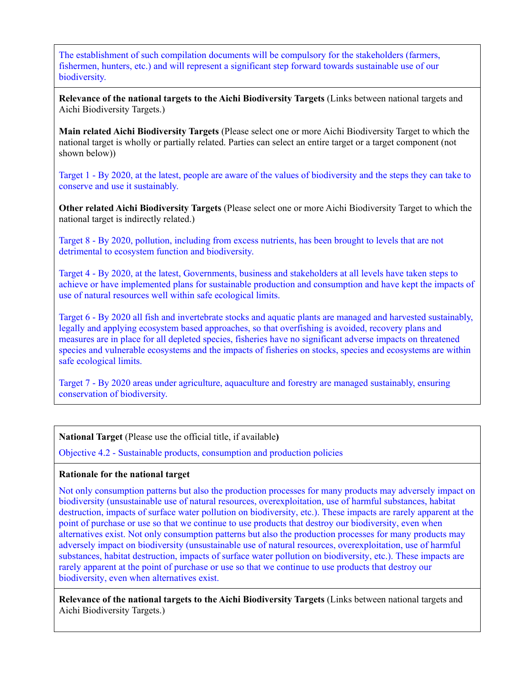The establishment of such compilation documents will be compulsory for the stakeholders (farmers, fishermen, hunters, etc.) and will represent a significant step forward towards sustainable use of our biodiversity.

**Relevance of the national targets to the Aichi Biodiversity Targets** (Links between national targets and Aichi Biodiversity Targets.)

**Main related Aichi Biodiversity Targets** (Please select one or more Aichi Biodiversity Target to which the national target is wholly or partially related. Parties can select an entire target or a target component (not shown below))

Target 1 - By 2020, at the latest, people are aware of the values of biodiversity and the steps they can take to conserve and use it sustainably.

**Other related Aichi Biodiversity Targets** (Please select one or more Aichi Biodiversity Target to which the national target is indirectly related.)

Target 8 - By 2020, pollution, including from excess nutrients, has been brought to levels that are not detrimental to ecosystem function and biodiversity.

Target 4 - By 2020, at the latest, Governments, business and stakeholders at all levels have taken steps to achieve or have implemented plans for sustainable production and consumption and have kept the impacts of use of natural resources well within safe ecological limits.

Target 6 - By 2020 all fish and invertebrate stocks and aquatic plants are managed and harvested sustainably, legally and applying ecosystem based approaches, so that overfishing is avoided, recovery plans and measures are in place for all depleted species, fisheries have no significant adverse impacts on threatened species and vulnerable ecosystems and the impacts of fisheries on stocks, species and ecosystems are within safe ecological limits.

Target 7 - By 2020 areas under agriculture, aquaculture and forestry are managed sustainably, ensuring conservation of biodiversity.

**National Target** (Please use the official title, if available**)**

Objective 4.2 - Sustainable products, consumption and production policies

## **Rationale for the national target**

Not only consumption patterns but also the production processes for many products may adversely impact on biodiversity (unsustainable use of natural resources, overexploitation, use of harmful substances, habitat destruction, impacts of surface water pollution on biodiversity, etc.). These impacts are rarely apparent at the point of purchase or use so that we continue to use products that destroy our biodiversity, even when alternatives exist. Not only consumption patterns but also the production processes for many products may adversely impact on biodiversity (unsustainable use of natural resources, overexploitation, use of harmful substances, habitat destruction, impacts of surface water pollution on biodiversity, etc.). These impacts are rarely apparent at the point of purchase or use so that we continue to use products that destroy our biodiversity, even when alternatives exist.

**Relevance of the national targets to the Aichi Biodiversity Targets** (Links between national targets and Aichi Biodiversity Targets.)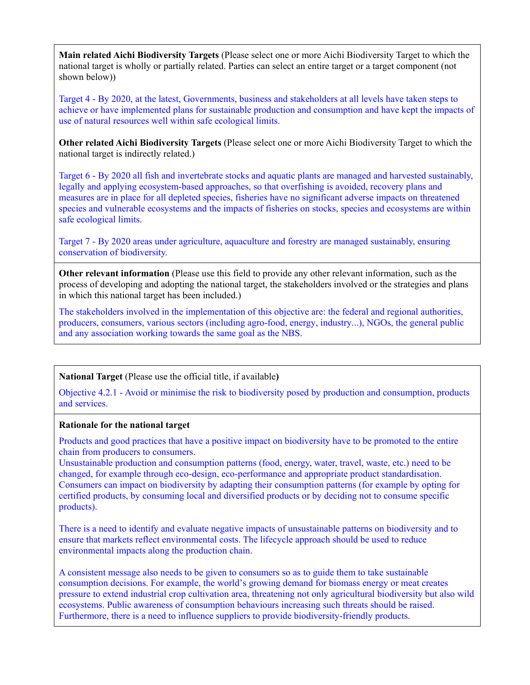**Main related Aichi Biodiversity Targets** (Please select one or more Aichi Biodiversity Target to which the national target is wholly or partially related. Parties can select an entire target or a target component (not shown below))

Target 4 - By 2020, at the latest, Governments, business and stakeholders at all levels have taken steps to achieve or have implemented plans for sustainable production and consumption and have kept the impacts of use of natural resources well within safe ecological limits.

**Other related Aichi Biodiversity Targets** (Please select one or more Aichi Biodiversity Target to which the national target is indirectly related.)

Target 6 - By 2020 all fish and invertebrate stocks and aquatic plants are managed and harvested sustainably, legally and applying ecosystem-based approaches, so that overfishing is avoided, recovery plans and measures are in place for all depleted species, fisheries have no significant adverse impacts on threatened species and vulnerable ecosystems and the impacts of fisheries on stocks, species and ecosystems are within safe ecological limits.

Target 7 - By 2020 areas under agriculture, aquaculture and forestry are managed sustainably, ensuring conservation of biodiversity.

**Other relevant information** (Please use this field to provide any other relevant information, such as the process of developing and adopting the national target, the stakeholders involved or the strategies and plans in which this national target has been included.)

The stakeholders involved in the implementation of this objective are: the federal and regional authorities, producers, consumers, various sectors (including agro-food, energy, industry...), NGOs, the general public and any association working towards the same goal as the NBS.

## **National Target** (Please use the official title, if available**)**

Objective 4.2.1 - Avoid or minimise the risk to biodiversity posed by production and consumption, products and services.

## **Rationale for the national target**

Products and good practices that have a positive impact on biodiversity have to be promoted to the entire chain from producers to consumers.

Unsustainable production and consumption patterns (food, energy, water, travel, waste, etc.) need to be changed, for example through eco-design, eco-performance and appropriate product standardisation. Consumers can impact on biodiversity by adapting their consumption patterns (for example by opting for certified products, by consuming local and diversified products or by deciding not to consume specific products).

There is a need to identify and evaluate negative impacts of unsustainable patterns on biodiversity and to ensure that markets reflect environmental costs. The lifecycle approach should be used to reduce environmental impacts along the production chain.

A consistent message also needs to be given to consumers so as to guide them to take sustainable consumption decisions. For example, the world's growing demand for biomass energy or meat creates pressure to extend industrial crop cultivation area, threatening not only agricultural biodiversity but also wild ecosystems. Public awareness of consumption behaviours increasing such threats should be raised. Furthermore, there is a need to influence suppliers to provide biodiversity-friendly products.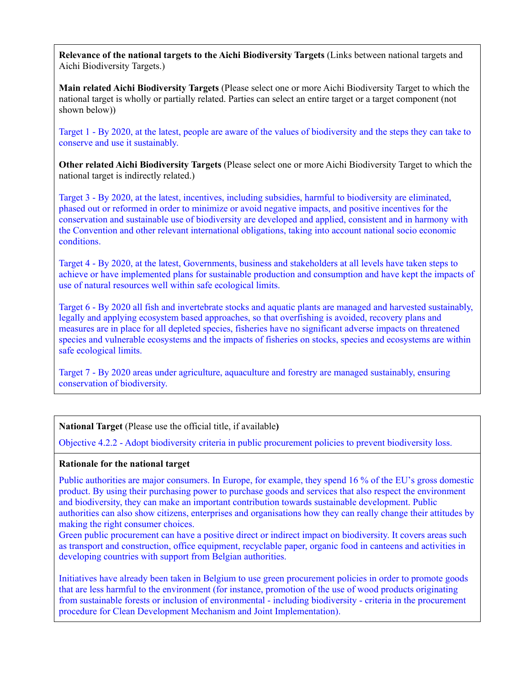**Relevance of the national targets to the Aichi Biodiversity Targets** (Links between national targets and Aichi Biodiversity Targets.)

**Main related Aichi Biodiversity Targets** (Please select one or more Aichi Biodiversity Target to which the national target is wholly or partially related. Parties can select an entire target or a target component (not shown below))

Target 1 - By 2020, at the latest, people are aware of the values of biodiversity and the steps they can take to conserve and use it sustainably.

**Other related Aichi Biodiversity Targets** (Please select one or more Aichi Biodiversity Target to which the national target is indirectly related.)

Target 3 - By 2020, at the latest, incentives, including subsidies, harmful to biodiversity are eliminated, phased out or reformed in order to minimize or avoid negative impacts, and positive incentives for the conservation and sustainable use of biodiversity are developed and applied, consistent and in harmony with the Convention and other relevant international obligations, taking into account national socio economic conditions.

Target 4 - By 2020, at the latest, Governments, business and stakeholders at all levels have taken steps to achieve or have implemented plans for sustainable production and consumption and have kept the impacts of use of natural resources well within safe ecological limits.

Target 6 - By 2020 all fish and invertebrate stocks and aquatic plants are managed and harvested sustainably, legally and applying ecosystem based approaches, so that overfishing is avoided, recovery plans and measures are in place for all depleted species, fisheries have no significant adverse impacts on threatened species and vulnerable ecosystems and the impacts of fisheries on stocks, species and ecosystems are within safe ecological limits.

Target 7 - By 2020 areas under agriculture, aquaculture and forestry are managed sustainably, ensuring conservation of biodiversity.

**National Target** (Please use the official title, if available**)**

Objective 4.2.2 - Adopt biodiversity criteria in public procurement policies to prevent biodiversity loss.

## **Rationale for the national target**

Public authorities are major consumers. In Europe, for example, they spend 16 % of the EU's gross domestic product. By using their purchasing power to purchase goods and services that also respect the environment and biodiversity, they can make an important contribution towards sustainable development. Public authorities can also show citizens, enterprises and organisations how they can really change their attitudes by making the right consumer choices.

Green public procurement can have a positive direct or indirect impact on biodiversity. It covers areas such as transport and construction, office equipment, recyclable paper, organic food in canteens and activities in developing countries with support from Belgian authorities.

Initiatives have already been taken in Belgium to use green procurement policies in order to promote goods that are less harmful to the environment (for instance, promotion of the use of wood products originating from sustainable forests or inclusion of environmental - including biodiversity - criteria in the procurement procedure for Clean Development Mechanism and Joint Implementation).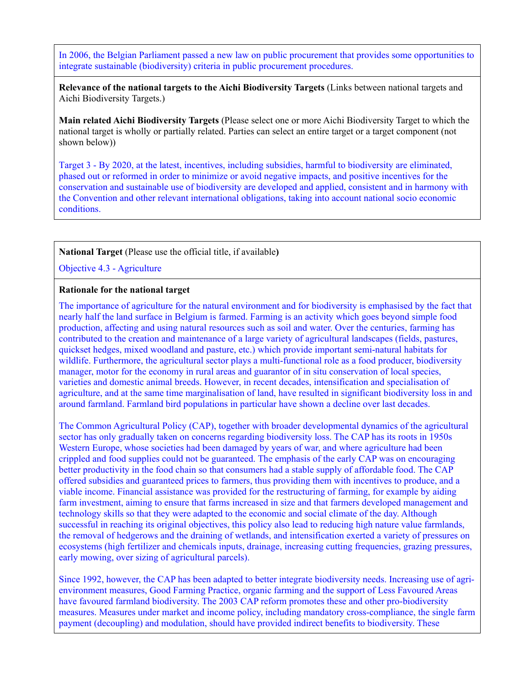In 2006, the Belgian Parliament passed a new law on public procurement that provides some opportunities to integrate sustainable (biodiversity) criteria in public procurement procedures.

**Relevance of the national targets to the Aichi Biodiversity Targets** (Links between national targets and Aichi Biodiversity Targets.)

**Main related Aichi Biodiversity Targets** (Please select one or more Aichi Biodiversity Target to which the national target is wholly or partially related. Parties can select an entire target or a target component (not shown below))

Target 3 - By 2020, at the latest, incentives, including subsidies, harmful to biodiversity are eliminated, phased out or reformed in order to minimize or avoid negative impacts, and positive incentives for the conservation and sustainable use of biodiversity are developed and applied, consistent and in harmony with the Convention and other relevant international obligations, taking into account national socio economic conditions.

## **National Target** (Please use the official title, if available**)**

Objective 4.3 - Agriculture

#### **Rationale for the national target**

The importance of agriculture for the natural environment and for biodiversity is emphasised by the fact that nearly half the land surface in Belgium is farmed. Farming is an activity which goes beyond simple food production, affecting and using natural resources such as soil and water. Over the centuries, farming has contributed to the creation and maintenance of a large variety of agricultural landscapes (fields, pastures, quickset hedges, mixed woodland and pasture, etc.) which provide important semi-natural habitats for wildlife. Furthermore, the agricultural sector plays a multi-functional role as a food producer, biodiversity manager, motor for the economy in rural areas and guarantor of in situ conservation of local species, varieties and domestic animal breeds. However, in recent decades, intensification and specialisation of agriculture, and at the same time marginalisation of land, have resulted in significant biodiversity loss in and around farmland. Farmland bird populations in particular have shown a decline over last decades.

The Common Agricultural Policy (CAP), together with broader developmental dynamics of the agricultural sector has only gradually taken on concerns regarding biodiversity loss. The CAP has its roots in 1950s Western Europe, whose societies had been damaged by years of war, and where agriculture had been crippled and food supplies could not be guaranteed. The emphasis of the early CAP was on encouraging better productivity in the food chain so that consumers had a stable supply of affordable food. The CAP offered subsidies and guaranteed prices to farmers, thus providing them with incentives to produce, and a viable income. Financial assistance was provided for the restructuring of farming, for example by aiding farm investment, aiming to ensure that farms increased in size and that farmers developed management and technology skills so that they were adapted to the economic and social climate of the day. Although successful in reaching its original objectives, this policy also lead to reducing high nature value farmlands, the removal of hedgerows and the draining of wetlands, and intensification exerted a variety of pressures on ecosystems (high fertilizer and chemicals inputs, drainage, increasing cutting frequencies, grazing pressures, early mowing, over sizing of agricultural parcels).

Since 1992, however, the CAP has been adapted to better integrate biodiversity needs. Increasing use of agrienvironment measures, Good Farming Practice, organic farming and the support of Less Favoured Areas have favoured farmland biodiversity. The 2003 CAP reform promotes these and other pro-biodiversity measures. Measures under market and income policy, including mandatory cross-compliance, the single farm payment (decoupling) and modulation, should have provided indirect benefits to biodiversity. These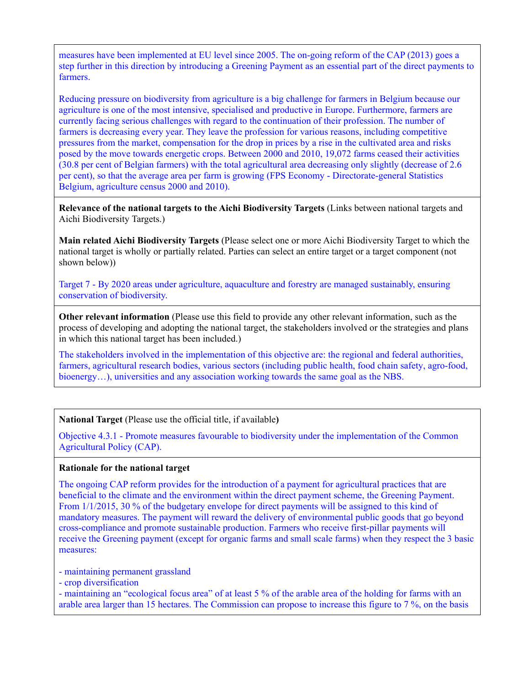measures have been implemented at EU level since 2005. The on-going reform of the CAP (2013) goes a step further in this direction by introducing a Greening Payment as an essential part of the direct payments to farmers.

Reducing pressure on biodiversity from agriculture is a big challenge for farmers in Belgium because our agriculture is one of the most intensive, specialised and productive in Europe. Furthermore, farmers are currently facing serious challenges with regard to the continuation of their profession. The number of farmers is decreasing every year. They leave the profession for various reasons, including competitive pressures from the market, compensation for the drop in prices by a rise in the cultivated area and risks posed by the move towards energetic crops. Between 2000 and 2010, 19,072 farms ceased their activities (30.8 per cent of Belgian farmers) with the total agricultural area decreasing only slightly (decrease of 2.6 per cent), so that the average area per farm is growing (FPS Economy - Directorate-general Statistics Belgium, agriculture census 2000 and 2010).

**Relevance of the national targets to the Aichi Biodiversity Targets** (Links between national targets and Aichi Biodiversity Targets.)

**Main related Aichi Biodiversity Targets** (Please select one or more Aichi Biodiversity Target to which the national target is wholly or partially related. Parties can select an entire target or a target component (not shown below))

Target 7 - By 2020 areas under agriculture, aquaculture and forestry are managed sustainably, ensuring conservation of biodiversity.

**Other relevant information** (Please use this field to provide any other relevant information, such as the process of developing and adopting the national target, the stakeholders involved or the strategies and plans in which this national target has been included.)

The stakeholders involved in the implementation of this objective are: the regional and federal authorities, farmers, agricultural research bodies, various sectors (including public health, food chain safety, agro-food, bioenergy...), universities and any association working towards the same goal as the NBS.

#### **National Target** (Please use the official title, if available**)**

Objective 4.3.1 - Promote measures favourable to biodiversity under the implementation of the Common Agricultural Policy (CAP).

#### **Rationale for the national target**

The ongoing CAP reform provides for the introduction of a payment for agricultural practices that are beneficial to the climate and the environment within the direct payment scheme, the Greening Payment. From  $1/1/2015$ , 30 % of the budgetary envelope for direct payments will be assigned to this kind of mandatory measures. The payment will reward the delivery of environmental public goods that go beyond cross-compliance and promote sustainable production. Farmers who receive first-pillar payments will receive the Greening payment (except for organic farms and small scale farms) when they respect the 3 basic measures:

- maintaining permanent grassland
- crop diversification

- maintaining an "ecological focus area" of at least 5 % of the arable area of the holding for farms with an arable area larger than 15 hectares. The Commission can propose to increase this figure to 7 %, on the basis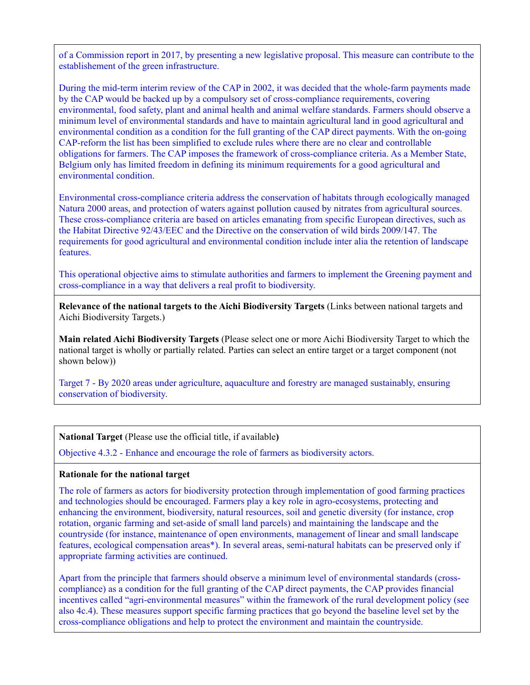of a Commission report in 2017, by presenting a new legislative proposal. This measure can contribute to the establishement of the green infrastructure.

During the mid-term interim review of the CAP in 2002, it was decided that the whole-farm payments made by the CAP would be backed up by a compulsory set of cross-compliance requirements, covering environmental, food safety, plant and animal health and animal welfare standards. Farmers should observe a minimum level of environmental standards and have to maintain agricultural land in good agricultural and environmental condition as a condition for the full granting of the CAP direct payments. With the on-going CAP-reform the list has been simplified to exclude rules where there are no clear and controllable obligations for farmers. The CAP imposes the framework of cross-compliance criteria. As a Member State, Belgium only has limited freedom in defining its minimum requirements for a good agricultural and environmental condition.

Environmental cross-compliance criteria address the conservation of habitats through ecologically managed Natura 2000 areas, and protection of waters against pollution caused by nitrates from agricultural sources. These cross-compliance criteria are based on articles emanating from specific European directives, such as the Habitat Directive 92/43/EEC and the Directive on the conservation of wild birds 2009/147. The requirements for good agricultural and environmental condition include inter alia the retention of landscape features.

This operational objective aims to stimulate authorities and farmers to implement the Greening payment and cross-compliance in a way that delivers a real profit to biodiversity.

**Relevance of the national targets to the Aichi Biodiversity Targets** (Links between national targets and Aichi Biodiversity Targets.)

**Main related Aichi Biodiversity Targets** (Please select one or more Aichi Biodiversity Target to which the national target is wholly or partially related. Parties can select an entire target or a target component (not shown below))

Target 7 - By 2020 areas under agriculture, aquaculture and forestry are managed sustainably, ensuring conservation of biodiversity.

**National Target** (Please use the official title, if available**)**

Objective 4.3.2 - Enhance and encourage the role of farmers as biodiversity actors.

## **Rationale for the national target**

The role of farmers as actors for biodiversity protection through implementation of good farming practices and technologies should be encouraged. Farmers play a key role in agro-ecosystems, protecting and enhancing the environment, biodiversity, natural resources, soil and genetic diversity (for instance, crop rotation, organic farming and set-aside of small land parcels) and maintaining the landscape and the countryside (for instance, maintenance of open environments, management of linear and small landscape features, ecological compensation areas\*). In several areas, semi-natural habitats can be preserved only if appropriate farming activities are continued.

Apart from the principle that farmers should observe a minimum level of environmental standards (crosscompliance) as a condition for the full granting of the CAP direct payments, the CAP provides financial incentives called "agri-environmental measures" within the framework of the rural development policy (see also 4c.4). These measures support specific farming practices that go beyond the baseline level set by the cross-compliance obligations and help to protect the environment and maintain the countryside.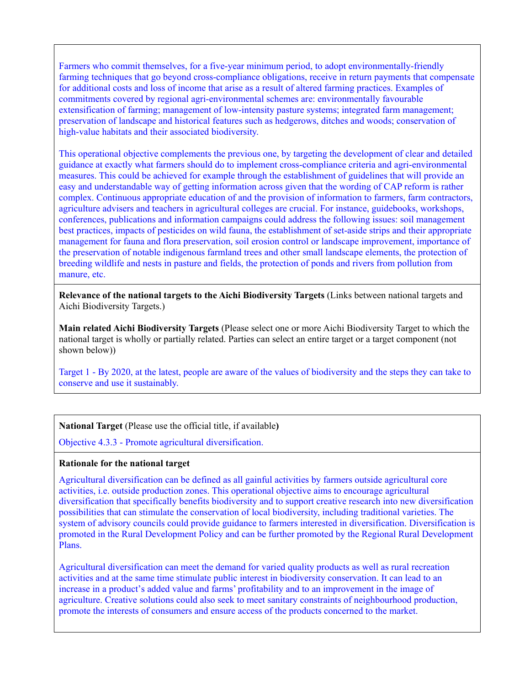Farmers who commit themselves, for a five-year minimum period, to adopt environmentally-friendly farming techniques that go beyond cross-compliance obligations, receive in return payments that compensate for additional costs and loss of income that arise as a result of altered farming practices. Examples of commitments covered by regional agri-environmental schemes are: environmentally favourable extensification of farming; management of low-intensity pasture systems; integrated farm management; preservation of landscape and historical features such as hedgerows, ditches and woods; conservation of high-value habitats and their associated biodiversity.

This operational objective complements the previous one, by targeting the development of clear and detailed guidance at exactly what farmers should do to implement cross-compliance criteria and agri-environmental measures. This could be achieved for example through the establishment of guidelines that will provide an easy and understandable way of getting information across given that the wording of CAP reform is rather complex. Continuous appropriate education of and the provision of information to farmers, farm contractors, agriculture advisers and teachers in agricultural colleges are crucial. For instance, guidebooks, workshops, conferences, publications and information campaigns could address the following issues: soil management best practices, impacts of pesticides on wild fauna, the establishment of set-aside strips and their appropriate management for fauna and flora preservation, soil erosion control or landscape improvement, importance of the preservation of notable indigenous farmland trees and other small landscape elements, the protection of breeding wildlife and nests in pasture and fields, the protection of ponds and rivers from pollution from manure, etc.

**Relevance of the national targets to the Aichi Biodiversity Targets** (Links between national targets and Aichi Biodiversity Targets.)

**Main related Aichi Biodiversity Targets** (Please select one or more Aichi Biodiversity Target to which the national target is wholly or partially related. Parties can select an entire target or a target component (not shown below))

Target 1 - By 2020, at the latest, people are aware of the values of biodiversity and the steps they can take to conserve and use it sustainably.

**National Target** (Please use the official title, if available**)**

Objective 4.3.3 - Promote agricultural diversification.

## **Rationale for the national target**

Agricultural diversification can be defined as all gainful activities by farmers outside agricultural core activities, i.e. outside production zones. This operational objective aims to encourage agricultural diversification that specifically benefits biodiversity and to support creative research into new diversification possibilities that can stimulate the conservation of local biodiversity, including traditional varieties. The system of advisory councils could provide guidance to farmers interested in diversification. Diversification is promoted in the Rural Development Policy and can be further promoted by the Regional Rural Development Plans.

Agricultural diversification can meet the demand for varied quality products as well as rural recreation activities and at the same time stimulate public interest in biodiversity conservation. It can lead to an increase in a product's added value and farms' profitability and to an improvement in the image of agriculture. Creative solutions could also seek to meet sanitary constraints of neighbourhood production, promote the interests of consumers and ensure access of the products concerned to the market.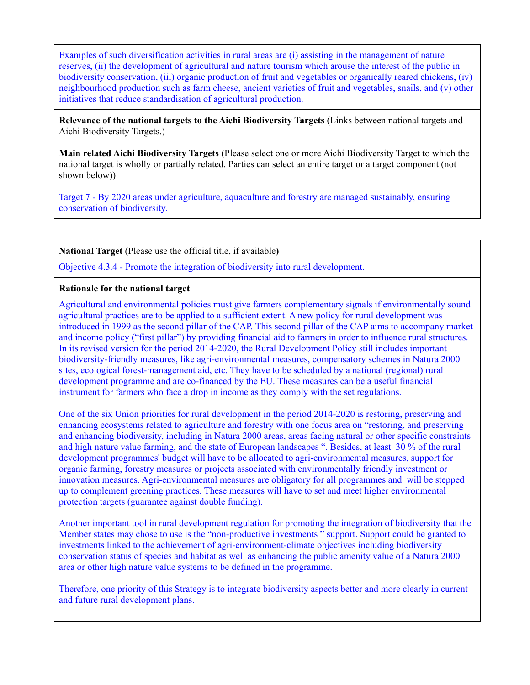Examples of such diversification activities in rural areas are (i) assisting in the management of nature reserves, (ii) the development of agricultural and nature tourism which arouse the interest of the public in biodiversity conservation, (iii) organic production of fruit and vegetables or organically reared chickens, (iv) neighbourhood production such as farm cheese, ancient varieties of fruit and vegetables, snails, and (v) other initiatives that reduce standardisation of agricultural production.

**Relevance of the national targets to the Aichi Biodiversity Targets** (Links between national targets and Aichi Biodiversity Targets.)

**Main related Aichi Biodiversity Targets** (Please select one or more Aichi Biodiversity Target to which the national target is wholly or partially related. Parties can select an entire target or a target component (not shown below))

Target 7 - By 2020 areas under agriculture, aquaculture and forestry are managed sustainably, ensuring conservation of biodiversity.

**National Target** (Please use the official title, if available**)**

Objective 4.3.4 - Promote the integration of biodiversity into rural development.

#### **Rationale for the national target**

Agricultural and environmental policies must give farmers complementary signals if environmentally sound agricultural practices are to be applied to a sufficient extent. A new policy for rural development was introduced in 1999 as the second pillar of the CAP. This second pillar of the CAP aims to accompany market and income policy ("first pillar") by providing financial aid to farmers in order to influence rural structures. In its revised version for the period 2014-2020, the Rural Development Policy still includes important biodiversity-friendly measures, like agri-environmental measures, compensatory schemes in Natura 2000 sites, ecological forest-management aid, etc. They have to be scheduled by a national (regional) rural development programme and are co-financed by the EU. These measures can be a useful financial instrument for farmers who face a drop in income as they comply with the set regulations.

One of the six Union priorities for rural development in the period 2014-2020 is restoring, preserving and enhancing ecosystems related to agriculture and forestry with one focus area on "restoring, and preserving and enhancing biodiversity, including in Natura 2000 areas, areas facing natural or other specific constraints and high nature value farming, and the state of European landscapes ". Besides, at least 30 % of the rural development programmes' budget will have to be allocated to agri-environmental measures, support for organic farming, forestry measures or projects associated with environmentally friendly investment or innovation measures. Agri-environmental measures are obligatory for all programmes and will be stepped up to complement greening practices. These measures will have to set and meet higher environmental protection targets (guarantee against double funding).

Another important tool in rural development regulation for promoting the integration of biodiversity that the Member states may chose to use is the "non-productive investments " support. Support could be granted to investments linked to the achievement of agri-environment-climate objectives including biodiversity conservation status of species and habitat as well as enhancing the public amenity value of a Natura 2000 area or other high nature value systems to be defined in the programme.

Therefore, one priority of this Strategy is to integrate biodiversity aspects better and more clearly in current and future rural development plans.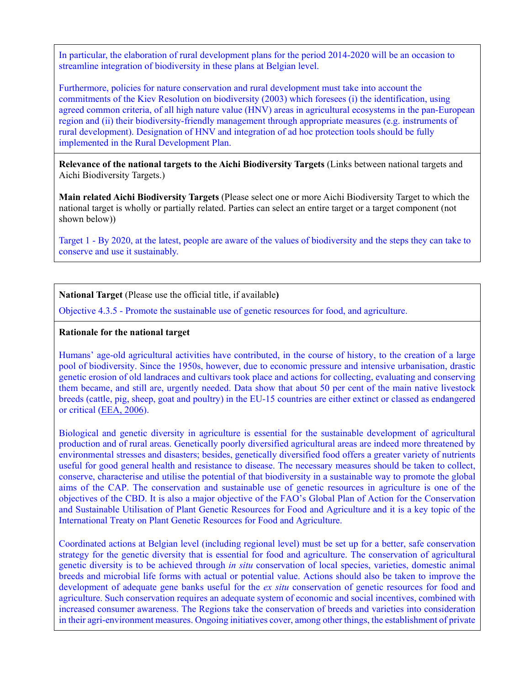In particular, the elaboration of rural development plans for the period 2014-2020 will be an occasion to streamline integration of biodiversity in these plans at Belgian level.

Furthermore, policies for nature conservation and rural development must take into account the commitments of the Kiev Resolution on biodiversity (2003) which foresees (i) the identification, using agreed common criteria, of all high nature value (HNV) areas in agricultural ecosystems in the pan-European region and (ii) their biodiversity-friendly management through appropriate measures (e.g. instruments of rural development). Designation of HNV and integration of ad hoc protection tools should be fully implemented in the Rural Development Plan.

**Relevance of the national targets to the Aichi Biodiversity Targets** (Links between national targets and Aichi Biodiversity Targets.)

**Main related Aichi Biodiversity Targets** (Please select one or more Aichi Biodiversity Target to which the national target is wholly or partially related. Parties can select an entire target or a target component (not shown below))

Target 1 - By 2020, at the latest, people are aware of the values of biodiversity and the steps they can take to conserve and use it sustainably.

**National Target** (Please use the official title, if available**)**

Objective 4.3.5 - Promote the sustainable use of genetic resources for food, and agriculture.

## **Rationale for the national target**

Humans' age-old agricultural activities have contributed, in the course of history, to the creation of a large pool of biodiversity. Since the 1950s, however, due to economic pressure and intensive urbanisation, drastic genetic erosion of old landraces and cultivars took place and actions for collecting, evaluating and conserving them became, and still are, urgently needed. Data show that about 50 per cent of the main native livestock breeds (cattle, pig, sheep, goat and poultry) in the EU-15 countries are either extinct or classed as endangered or critical [\(EEA, 2006\)](http://www.biodiv.be/implementation/docs/stratactplan/biodiversity-strategy-2020/references).

Biological and genetic diversity in agriculture is essential for the sustainable development of agricultural production and of rural areas. Genetically poorly diversified agricultural areas are indeed more threatened by environmental stresses and disasters; besides, genetically diversified food offers a greater variety of nutrients useful for good general health and resistance to disease. The necessary measures should be taken to collect, conserve, characterise and utilise the potential of that biodiversity in a sustainable way to promote the global aims of the CAP. The conservation and sustainable use of genetic resources in agriculture is one of the objectives of the CBD. It is also a major objective of the FAO's Global Plan of Action for the Conservation and Sustainable Utilisation of Plant Genetic Resources for Food and Agriculture and it is a key topic of the International Treaty on Plant Genetic Resources for Food and Agriculture.

Coordinated actions at Belgian level (including regional level) must be set up for a better, safe conservation strategy for the genetic diversity that is essential for food and agriculture. The conservation of agricultural genetic diversity is to be achieved through *in situ* conservation of local species, varieties, domestic animal breeds and microbial life forms with actual or potential value. Actions should also be taken to improve the development of adequate gene banks useful for the *ex situ* conservation of genetic resources for food and agriculture. Such conservation requires an adequate system of economic and social incentives, combined with increased consumer awareness. The Regions take the conservation of breeds and varieties into consideration in their agri-environment measures. Ongoing initiatives cover, among other things, the establishment of private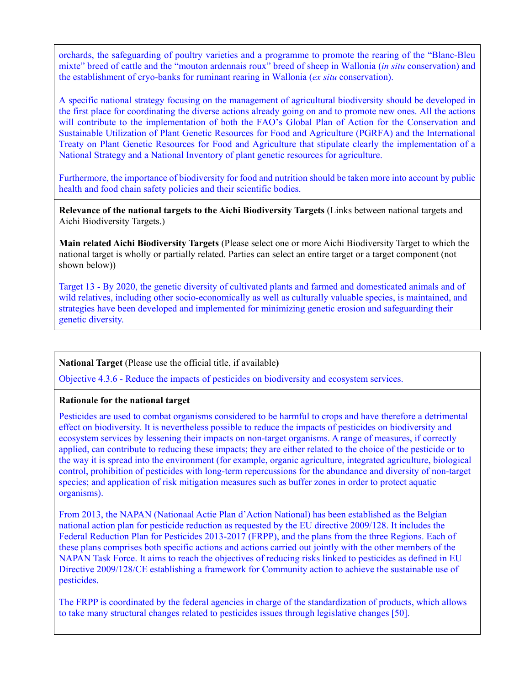orchards, the safeguarding of poultry varieties and a programme to promote the rearing of the "Blanc-Bleu mixte" breed of cattle and the "mouton ardennais roux" breed of sheep in Wallonia (*in situ* conservation) and the establishment of cryo-banks for ruminant rearing in Wallonia (*ex situ* conservation).

A specific national strategy focusing on the management of agricultural biodiversity should be developed in the first place for coordinating the diverse actions already going on and to promote new ones. All the actions will contribute to the implementation of both the FAO's Global Plan of Action for the Conservation and Sustainable Utilization of Plant Genetic Resources for Food and Agriculture (PGRFA) and the International Treaty on Plant Genetic Resources for Food and Agriculture that stipulate clearly the implementation of a National Strategy and a National Inventory of plant genetic resources for agriculture.

Furthermore, the importance of biodiversity for food and nutrition should be taken more into account by public health and food chain safety policies and their scientific bodies.

**Relevance of the national targets to the Aichi Biodiversity Targets** (Links between national targets and Aichi Biodiversity Targets.)

**Main related Aichi Biodiversity Targets** (Please select one or more Aichi Biodiversity Target to which the national target is wholly or partially related. Parties can select an entire target or a target component (not shown below))

Target 13 - By 2020, the genetic diversity of cultivated plants and farmed and domesticated animals and of wild relatives, including other socio-economically as well as culturally valuable species, is maintained, and strategies have been developed and implemented for minimizing genetic erosion and safeguarding their genetic diversity.

## **National Target** (Please use the official title, if available**)**

Objective 4.3.6 - Reduce the impacts of pesticides on biodiversity and ecosystem services.

## **Rationale for the national target**

Pesticides are used to combat organisms considered to be harmful to crops and have therefore a detrimental effect on biodiversity. It is nevertheless possible to reduce the impacts of pesticides on biodiversity and ecosystem services by lessening their impacts on non-target organisms. A range of measures, if correctly applied, can contribute to reducing these impacts; they are either related to the choice of the pesticide or to the way it is spread into the environment (for example, organic agriculture, integrated agriculture, biological control, prohibition of pesticides with long-term repercussions for the abundance and diversity of non-target species; and application of risk mitigation measures such as buffer zones in order to protect aquatic organisms).

From 2013, the NAPAN (Nationaal Actie Plan d'Action National) has been established as the Belgian national action plan for pesticide reduction as requested by the EU directive 2009/128. It includes the Federal Reduction Plan for Pesticides 2013-2017 (FRPP), and the plans from the three Regions. Each of these plans comprises both specific actions and actions carried out jointly with the other members of the NAPAN Task Force. It aims to reach the objectives of reducing risks linked to pesticides as defined in EU Directive 2009/128/CE establishing a framework for Community action to achieve the sustainable use of pesticides.

The FRPP is coordinated by the federal agencies in charge of the standardization of products, which allows to take many structural changes related to pesticides issues through legislative changes [50].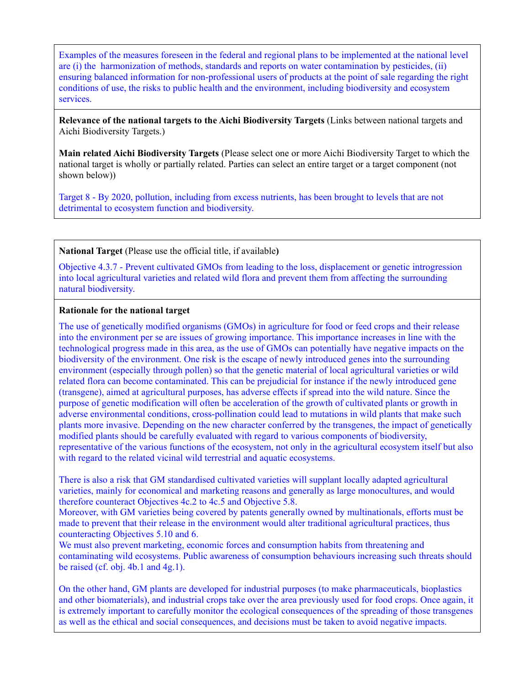Examples of the measures foreseen in the federal and regional plans to be implemented at the national level are (i) the harmonization of methods, standards and reports on water contamination by pesticides, (ii) ensuring balanced information for non-professional users of products at the point of sale regarding the right conditions of use, the risks to public health and the environment, including biodiversity and ecosystem services.

**Relevance of the national targets to the Aichi Biodiversity Targets** (Links between national targets and Aichi Biodiversity Targets.)

**Main related Aichi Biodiversity Targets** (Please select one or more Aichi Biodiversity Target to which the national target is wholly or partially related. Parties can select an entire target or a target component (not shown below))

Target 8 - By 2020, pollution, including from excess nutrients, has been brought to levels that are not detrimental to ecosystem function and biodiversity.

**National Target** (Please use the official title, if available**)**

Objective 4.3.7 - Prevent cultivated GMOs from leading to the loss, displacement or genetic introgression into local agricultural varieties and related wild flora and prevent them from affecting the surrounding natural biodiversity.

#### **Rationale for the national target**

The use of genetically modified organisms (GMOs) in agriculture for food or feed crops and their release into the environment per se are issues of growing importance. This importance increases in line with the technological progress made in this area, as the use of GMOs can potentially have negative impacts on the biodiversity of the environment. One risk is the escape of newly introduced genes into the surrounding environment (especially through pollen) so that the genetic material of local agricultural varieties or wild related flora can become contaminated. This can be prejudicial for instance if the newly introduced gene (transgene), aimed at agricultural purposes, has adverse effects if spread into the wild nature. Since the purpose of genetic modification will often be acceleration of the growth of cultivated plants or growth in adverse environmental conditions, cross-pollination could lead to mutations in wild plants that make such plants more invasive. Depending on the new character conferred by the transgenes, the impact of genetically modified plants should be carefully evaluated with regard to various components of biodiversity, representative of the various functions of the ecosystem, not only in the agricultural ecosystem itself but also with regard to the related vicinal wild terrestrial and aquatic ecosystems.

There is also a risk that GM standardised cultivated varieties will supplant locally adapted agricultural varieties, mainly for economical and marketing reasons and generally as large monocultures, and would therefore counteract Objectives 4c.2 to 4c.5 and Objective 5.8.

Moreover, with GM varieties being covered by patents generally owned by multinationals, efforts must be made to prevent that their release in the environment would alter traditional agricultural practices, thus counteracting Objectives 5.10 and 6.

We must also prevent marketing, economic forces and consumption habits from threatening and contaminating wild ecosystems. Public awareness of consumption behaviours increasing such threats should be raised (cf. obj.  $4b.1$  and  $4g.1$ ).

On the other hand, GM plants are developed for industrial purposes (to make pharmaceuticals, bioplastics and other biomaterials), and industrial crops take over the area previously used for food crops. Once again, it is extremely important to carefully monitor the ecological consequences of the spreading of those transgenes as well as the ethical and social consequences, and decisions must be taken to avoid negative impacts.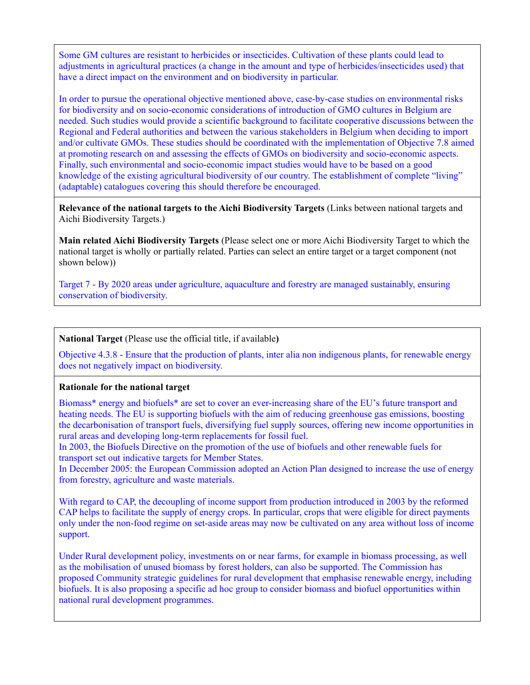Some GM cultures are resistant to herbicides or insecticides. Cultivation of these plants could lead to adjustments in agricultural practices (a change in the amount and type of herbicides/insecticides used) that have a direct impact on the environment and on biodiversity in particular.

In order to pursue the operational objective mentioned above, case-by-case studies on environmental risks for biodiversity and on socio-economic considerations of introduction of GMO cultures in Belgium are needed. Such studies would provide a scientific background to facilitate cooperative discussions between the Regional and Federal authorities and between the various stakeholders in Belgium when deciding to import and/or cultivate GMOs. These studies should be coordinated with the implementation of Objective 7.8 aimed at promoting research on and assessing the effects of GMOs on biodiversity and socio-economic aspects. Finally, such environmental and socio-economic impact studies would have to be based on a good knowledge of the existing agricultural biodiversity of our country. The establishment of complete "living" (adaptable) catalogues covering this should therefore be encouraged.

**Relevance of the national targets to the Aichi Biodiversity Targets** (Links between national targets and Aichi Biodiversity Targets.)

**Main related Aichi Biodiversity Targets** (Please select one or more Aichi Biodiversity Target to which the national target is wholly or partially related. Parties can select an entire target or a target component (not shown below))

Target 7 - By 2020 areas under agriculture, aquaculture and forestry are managed sustainably, ensuring conservation of biodiversity.

#### **National Target** (Please use the official title, if available**)**

Objective 4.3.8 - Ensure that the production of plants, inter alia non indigenous plants, for renewable energy does not negatively impact on biodiversity.

#### **Rationale for the national target**

Biomass\* energy and biofuels\* are set to cover an ever-increasing share of the EU's future transport and heating needs. The EU is supporting biofuels with the aim of reducing greenhouse gas emissions, boosting the decarbonisation of transport fuels, diversifying fuel supply sources, offering new income opportunities in rural areas and developing long-term replacements for fossil fuel.

In 2003, the Biofuels Directive on the promotion of the use of biofuels and other renewable fuels for transport set out indicative targets for Member States.

In December 2005: the European Commission adopted an Action Plan designed to increase the use of energy from forestry, agriculture and waste materials.

With regard to CAP, the decoupling of income support from production introduced in 2003 by the reformed CAP helps to facilitate the supply of energy crops. In particular, crops that were eligible for direct payments only under the non-food regime on set-aside areas may now be cultivated on any area without loss of income support.

Under Rural development policy, investments on or near farms, for example in biomass processing, as well as the mobilisation of unused biomass by forest holders, can also be supported. The Commission has proposed Community strategic guidelines for rural development that emphasise renewable energy, including biofuels. It is also proposing a specific ad hoc group to consider biomass and biofuel opportunities within national rural development programmes.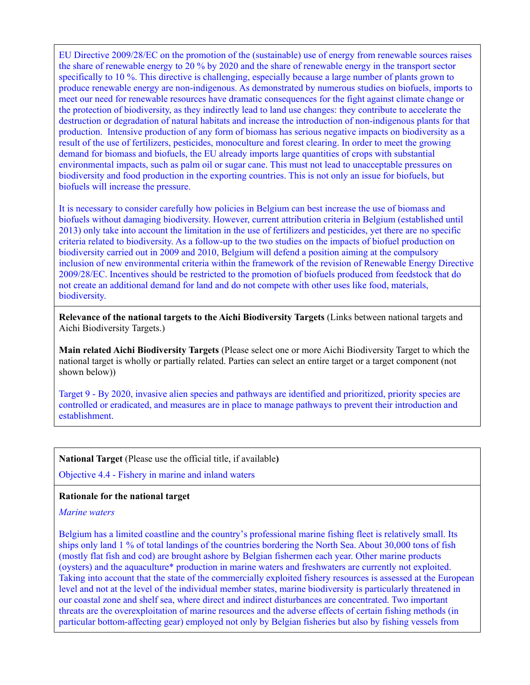EU Directive 2009/28/EC on the promotion of the (sustainable) use of energy from renewable sources raises the share of renewable energy to 20 % by 2020 and the share of renewable energy in the transport sector specifically to 10 %. This directive is challenging, especially because a large number of plants grown to produce renewable energy are non-indigenous. As demonstrated by numerous studies on biofuels, imports to meet our need for renewable resources have dramatic consequences for the fight against climate change or the protection of biodiversity, as they indirectly lead to land use changes: they contribute to accelerate the destruction or degradation of natural habitats and increase the introduction of non-indigenous plants for that production. Intensive production of any form of biomass has serious negative impacts on biodiversity as a result of the use of fertilizers, pesticides, monoculture and forest clearing. In order to meet the growing demand for biomass and biofuels, the EU already imports large quantities of crops with substantial environmental impacts, such as palm oil or sugar cane. This must not lead to unacceptable pressures on biodiversity and food production in the exporting countries. This is not only an issue for biofuels, but biofuels will increase the pressure.

It is necessary to consider carefully how policies in Belgium can best increase the use of biomass and biofuels without damaging biodiversity. However, current attribution criteria in Belgium (established until 2013) only take into account the limitation in the use of fertilizers and pesticides, yet there are no specific criteria related to biodiversity. As a follow-up to the two studies on the impacts of biofuel production on biodiversity carried out in 2009 and 2010, Belgium will defend a position aiming at the compulsory inclusion of new environmental criteria within the framework of the revision of Renewable Energy Directive 2009/28/EC. Incentives should be restricted to the promotion of biofuels produced from feedstock that do not create an additional demand for land and do not compete with other uses like food, materials, biodiversity.

**Relevance of the national targets to the Aichi Biodiversity Targets** (Links between national targets and Aichi Biodiversity Targets.)

**Main related Aichi Biodiversity Targets** (Please select one or more Aichi Biodiversity Target to which the national target is wholly or partially related. Parties can select an entire target or a target component (not shown below))

Target 9 - By 2020, invasive alien species and pathways are identified and prioritized, priority species are controlled or eradicated, and measures are in place to manage pathways to prevent their introduction and establishment.

#### **National Target** (Please use the official title, if available**)**

Objective 4.4 - Fishery in marine and inland waters

#### **Rationale for the national target**

#### *Marine waters*

Belgium has a limited coastline and the country's professional marine fishing fleet is relatively small. Its ships only land 1 % of total landings of the countries bordering the North Sea. About 30,000 tons of fish (mostly flat fish and cod) are brought ashore by Belgian fishermen each year. Other marine products (oysters) and the aquaculture\* production in marine waters and freshwaters are currently not exploited. Taking into account that the state of the commercially exploited fishery resources is assessed at the European level and not at the level of the individual member states, marine biodiversity is particularly threatened in our coastal zone and shelf sea, where direct and indirect disturbances are concentrated. Two important threats are the overexploitation of marine resources and the adverse effects of certain fishing methods (in particular bottom-affecting gear) employed not only by Belgian fisheries but also by fishing vessels from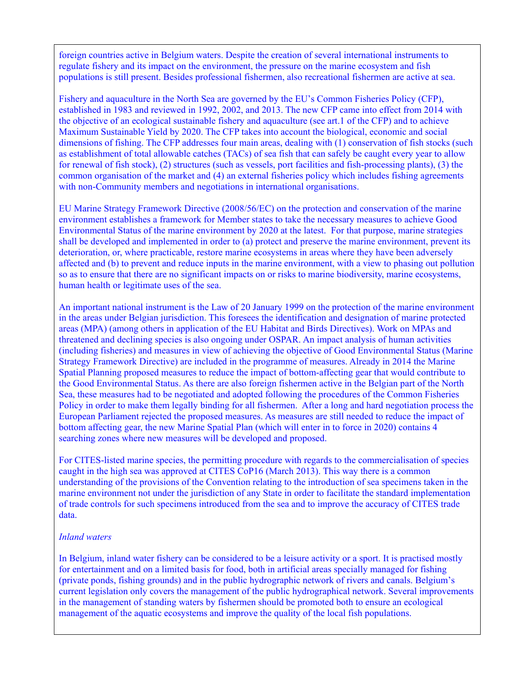foreign countries active in Belgium waters. Despite the creation of several international instruments to regulate fishery and its impact on the environment, the pressure on the marine ecosystem and fish populations is still present. Besides professional fishermen, also recreational fishermen are active at sea.

Fishery and aquaculture in the North Sea are governed by the EU's Common Fisheries Policy (CFP), established in 1983 and reviewed in 1992, 2002, and 2013. The new CFP came into effect from 2014 with the objective of an ecological sustainable fishery and aquaculture (see art.1 of the CFP) and to achieve Maximum Sustainable Yield by 2020. The CFP takes into account the biological, economic and social dimensions of fishing. The CFP addresses four main areas, dealing with (1) conservation of fish stocks (such as establishment of total allowable catches (TACs) of sea fish that can safely be caught every year to allow for renewal of fish stock), (2) structures (such as vessels, port facilities and fish-processing plants), (3) the common organisation of the market and (4) an external fisheries policy which includes fishing agreements with non-Community members and negotiations in international organisations.

EU Marine Strategy Framework Directive (2008/56/EC) on the protection and conservation of the marine environment establishes a framework for Member states to take the necessary measures to achieve Good Environmental Status of the marine environment by 2020 at the latest. For that purpose, marine strategies shall be developed and implemented in order to (a) protect and preserve the marine environment, prevent its deterioration, or, where practicable, restore marine ecosystems in areas where they have been adversely affected and (b) to prevent and reduce inputs in the marine environment, with a view to phasing out pollution so as to ensure that there are no significant impacts on or risks to marine biodiversity, marine ecosystems, human health or legitimate uses of the sea.

An important national instrument is the Law of 20 January 1999 on the protection of the marine environment in the areas under Belgian jurisdiction. This foresees the identification and designation of marine protected areas (MPA) (among others in application of the EU Habitat and Birds Directives). Work on MPAs and threatened and declining species is also ongoing under OSPAR. An impact analysis of human activities (including fisheries) and measures in view of achieving the objective of Good Environmental Status (Marine Strategy Framework Directive) are included in the programme of measures. Already in 2014 the Marine Spatial Planning proposed measures to reduce the impact of bottom-affecting gear that would contribute to the Good Environmental Status. As there are also foreign fishermen active in the Belgian part of the North Sea, these measures had to be negotiated and adopted following the procedures of the Common Fisheries Policy in order to make them legally binding for all fishermen. After a long and hard negotiation process the European Parliament rejected the proposed measures. As measures are still needed to reduce the impact of bottom affecting gear, the new Marine Spatial Plan (which will enter in to force in 2020) contains 4 searching zones where new measures will be developed and proposed.

For CITES-listed marine species, the permitting procedure with regards to the commercialisation of species caught in the high sea was approved at CITES CoP16 (March 2013). This way there is a common understanding of the provisions of the Convention relating to the introduction of sea specimens taken in the marine environment not under the jurisdiction of any State in order to facilitate the standard implementation of trade controls for such specimens introduced from the sea and to improve the accuracy of CITES trade data.

## *Inland waters*

In Belgium, inland water fishery can be considered to be a leisure activity or a sport. It is practised mostly for entertainment and on a limited basis for food, both in artificial areas specially managed for fishing (private ponds, fishing grounds) and in the public hydrographic network of rivers and canals. Belgium's current legislation only covers the management of the public hydrographical network. Several improvements in the management of standing waters by fishermen should be promoted both to ensure an ecological management of the aquatic ecosystems and improve the quality of the local fish populations.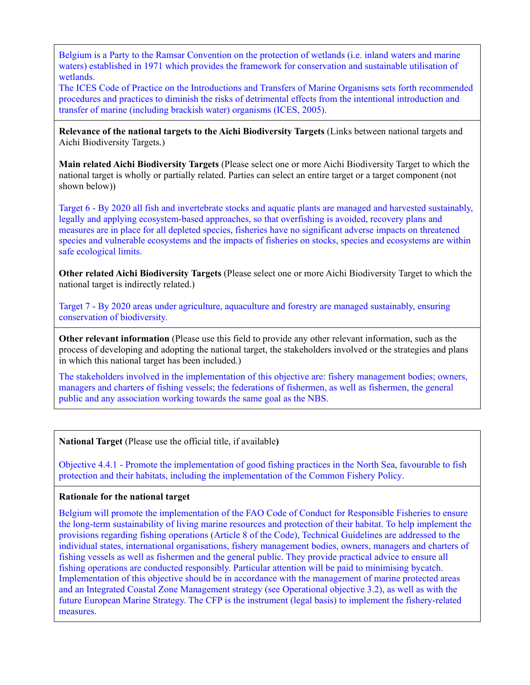Belgium is a Party to the Ramsar Convention on the protection of wetlands (i.e. inland waters and marine waters) established in 1971 which provides the framework for conservation and sustainable utilisation of wetlands.

The ICES Code of Practice on the Introductions and Transfers of Marine Organisms sets forth recommended procedures and practices to diminish the risks of detrimental effects from the intentional introduction and transfer of marine (including brackish water) organisms (ICES, 2005).

**Relevance of the national targets to the Aichi Biodiversity Targets** (Links between national targets and Aichi Biodiversity Targets.)

**Main related Aichi Biodiversity Targets** (Please select one or more Aichi Biodiversity Target to which the national target is wholly or partially related. Parties can select an entire target or a target component (not shown below))

Target 6 - By 2020 all fish and invertebrate stocks and aquatic plants are managed and harvested sustainably, legally and applying ecosystem-based approaches, so that overfishing is avoided, recovery plans and measures are in place for all depleted species, fisheries have no significant adverse impacts on threatened species and vulnerable ecosystems and the impacts of fisheries on stocks, species and ecosystems are within safe ecological limits.

**Other related Aichi Biodiversity Targets** (Please select one or more Aichi Biodiversity Target to which the national target is indirectly related.)

Target 7 - By 2020 areas under agriculture, aquaculture and forestry are managed sustainably, ensuring conservation of biodiversity.

**Other relevant information** (Please use this field to provide any other relevant information, such as the process of developing and adopting the national target, the stakeholders involved or the strategies and plans in which this national target has been included.)

The stakeholders involved in the implementation of this objective are: fishery management bodies; owners, managers and charters of fishing vessels; the federations of fishermen, as well as fishermen, the general public and any association working towards the same goal as the NBS.

**National Target** (Please use the official title, if available**)**

Objective 4.4.1 - Promote the implementation of good fishing practices in the North Sea, favourable to fish protection and their habitats, including the implementation of the Common Fishery Policy.

## **Rationale for the national target**

Belgium will promote the implementation of the FAO Code of Conduct for Responsible Fisheries to ensure the long-term sustainability of living marine resources and protection of their habitat. To help implement the provisions regarding fishing operations (Article 8 of the Code), Technical Guidelines are addressed to the individual states, international organisations, fishery management bodies, owners, managers and charters of fishing vessels as well as fishermen and the general public. They provide practical advice to ensure all fishing operations are conducted responsibly. Particular attention will be paid to minimising bycatch. Implementation of this objective should be in accordance with the management of marine protected areas and an Integrated Coastal Zone Management strategy (see Operational objective 3.2), as well as with the future European Marine Strategy. The CFP is the instrument (legal basis) to implement the fishery-related measures.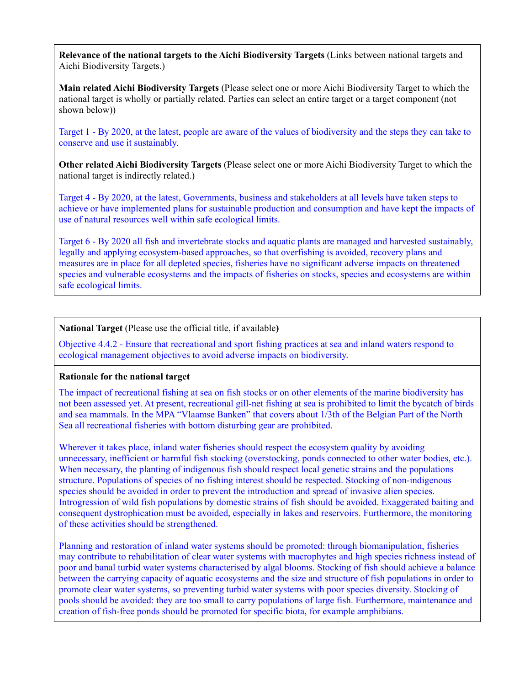**Main related Aichi Biodiversity Targets** (Please select one or more Aichi Biodiversity Target to which the national target is wholly or partially related. Parties can select an entire target or a target component (not shown below))

Target 1 - By 2020, at the latest, people are aware of the values of biodiversity and the steps they can take to conserve and use it sustainably.

**Other related Aichi Biodiversity Targets** (Please select one or more Aichi Biodiversity Target to which the national target is indirectly related.)

Target 4 - By 2020, at the latest, Governments, business and stakeholders at all levels have taken steps to achieve or have implemented plans for sustainable production and consumption and have kept the impacts of use of natural resources well within safe ecological limits.

Target 6 - By 2020 all fish and invertebrate stocks and aquatic plants are managed and harvested sustainably, legally and applying ecosystem-based approaches, so that overfishing is avoided, recovery plans and measures are in place for all depleted species, fisheries have no significant adverse impacts on threatened species and vulnerable ecosystems and the impacts of fisheries on stocks, species and ecosystems are within safe ecological limits.

**National Target** (Please use the official title, if available**)**

Objective 4.4.2 - Ensure that recreational and sport fishing practices at sea and inland waters respond to ecological management objectives to avoid adverse impacts on biodiversity.

### **Rationale for the national target**

The impact of recreational fishing at sea on fish stocks or on other elements of the marine biodiversity has not been assessed yet. At present, recreational gill-net fishing at sea is prohibited to limit the bycatch of birds and sea mammals. In the MPA "Vlaamse Banken" that covers about 1/3th of the Belgian Part of the North Sea all recreational fisheries with bottom disturbing gear are prohibited.

Wherever it takes place, inland water fisheries should respect the ecosystem quality by avoiding unnecessary, inefficient or harmful fish stocking (overstocking, ponds connected to other water bodies, etc.). When necessary, the planting of indigenous fish should respect local genetic strains and the populations structure. Populations of species of no fishing interest should be respected. Stocking of non-indigenous species should be avoided in order to prevent the introduction and spread of invasive alien species. Introgression of wild fish populations by domestic strains of fish should be avoided. Exaggerated baiting and consequent dystrophication must be avoided, especially in lakes and reservoirs. Furthermore, the monitoring of these activities should be strengthened.

Planning and restoration of inland water systems should be promoted: through biomanipulation, fisheries may contribute to rehabilitation of clear water systems with macrophytes and high species richness instead of poor and banal turbid water systems characterised by algal blooms. Stocking of fish should achieve a balance between the carrying capacity of aquatic ecosystems and the size and structure of fish populations in order to promote clear water systems, so preventing turbid water systems with poor species diversity. Stocking of pools should be avoided: they are too small to carry populations of large fish. Furthermore, maintenance and creation of fish-free ponds should be promoted for specific biota, for example amphibians.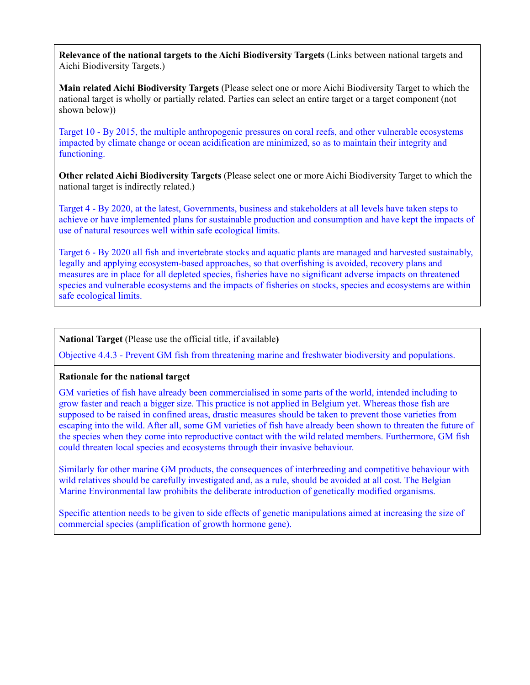**Main related Aichi Biodiversity Targets** (Please select one or more Aichi Biodiversity Target to which the national target is wholly or partially related. Parties can select an entire target or a target component (not shown below))

Target 10 - By 2015, the multiple anthropogenic pressures on coral reefs, and other vulnerable ecosystems impacted by climate change or ocean acidification are minimized, so as to maintain their integrity and functioning.

**Other related Aichi Biodiversity Targets** (Please select one or more Aichi Biodiversity Target to which the national target is indirectly related.)

Target 4 - By 2020, at the latest, Governments, business and stakeholders at all levels have taken steps to achieve or have implemented plans for sustainable production and consumption and have kept the impacts of use of natural resources well within safe ecological limits.

Target 6 - By 2020 all fish and invertebrate stocks and aquatic plants are managed and harvested sustainably, legally and applying ecosystem-based approaches, so that overfishing is avoided, recovery plans and measures are in place for all depleted species, fisheries have no significant adverse impacts on threatened species and vulnerable ecosystems and the impacts of fisheries on stocks, species and ecosystems are within safe ecological limits.

## **National Target** (Please use the official title, if available**)**

Objective 4.4.3 - Prevent GM fish from threatening marine and freshwater biodiversity and populations.

### **Rationale for the national target**

GM varieties of fish have already been commercialised in some parts of the world, intended including to grow faster and reach a bigger size. This practice is not applied in Belgium yet. Whereas those fish are supposed to be raised in confined areas, drastic measures should be taken to prevent those varieties from escaping into the wild. After all, some GM varieties of fish have already been shown to threaten the future of the species when they come into reproductive contact with the wild related members. Furthermore, GM fish could threaten local species and ecosystems through their invasive behaviour.

Similarly for other marine GM products, the consequences of interbreeding and competitive behaviour with wild relatives should be carefully investigated and, as a rule, should be avoided at all cost. The Belgian Marine Environmental law prohibits the deliberate introduction of genetically modified organisms.

Specific attention needs to be given to side effects of genetic manipulations aimed at increasing the size of commercial species (amplification of growth hormone gene).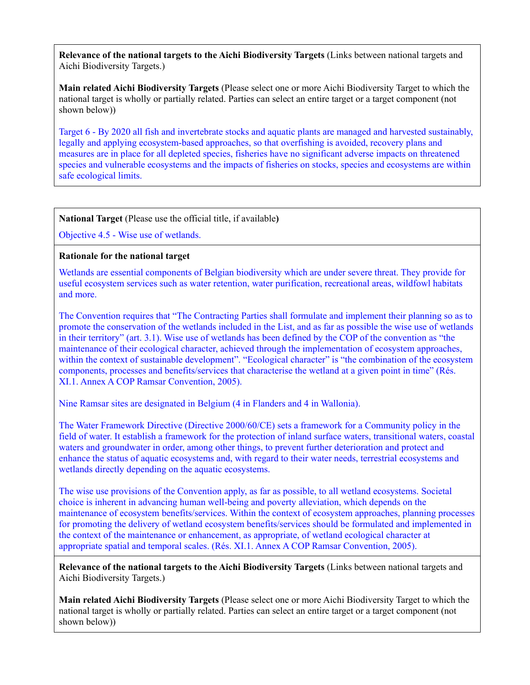**Main related Aichi Biodiversity Targets** (Please select one or more Aichi Biodiversity Target to which the national target is wholly or partially related. Parties can select an entire target or a target component (not shown below))

Target 6 - By 2020 all fish and invertebrate stocks and aquatic plants are managed and harvested sustainably, legally and applying ecosystem-based approaches, so that overfishing is avoided, recovery plans and measures are in place for all depleted species, fisheries have no significant adverse impacts on threatened species and vulnerable ecosystems and the impacts of fisheries on stocks, species and ecosystems are within safe ecological limits.

**National Target** (Please use the official title, if available**)**

Objective 4.5 - Wise use of wetlands.

### **Rationale for the national target**

Wetlands are essential components of Belgian biodiversity which are under severe threat. They provide for useful ecosystem services such as water retention, water purification, recreational areas, wildfowl habitats and more.

The Convention requires that "The Contracting Parties shall formulate and implement their planning so as to promote the conservation of the wetlands included in the List, and as far as possible the wise use of wetlands in their territory" (art. 3.1). Wise use of wetlands has been defined by the COP of the convention as "the maintenance of their ecological character, achieved through the implementation of ecosystem approaches, within the context of sustainable development". "Ecological character" is "the combination of the ecosystem components, processes and benefits/services that characterise the wetland at a given point in time" (Rés. XI.1. Annex A COP Ramsar Convention, 2005).

Nine Ramsar sites are designated in Belgium (4 in Flanders and 4 in Wallonia).

The Water Framework Directive (Directive 2000/60/CE) sets a framework for a Community policy in the field of water. It establish a framework for the protection of inland surface waters, transitional waters, coastal waters and groundwater in order, among other things, to prevent further deterioration and protect and enhance the status of aquatic ecosystems and, with regard to their water needs, terrestrial ecosystems and wetlands directly depending on the aquatic ecosystems.

The wise use provisions of the Convention apply, as far as possible, to all wetland ecosystems. Societal choice is inherent in advancing human well-being and poverty alleviation, which depends on the maintenance of ecosystem benefits/services. Within the context of ecosystem approaches, planning processes for promoting the delivery of wetland ecosystem benefits/services should be formulated and implemented in the context of the maintenance or enhancement, as appropriate, of wetland ecological character at appropriate spatial and temporal scales. (Rés. XI.1. Annex A COP Ramsar Convention, 2005).

**Relevance of the national targets to the Aichi Biodiversity Targets** (Links between national targets and Aichi Biodiversity Targets.)

**Main related Aichi Biodiversity Targets** (Please select one or more Aichi Biodiversity Target to which the national target is wholly or partially related. Parties can select an entire target or a target component (not shown below))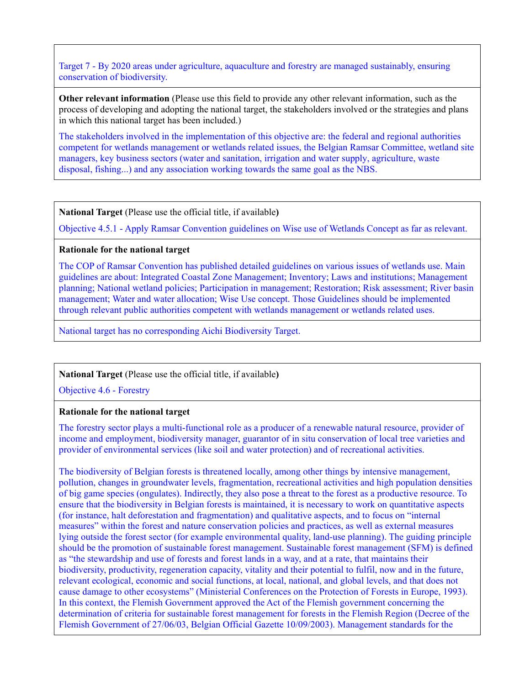Target 7 - By 2020 areas under agriculture, aquaculture and forestry are managed sustainably, ensuring conservation of biodiversity.

**Other relevant information** (Please use this field to provide any other relevant information, such as the process of developing and adopting the national target, the stakeholders involved or the strategies and plans in which this national target has been included.)

The stakeholders involved in the implementation of this objective are: the federal and regional authorities competent for wetlands management or wetlands related issues, the Belgian Ramsar Committee, wetland site managers, key business sectors (water and sanitation, irrigation and water supply, agriculture, waste disposal, fishing...) and any association working towards the same goal as the NBS.

**National Target** (Please use the official title, if available**)**

Objective 4.5.1 - Apply Ramsar Convention guidelines on Wise use of Wetlands Concept as far as relevant.

#### **Rationale for the national target**

The COP of Ramsar Convention has published detailed guidelines on various issues of wetlands use. Main guidelines are about: Integrated Coastal Zone Management; Inventory; Laws and institutions; Management planning; National wetland policies; Participation in management; Restoration; Risk assessment; River basin management; Water and water allocation; Wise Use concept. Those Guidelines should be implemented through relevant public authorities competent with wetlands management or wetlands related uses.

National target has no corresponding Aichi Biodiversity Target.

### **National Target** (Please use the official title, if available**)**

Objective 4.6 - Forestry

#### **Rationale for the national target**

The forestry sector plays a multi-functional role as a producer of a renewable natural resource, provider of income and employment, biodiversity manager, guarantor of in situ conservation of local tree varieties and provider of environmental services (like soil and water protection) and of recreational activities.

The biodiversity of Belgian forests is threatened locally, among other things by intensive management, pollution, changes in groundwater levels, fragmentation, recreational activities and high population densities of big game species (ongulates). Indirectly, they also pose a threat to the forest as a productive resource. To ensure that the biodiversity in Belgian forests is maintained, it is necessary to work on quantitative aspects (for instance, halt deforestation and fragmentation) and qualitative aspects, and to focus on "internal measures" within the forest and nature conservation policies and practices, as well as external measures lying outside the forest sector (for example environmental quality, land-use planning). The guiding principle should be the promotion of sustainable forest management. Sustainable forest management (SFM) is defined as "the stewardship and use of forests and forest lands in a way, and at a rate, that maintains their biodiversity, productivity, regeneration capacity, vitality and their potential to fulfil, now and in the future, relevant ecological, economic and social functions, at local, national, and global levels, and that does not cause damage to other ecosystems" (Ministerial Conferences on the Protection of Forests in Europe, 1993). In this context, the Flemish Government approved the Act of the Flemish government concerning the determination of criteria for sustainable forest management for forests in the Flemish Region (Decree of the Flemish Government of 27/06/03, Belgian Official Gazette 10/09/2003). Management standards for the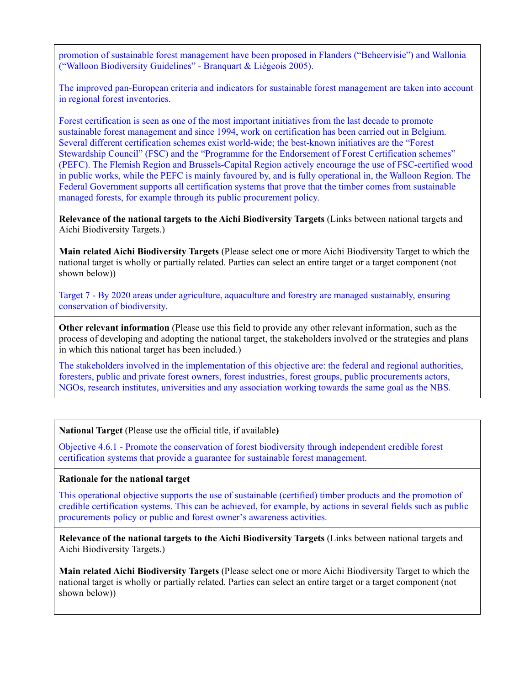promotion of sustainable forest management have been proposed in Flanders ("Beheervisie") and Wallonia ("Walloon Biodiversity Guidelines" - Branquart & Liégeois 2005).

The improved pan-European criteria and indicators for sustainable forest management are taken into account in regional forest inventories.

Forest certification is seen as one of the most important initiatives from the last decade to promote sustainable forest management and since 1994, work on certification has been carried out in Belgium. Several different certification schemes exist world-wide; the best-known initiatives are the "Forest Stewardship Council" (FSC) and the "Programme for the Endorsement of Forest Certification schemes" (PEFC). The Flemish Region and Brussels-Capital Region actively encourage the use of FSC-certified wood in public works, while the PEFC is mainly favoured by, and is fully operational in, the Walloon Region. The Federal Government supports all certification systems that prove that the timber comes from sustainable managed forests, for example through its public procurement policy.

**Relevance of the national targets to the Aichi Biodiversity Targets** (Links between national targets and Aichi Biodiversity Targets.)

**Main related Aichi Biodiversity Targets** (Please select one or more Aichi Biodiversity Target to which the national target is wholly or partially related. Parties can select an entire target or a target component (not shown below))

Target 7 - By 2020 areas under agriculture, aquaculture and forestry are managed sustainably, ensuring conservation of biodiversity.

**Other relevant information** (Please use this field to provide any other relevant information, such as the process of developing and adopting the national target, the stakeholders involved or the strategies and plans in which this national target has been included.)

The stakeholders involved in the implementation of this objective are: the federal and regional authorities, foresters, public and private forest owners, forest industries, forest groups, public procurements actors, NGOs, research institutes, universities and any association working towards the same goal as the NBS.

**National Target** (Please use the official title, if available**)**

Objective 4.6.1 - Promote the conservation of forest biodiversity through independent credible forest certification systems that provide a guarantee for sustainable forest management.

#### **Rationale for the national target**

This operational objective supports the use of sustainable (certified) timber products and the promotion of credible certification systems. This can be achieved, for example, by actions in several fields such as public procurements policy or public and forest owner's awareness activities.

**Relevance of the national targets to the Aichi Biodiversity Targets** (Links between national targets and Aichi Biodiversity Targets.)

**Main related Aichi Biodiversity Targets** (Please select one or more Aichi Biodiversity Target to which the national target is wholly or partially related. Parties can select an entire target or a target component (not shown below))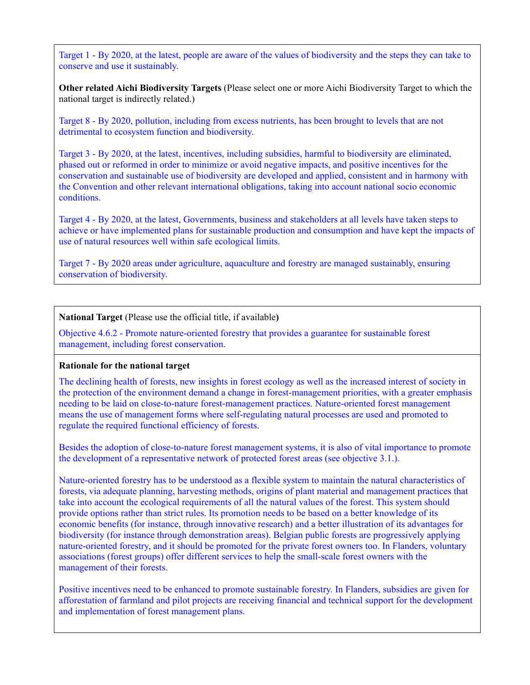Target 1 - By 2020, at the latest, people are aware of the values of biodiversity and the steps they can take to conserve and use it sustainably.

**Other related Aichi Biodiversity Targets** (Please select one or more Aichi Biodiversity Target to which the national target is indirectly related.)

Target 8 - By 2020, pollution, including from excess nutrients, has been brought to levels that are not detrimental to ecosystem function and biodiversity.

Target 3 - By 2020, at the latest, incentives, including subsidies, harmful to biodiversity are eliminated, phased out or reformed in order to minimize or avoid negative impacts, and positive incentives for the conservation and sustainable use of biodiversity are developed and applied, consistent and in harmony with the Convention and other relevant international obligations, taking into account national socio economic conditions.

Target 4 - By 2020, at the latest, Governments, business and stakeholders at all levels have taken steps to achieve or have implemented plans for sustainable production and consumption and have kept the impacts of use of natural resources well within safe ecological limits.

Target 7 - By 2020 areas under agriculture, aquaculture and forestry are managed sustainably, ensuring conservation of biodiversity.

**National Target** (Please use the official title, if available**)**

Objective 4.6.2 - Promote nature-oriented forestry that provides a guarantee for sustainable forest management, including forest conservation.

#### **Rationale for the national target**

The declining health of forests, new insights in forest ecology as well as the increased interest of society in the protection of the environment demand a change in forest-management priorities, with a greater emphasis needing to be laid on close-to-nature forest-management practices. Nature-oriented forest management means the use of management forms where self-regulating natural processes are used and promoted to regulate the required functional efficiency of forests.

Besides the adoption of close-to-nature forest management systems, it is also of vital importance to promote the development of a representative network of protected forest areas (see objective 3.1.).

Nature-oriented forestry has to be understood as a flexible system to maintain the natural characteristics of forests, via adequate planning, harvesting methods, origins of plant material and management practices that take into account the ecological requirements of all the natural values of the forest. This system should provide options rather than strict rules. Its promotion needs to be based on a better knowledge of its economic benefits (for instance, through innovative research) and a better illustration of its advantages for biodiversity (for instance through demonstration areas). Belgian public forests are progressively applying nature-oriented forestry, and it should be promoted for the private forest owners too. In Flanders, voluntary associations (forest groups) offer different services to help the small-scale forest owners with the management of their forests.

Positive incentives need to be enhanced to promote sustainable forestry. In Flanders, subsidies are given for afforestation of farmland and pilot projects are receiving financial and technical support for the development and implementation of forest management plans.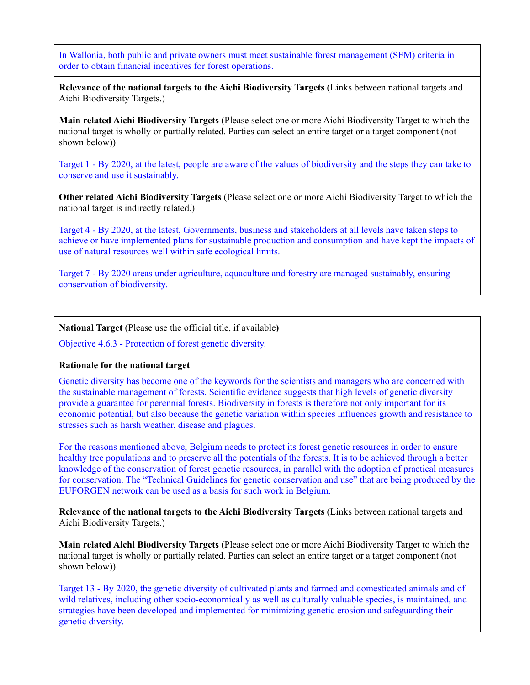In Wallonia, both public and private owners must meet sustainable forest management (SFM) criteria in order to obtain financial incentives for forest operations.

**Relevance of the national targets to the Aichi Biodiversity Targets** (Links between national targets and Aichi Biodiversity Targets.)

**Main related Aichi Biodiversity Targets** (Please select one or more Aichi Biodiversity Target to which the national target is wholly or partially related. Parties can select an entire target or a target component (not shown below))

Target 1 - By 2020, at the latest, people are aware of the values of biodiversity and the steps they can take to conserve and use it sustainably.

**Other related Aichi Biodiversity Targets** (Please select one or more Aichi Biodiversity Target to which the national target is indirectly related.)

Target 4 - By 2020, at the latest, Governments, business and stakeholders at all levels have taken steps to achieve or have implemented plans for sustainable production and consumption and have kept the impacts of use of natural resources well within safe ecological limits.

Target 7 - By 2020 areas under agriculture, aquaculture and forestry are managed sustainably, ensuring conservation of biodiversity.

**National Target** (Please use the official title, if available**)**

Objective 4.6.3 - Protection of forest genetic diversity.

### **Rationale for the national target**

Genetic diversity has become one of the keywords for the scientists and managers who are concerned with the sustainable management of forests. Scientific evidence suggests that high levels of genetic diversity provide a guarantee for perennial forests. Biodiversity in forests is therefore not only important for its economic potential, but also because the genetic variation within species influences growth and resistance to stresses such as harsh weather, disease and plagues.

For the reasons mentioned above, Belgium needs to protect its forest genetic resources in order to ensure healthy tree populations and to preserve all the potentials of the forests. It is to be achieved through a better knowledge of the conservation of forest genetic resources, in parallel with the adoption of practical measures for conservation. The "Technical Guidelines for genetic conservation and use" that are being produced by the EUFORGEN network can be used as a basis for such work in Belgium.

**Relevance of the national targets to the Aichi Biodiversity Targets** (Links between national targets and Aichi Biodiversity Targets.)

**Main related Aichi Biodiversity Targets** (Please select one or more Aichi Biodiversity Target to which the national target is wholly or partially related. Parties can select an entire target or a target component (not shown below))

Target 13 - By 2020, the genetic diversity of cultivated plants and farmed and domesticated animals and of wild relatives, including other socio-economically as well as culturally valuable species, is maintained, and strategies have been developed and implemented for minimizing genetic erosion and safeguarding their genetic diversity.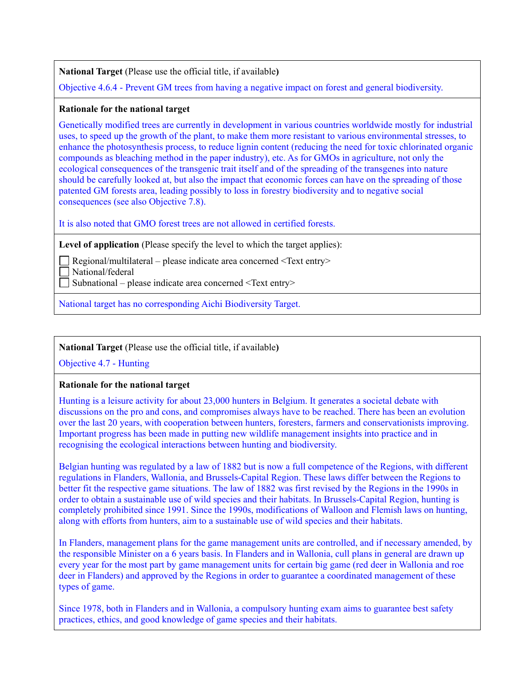**National Target** (Please use the official title, if available**)**

Objective 4.6.4 - Prevent GM trees from having a negative impact on forest and general biodiversity.

#### **Rationale for the national target**

Genetically modified trees are currently in development in various countries worldwide mostly for industrial uses, to speed up the growth of the plant, to make them more resistant to various environmental stresses, to enhance the photosynthesis process, to reduce lignin content (reducing the need for toxic chlorinated organic compounds as bleaching method in the paper industry), etc. As for GMOs in agriculture, not only the ecological consequences of the transgenic trait itself and of the spreading of the transgenes into nature should be carefully looked at, but also the impact that economic forces can have on the spreading of those patented GM forests area, leading possibly to loss in forestry biodiversity and to negative social consequences (see also Objective 7.8).

It is also noted that GMO forest trees are not allowed in certified forests.

**Level of application** (Please specify the level to which the target applies):

Regional/multilateral – please indicate area concerned <Text entry>

National/federal

 $\Box$  Subnational – please indicate area concerned <Text entry>

National target has no corresponding Aichi Biodiversity Target.

# **National Target** (Please use the official title, if available**)**

Objective 4.7 - Hunting

### **Rationale for the national target**

Hunting is a leisure activity for about 23,000 hunters in Belgium. It generates a societal debate with discussions on the pro and cons, and compromises always have to be reached. There has been an evolution over the last 20 years, with cooperation between hunters, foresters, farmers and conservationists improving. Important progress has been made in putting new wildlife management insights into practice and in recognising the ecological interactions between hunting and biodiversity.

Belgian hunting was regulated by a law of 1882 but is now a full competence of the Regions, with different regulations in Flanders, Wallonia, and Brussels-Capital Region. These laws differ between the Regions to better fit the respective game situations. The law of 1882 was first revised by the Regions in the 1990s in order to obtain a sustainable use of wild species and their habitats. In Brussels-Capital Region, hunting is completely prohibited since 1991. Since the 1990s, modifications of Walloon and Flemish laws on hunting, along with efforts from hunters, aim to a sustainable use of wild species and their habitats.

In Flanders, management plans for the game management units are controlled, and if necessary amended, by the responsible Minister on a 6 years basis. In Flanders and in Wallonia, cull plans in general are drawn up every year for the most part by game management units for certain big game (red deer in Wallonia and roe deer in Flanders) and approved by the Regions in order to guarantee a coordinated management of these types of game.

Since 1978, both in Flanders and in Wallonia, a compulsory hunting exam aims to guarantee best safety practices, ethics, and good knowledge of game species and their habitats.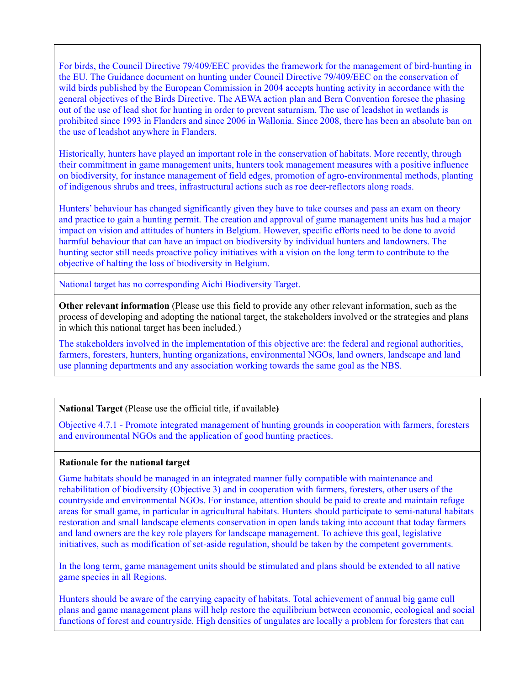For birds, the Council Directive 79/409/EEC provides the framework for the management of bird-hunting in the EU. The Guidance document on hunting under Council Directive 79/409/EEC on the conservation of wild birds published by the European Commission in 2004 accepts hunting activity in accordance with the general objectives of the Birds Directive. The AEWA action plan and Bern Convention foresee the phasing out of the use of lead shot for hunting in order to prevent saturnism. The use of leadshot in wetlands is prohibited since 1993 in Flanders and since 2006 in Wallonia. Since 2008, there has been an absolute ban on the use of leadshot anywhere in Flanders.

Historically, hunters have played an important role in the conservation of habitats. More recently, through their commitment in game management units, hunters took management measures with a positive influence on biodiversity, for instance management of field edges, promotion of agro-environmental methods, planting of indigenous shrubs and trees, infrastructural actions such as roe deer-reflectors along roads.

Hunters' behaviour has changed significantly given they have to take courses and pass an exam on theory and practice to gain a hunting permit. The creation and approval of game management units has had a major impact on vision and attitudes of hunters in Belgium. However, specific efforts need to be done to avoid harmful behaviour that can have an impact on biodiversity by individual hunters and landowners. The hunting sector still needs proactive policy initiatives with a vision on the long term to contribute to the objective of halting the loss of biodiversity in Belgium.

National target has no corresponding Aichi Biodiversity Target.

**Other relevant information** (Please use this field to provide any other relevant information, such as the process of developing and adopting the national target, the stakeholders involved or the strategies and plans in which this national target has been included.)

The stakeholders involved in the implementation of this objective are: the federal and regional authorities, farmers, foresters, hunters, hunting organizations, environmental NGOs, land owners, landscape and land use planning departments and any association working towards the same goal as the NBS.

### **National Target** (Please use the official title, if available**)**

Objective 4.7.1 - Promote integrated management of hunting grounds in cooperation with farmers, foresters and environmental NGOs and the application of good hunting practices.

### **Rationale for the national target**

Game habitats should be managed in an integrated manner fully compatible with maintenance and rehabilitation of biodiversity (Objective 3) and in cooperation with farmers, foresters, other users of the countryside and environmental NGOs. For instance, attention should be paid to create and maintain refuge areas for small game, in particular in agricultural habitats. Hunters should participate to semi-natural habitats restoration and small landscape elements conservation in open lands taking into account that today farmers and land owners are the key role players for landscape management. To achieve this goal, legislative initiatives, such as modification of set-aside regulation, should be taken by the competent governments.

In the long term, game management units should be stimulated and plans should be extended to all native game species in all Regions.

Hunters should be aware of the carrying capacity of habitats. Total achievement of annual big game cull plans and game management plans will help restore the equilibrium between economic, ecological and social functions of forest and countryside. High densities of ungulates are locally a problem for foresters that can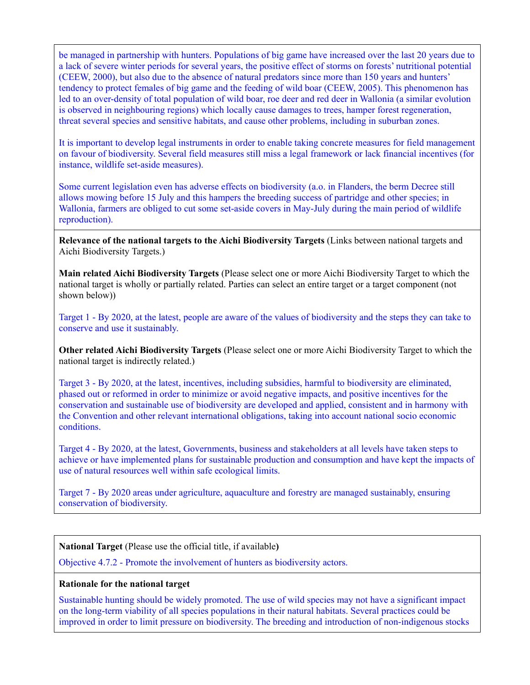be managed in partnership with hunters. Populations of big game have increased over the last 20 years due to a lack of severe winter periods for several years, the positive effect of storms on forests' nutritional potential (CEEW, 2000), but also due to the absence of natural predators since more than 150 years and hunters' tendency to protect females of big game and the feeding of wild boar (CEEW, 2005). This phenomenon has led to an over-density of total population of wild boar, roe deer and red deer in Wallonia (a similar evolution is observed in neighbouring regions) which locally cause damages to trees, hamper forest regeneration, threat several species and sensitive habitats, and cause other problems, including in suburban zones.

It is important to develop legal instruments in order to enable taking concrete measures for field management on favour of biodiversity. Several field measures still miss a legal framework or lack financial incentives (for instance, wildlife set-aside measures).

Some current legislation even has adverse effects on biodiversity (a.o. in Flanders, the berm Decree still allows mowing before 15 July and this hampers the breeding success of partridge and other species; in Wallonia, farmers are obliged to cut some set-aside covers in May-July during the main period of wildlife reproduction).

**Relevance of the national targets to the Aichi Biodiversity Targets** (Links between national targets and Aichi Biodiversity Targets.)

**Main related Aichi Biodiversity Targets** (Please select one or more Aichi Biodiversity Target to which the national target is wholly or partially related. Parties can select an entire target or a target component (not shown below))

Target 1 - By 2020, at the latest, people are aware of the values of biodiversity and the steps they can take to conserve and use it sustainably.

**Other related Aichi Biodiversity Targets** (Please select one or more Aichi Biodiversity Target to which the national target is indirectly related.)

Target 3 - By 2020, at the latest, incentives, including subsidies, harmful to biodiversity are eliminated, phased out or reformed in order to minimize or avoid negative impacts, and positive incentives for the conservation and sustainable use of biodiversity are developed and applied, consistent and in harmony with the Convention and other relevant international obligations, taking into account national socio economic conditions.

Target 4 - By 2020, at the latest, Governments, business and stakeholders at all levels have taken steps to achieve or have implemented plans for sustainable production and consumption and have kept the impacts of use of natural resources well within safe ecological limits.

Target 7 - By 2020 areas under agriculture, aquaculture and forestry are managed sustainably, ensuring conservation of biodiversity.

**National Target** (Please use the official title, if available**)**

Objective 4.7.2 - Promote the involvement of hunters as biodiversity actors.

### **Rationale for the national target**

Sustainable hunting should be widely promoted. The use of wild species may not have a significant impact on the long-term viability of all species populations in their natural habitats. Several practices could be improved in order to limit pressure on biodiversity. The breeding and introduction of non-indigenous stocks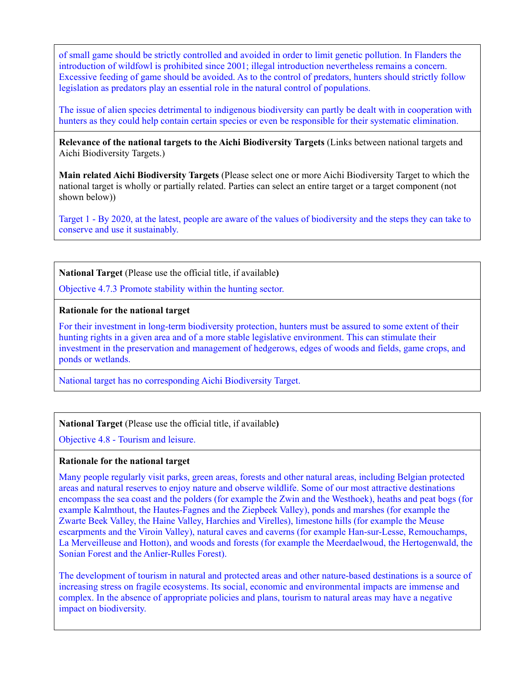of small game should be strictly controlled and avoided in order to limit genetic pollution. In Flanders the introduction of wildfowl is prohibited since 2001; illegal introduction nevertheless remains a concern. Excessive feeding of game should be avoided. As to the control of predators, hunters should strictly follow legislation as predators play an essential role in the natural control of populations.

The issue of alien species detrimental to indigenous biodiversity can partly be dealt with in cooperation with hunters as they could help contain certain species or even be responsible for their systematic elimination.

**Relevance of the national targets to the Aichi Biodiversity Targets** (Links between national targets and Aichi Biodiversity Targets.)

**Main related Aichi Biodiversity Targets** (Please select one or more Aichi Biodiversity Target to which the national target is wholly or partially related. Parties can select an entire target or a target component (not shown below))

Target 1 - By 2020, at the latest, people are aware of the values of biodiversity and the steps they can take to conserve and use it sustainably.

**National Target** (Please use the official title, if available**)**

Objective 4.7.3 Promote stability within the hunting sector.

#### **Rationale for the national target**

For their investment in long-term biodiversity protection, hunters must be assured to some extent of their hunting rights in a given area and of a more stable legislative environment. This can stimulate their investment in the preservation and management of hedgerows, edges of woods and fields, game crops, and ponds or wetlands.

National target has no corresponding Aichi Biodiversity Target.

**National Target** (Please use the official title, if available**)**

Objective 4.8 - Tourism and leisure.

### **Rationale for the national target**

Many people regularly visit parks, green areas, forests and other natural areas, including Belgian protected areas and natural reserves to enjoy nature and observe wildlife. Some of our most attractive destinations encompass the sea coast and the polders (for example the Zwin and the Westhoek), heaths and peat bogs (for example Kalmthout, the Hautes-Fagnes and the Ziepbeek Valley), ponds and marshes (for example the Zwarte Beek Valley, the Haine Valley, Harchies and Virelles), limestone hills (for example the Meuse escarpments and the Viroin Valley), natural caves and caverns (for example Han-sur-Lesse, Remouchamps, La Merveilleuse and Hotton), and woods and forests (for example the Meerdaelwoud, the Hertogenwald, the Sonian Forest and the Anlier-Rulles Forest).

The development of tourism in natural and protected areas and other nature-based destinations is a source of increasing stress on fragile ecosystems. Its social, economic and environmental impacts are immense and complex. In the absence of appropriate policies and plans, tourism to natural areas may have a negative impact on biodiversity.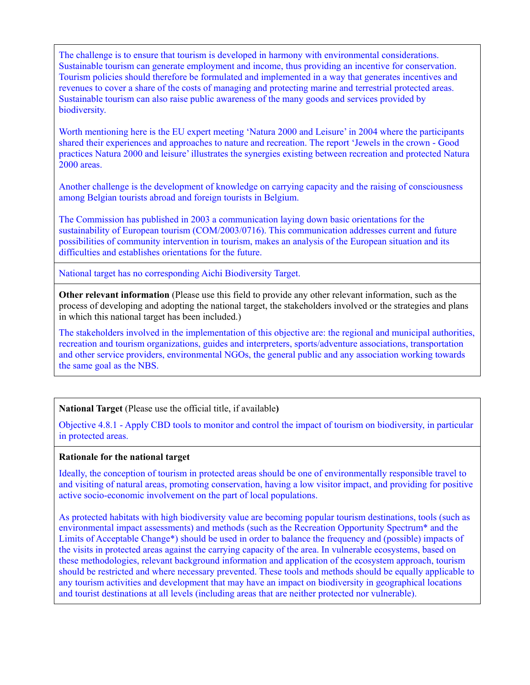The challenge is to ensure that tourism is developed in harmony with environmental considerations. Sustainable tourism can generate employment and income, thus providing an incentive for conservation. Tourism policies should therefore be formulated and implemented in a way that generates incentives and revenues to cover a share of the costs of managing and protecting marine and terrestrial protected areas. Sustainable tourism can also raise public awareness of the many goods and services provided by biodiversity.

Worth mentioning here is the EU expert meeting 'Natura 2000 and Leisure' in 2004 where the participants shared their experiences and approaches to nature and recreation. The report 'Jewels in the crown - Good practices Natura 2000 and leisure' illustrates the synergies existing between recreation and protected Natura 2000 areas.

Another challenge is the development of knowledge on carrying capacity and the raising of consciousness among Belgian tourists abroad and foreign tourists in Belgium.

The Commission has published in 2003 a communication laying down basic orientations for the sustainability of European tourism (COM/2003/0716). This communication addresses current and future possibilities of community intervention in tourism, makes an analysis of the European situation and its difficulties and establishes orientations for the future.

National target has no corresponding Aichi Biodiversity Target.

**Other relevant information** (Please use this field to provide any other relevant information, such as the process of developing and adopting the national target, the stakeholders involved or the strategies and plans in which this national target has been included.)

The stakeholders involved in the implementation of this objective are: the regional and municipal authorities, recreation and tourism organizations, guides and interpreters, sports/adventure associations, transportation and other service providers, environmental NGOs, the general public and any association working towards the same goal as the NBS.

### **National Target** (Please use the official title, if available**)**

Objective 4.8.1 - Apply CBD tools to monitor and control the impact of tourism on biodiversity, in particular in protected areas.

### **Rationale for the national target**

Ideally, the conception of tourism in protected areas should be one of environmentally responsible travel to and visiting of natural areas, promoting conservation, having a low visitor impact, and providing for positive active socio-economic involvement on the part of local populations.

As protected habitats with high biodiversity value are becoming popular tourism destinations, tools (such as environmental impact assessments) and methods (such as the Recreation Opportunity Spectrum\* and the Limits of Acceptable Change\*) should be used in order to balance the frequency and (possible) impacts of the visits in protected areas against the carrying capacity of the area. In vulnerable ecosystems, based on these methodologies, relevant background information and application of the ecosystem approach, tourism should be restricted and where necessary prevented. These tools and methods should be equally applicable to any tourism activities and development that may have an impact on biodiversity in geographical locations and tourist destinations at all levels (including areas that are neither protected nor vulnerable).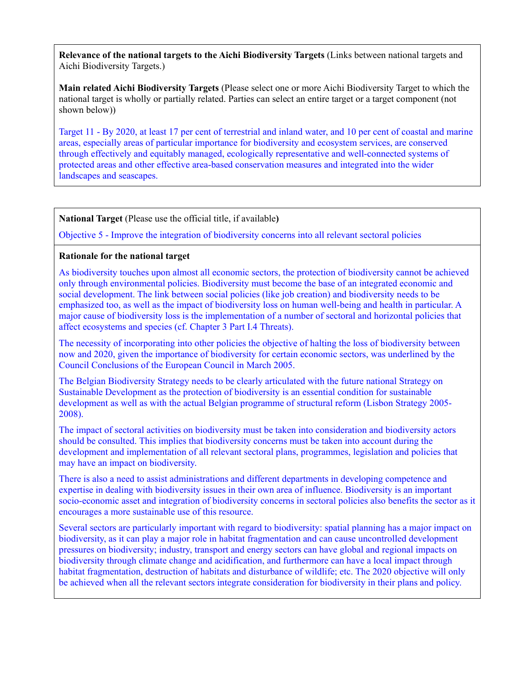**Main related Aichi Biodiversity Targets** (Please select one or more Aichi Biodiversity Target to which the national target is wholly or partially related. Parties can select an entire target or a target component (not shown below))

Target 11 - By 2020, at least 17 per cent of terrestrial and inland water, and 10 per cent of coastal and marine areas, especially areas of particular importance for biodiversity and ecosystem services, are conserved through effectively and equitably managed, ecologically representative and well-connected systems of protected areas and other effective area-based conservation measures and integrated into the wider landscapes and seascapes.

**National Target** (Please use the official title, if available**)**

Objective 5 - Improve the integration of biodiversity concerns into all relevant sectoral policies

## **Rationale for the national target**

As biodiversity touches upon almost all economic sectors, the protection of biodiversity cannot be achieved only through environmental policies. Biodiversity must become the base of an integrated economic and social development. The link between social policies (like job creation) and biodiversity needs to be emphasized too, as well as the impact of biodiversity loss on human well-being and health in particular. A major cause of biodiversity loss is the implementation of a number of sectoral and horizontal policies that affect ecosystems and species (cf. Chapter 3 Part I.4 Threats).

The necessity of incorporating into other policies the objective of halting the loss of biodiversity between now and 2020, given the importance of biodiversity for certain economic sectors, was underlined by the Council Conclusions of the European Council in March 2005.

The Belgian Biodiversity Strategy needs to be clearly articulated with the future national Strategy on Sustainable Development as the protection of biodiversity is an essential condition for sustainable development as well as with the actual Belgian programme of structural reform (Lisbon Strategy 2005- 2008).

The impact of sectoral activities on biodiversity must be taken into consideration and biodiversity actors should be consulted. This implies that biodiversity concerns must be taken into account during the development and implementation of all relevant sectoral plans, programmes, legislation and policies that may have an impact on biodiversity.

There is also a need to assist administrations and different departments in developing competence and expertise in dealing with biodiversity issues in their own area of influence. Biodiversity is an important socio-economic asset and integration of biodiversity concerns in sectoral policies also benefits the sector as it encourages a more sustainable use of this resource.

Several sectors are particularly important with regard to biodiversity: spatial planning has a major impact on biodiversity, as it can play a major role in habitat fragmentation and can cause uncontrolled development pressures on biodiversity; industry, transport and energy sectors can have global and regional impacts on biodiversity through climate change and acidification, and furthermore can have a local impact through habitat fragmentation, destruction of habitats and disturbance of wildlife; etc. The 2020 objective will only be achieved when all the relevant sectors integrate consideration for biodiversity in their plans and policy.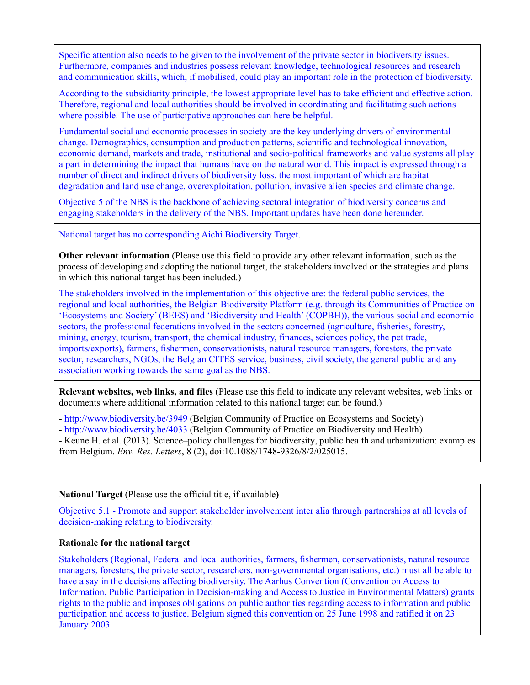Specific attention also needs to be given to the involvement of the private sector in biodiversity issues. Furthermore, companies and industries possess relevant knowledge, technological resources and research and communication skills, which, if mobilised, could play an important role in the protection of biodiversity.

According to the subsidiarity principle, the lowest appropriate level has to take efficient and effective action. Therefore, regional and local authorities should be involved in coordinating and facilitating such actions where possible. The use of participative approaches can here be helpful.

Fundamental social and economic processes in society are the key underlying drivers of environmental change. Demographics, consumption and production patterns, scientific and technological innovation, economic demand, markets and trade, institutional and socio-political frameworks and value systems all play a part in determining the impact that humans have on the natural world. This impact is expressed through a number of direct and indirect drivers of biodiversity loss, the most important of which are habitat degradation and land use change, overexploitation, pollution, invasive alien species and climate change.

Objective 5 of the NBS is the backbone of achieving sectoral integration of biodiversity concerns and engaging stakeholders in the delivery of the NBS. Important updates have been done hereunder.

National target has no corresponding Aichi Biodiversity Target.

**Other relevant information** (Please use this field to provide any other relevant information, such as the process of developing and adopting the national target, the stakeholders involved or the strategies and plans in which this national target has been included.)

The stakeholders involved in the implementation of this objective are: the federal public services, the regional and local authorities, the Belgian Biodiversity Platform (e.g. through its Communities of Practice on 'Ecosystems and Society' (BEES) and 'Biodiversity and Health' (COPBH)), the various social and economic sectors, the professional federations involved in the sectors concerned (agriculture, fisheries, forestry, mining, energy, tourism, transport, the chemical industry, finances, sciences policy, the pet trade, imports/exports), farmers, fishermen, conservationists, natural resource managers, foresters, the private sector, researchers, NGOs, the Belgian CITES service, business, civil society, the general public and any association working towards the same goal as the NBS.

**Relevant websites, web links, and files** (Please use this field to indicate any relevant websites, web links or documents where additional information related to this national target can be found.)

- <http://www.biodiversity.be/3949> (Belgian Community of Practice on Ecosystems and Society)
- <http://www.biodiversity.be/4033> (Belgian Community of Practice on Biodiversity and Health)
- Keune H. et al. (2013). Science–policy challenges for biodiversity, public health and urbanization: examples from Belgium. *Env. Res. Letters*, 8 (2), doi:10.1088/1748-9326/8/2/025015.

### **National Target** (Please use the official title, if available**)**

Objective 5.1 - Promote and support stakeholder involvement inter alia through partnerships at all levels of decision-making relating to biodiversity.

### **Rationale for the national target**

Stakeholders (Regional, Federal and local authorities, farmers, fishermen, conservationists, natural resource managers, foresters, the private sector, researchers, non-governmental organisations, etc.) must all be able to have a say in the decisions affecting biodiversity. The Aarhus Convention (Convention on Access to Information, Public Participation in Decision-making and Access to Justice in Environmental Matters) grants rights to the public and imposes obligations on public authorities regarding access to information and public participation and access to justice. Belgium signed this convention on 25 June 1998 and ratified it on 23 January 2003.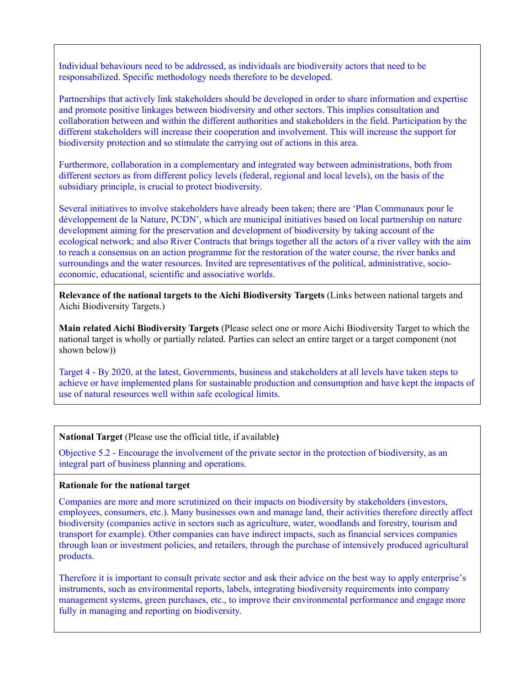Individual behaviours need to be addressed, as individuals are biodiversity actors that need to be responsabilized. Specific methodology needs therefore to be developed.

Partnerships that actively link stakeholders should be developed in order to share information and expertise and promote positive linkages between biodiversity and other sectors. This implies consultation and collaboration between and within the different authorities and stakeholders in the field. Participation by the different stakeholders will increase their cooperation and involvement. This will increase the support for biodiversity protection and so stimulate the carrying out of actions in this area.

Furthermore, collaboration in a complementary and integrated way between administrations, both from different sectors as from different policy levels (federal, regional and local levels), on the basis of the subsidiary principle, is crucial to protect biodiversity.

Several initiatives to involve stakeholders have already been taken; there are 'Plan Communaux pour le développement de la Nature, PCDN', which are municipal initiatives based on local partnership on nature development aiming for the preservation and development of biodiversity by taking account of the ecological network; and also River Contracts that brings together all the actors of a river valley with the aim to reach a consensus on an action programme for the restoration of the water course, the river banks and surroundings and the water resources. Invited are representatives of the political, administrative, socioeconomic, educational, scientific and associative worlds.

**Relevance of the national targets to the Aichi Biodiversity Targets** (Links between national targets and Aichi Biodiversity Targets.)

**Main related Aichi Biodiversity Targets** (Please select one or more Aichi Biodiversity Target to which the national target is wholly or partially related. Parties can select an entire target or a target component (not shown below))

Target 4 - By 2020, at the latest, Governments, business and stakeholders at all levels have taken steps to achieve or have implemented plans for sustainable production and consumption and have kept the impacts of use of natural resources well within safe ecological limits.

**National Target** (Please use the official title, if available**)**

Objective 5.2 - Encourage the involvement of the private sector in the protection of biodiversity, as an integral part of business planning and operations.

### **Rationale for the national target**

Companies are more and more scrutinized on their impacts on biodiversity by stakeholders (investors, employees, consumers, etc.). Many businesses own and manage land, their activities therefore directly affect biodiversity (companies active in sectors such as agriculture, water, woodlands and forestry, tourism and transport for example). Other companies can have indirect impacts, such as financial services companies through loan or investment policies, and retailers, through the purchase of intensively produced agricultural products.

Therefore it is important to consult private sector and ask their advice on the best way to apply enterprise's instruments, such as environmental reports, labels, integrating biodiversity requirements into company management systems, green purchases, etc., to improve their environmental performance and engage more fully in managing and reporting on biodiversity.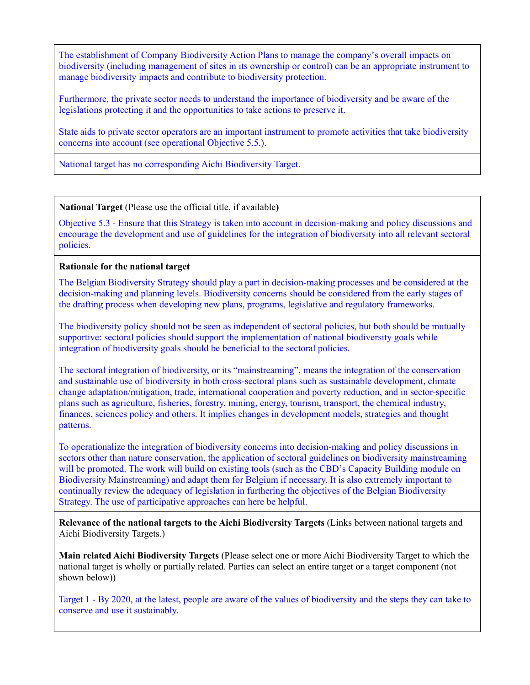The establishment of Company Biodiversity Action Plans to manage the company's overall impacts on biodiversity (including management of sites in its ownership or control) can be an appropriate instrument to manage biodiversity impacts and contribute to biodiversity protection.

Furthermore, the private sector needs to understand the importance of biodiversity and be aware of the legislations protecting it and the opportunities to take actions to preserve it.

State aids to private sector operators are an important instrument to promote activities that take biodiversity concerns into account (see operational Objective 5.5.).

National target has no corresponding Aichi Biodiversity Target.

**National Target** (Please use the official title, if available**)**

Objective 5.3 - Ensure that this Strategy is taken into account in decision-making and policy discussions and encourage the development and use of guidelines for the integration of biodiversity into all relevant sectoral policies.

## **Rationale for the national target**

The Belgian Biodiversity Strategy should play a part in decision-making processes and be considered at the decision-making and planning levels. Biodiversity concerns should be considered from the early stages of the drafting process when developing new plans, programs, legislative and regulatory frameworks.

The biodiversity policy should not be seen as independent of sectoral policies, but both should be mutually supportive: sectoral policies should support the implementation of national biodiversity goals while integration of biodiversity goals should be beneficial to the sectoral policies.

The sectoral integration of biodiversity, or its "mainstreaming", means the integration of the conservation and sustainable use of biodiversity in both cross-sectoral plans such as sustainable development, climate change adaptation/mitigation, trade, international cooperation and poverty reduction, and in sector-specific plans such as agriculture, fisheries, forestry, mining, energy, tourism, transport, the chemical industry, finances, sciences policy and others. It implies changes in development models, strategies and thought patterns.

To operationalize the integration of biodiversity concerns into decision-making and policy discussions in sectors other than nature conservation, the application of sectoral guidelines on biodiversity mainstreaming will be promoted. The work will build on existing tools (such as the CBD's Capacity Building module on Biodiversity Mainstreaming) and adapt them for Belgium if necessary. It is also extremely important to continually review the adequacy of legislation in furthering the objectives of the Belgian Biodiversity Strategy. The use of participative approaches can here be helpful.

**Relevance of the national targets to the Aichi Biodiversity Targets** (Links between national targets and Aichi Biodiversity Targets.)

**Main related Aichi Biodiversity Targets** (Please select one or more Aichi Biodiversity Target to which the national target is wholly or partially related. Parties can select an entire target or a target component (not shown below))

Target 1 - By 2020, at the latest, people are aware of the values of biodiversity and the steps they can take to conserve and use it sustainably.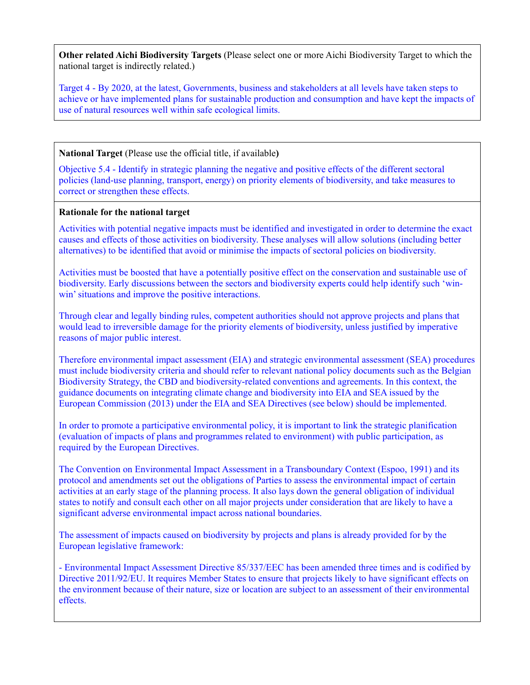**Other related Aichi Biodiversity Targets** (Please select one or more Aichi Biodiversity Target to which the national target is indirectly related.)

Target 4 - By 2020, at the latest, Governments, business and stakeholders at all levels have taken steps to achieve or have implemented plans for sustainable production and consumption and have kept the impacts of use of natural resources well within safe ecological limits.

### **National Target** (Please use the official title, if available**)**

Objective 5.4 - Identify in strategic planning the negative and positive effects of the different sectoral policies (land-use planning, transport, energy) on priority elements of biodiversity, and take measures to correct or strengthen these effects.

## **Rationale for the national target**

Activities with potential negative impacts must be identified and investigated in order to determine the exact causes and effects of those activities on biodiversity. These analyses will allow solutions (including better alternatives) to be identified that avoid or minimise the impacts of sectoral policies on biodiversity.

Activities must be boosted that have a potentially positive effect on the conservation and sustainable use of biodiversity. Early discussions between the sectors and biodiversity experts could help identify such 'winwin' situations and improve the positive interactions.

Through clear and legally binding rules, competent authorities should not approve projects and plans that would lead to irreversible damage for the priority elements of biodiversity, unless justified by imperative reasons of major public interest.

Therefore environmental impact assessment (EIA) and strategic environmental assessment (SEA) procedures must include biodiversity criteria and should refer to relevant national policy documents such as the Belgian Biodiversity Strategy, the CBD and biodiversity-related conventions and agreements. In this context, the guidance documents on integrating climate change and biodiversity into EIA and SEA issued by the European Commission (2013) under the EIA and SEA Directives (see below) should be implemented.

In order to promote a participative environmental policy, it is important to link the strategic planification (evaluation of impacts of plans and programmes related to environment) with public participation, as required by the European Directives.

The Convention on Environmental Impact Assessment in a Transboundary Context (Espoo, 1991) and its protocol and amendments set out the obligations of Parties to assess the environmental impact of certain activities at an early stage of the planning process. It also lays down the general obligation of individual states to notify and consult each other on all major projects under consideration that are likely to have a significant adverse environmental impact across national boundaries.

The assessment of impacts caused on biodiversity by projects and plans is already provided for by the European legislative framework:

- Environmental Impact Assessment Directive 85/337/EEC has been amended three times and is codified by Directive 2011/92/EU. It requires Member States to ensure that projects likely to have significant effects on the environment because of their nature, size or location are subject to an assessment of their environmental effects.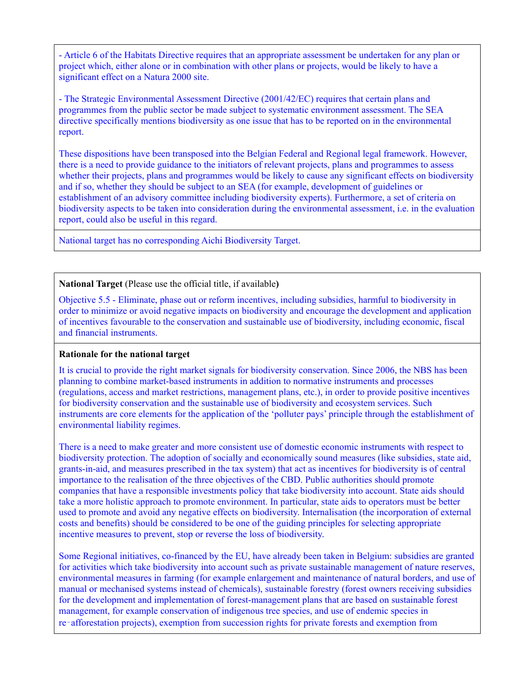- Article 6 of the Habitats Directive requires that an appropriate assessment be undertaken for any plan or project which, either alone or in combination with other plans or projects, would be likely to have a significant effect on a Natura 2000 site.

- The Strategic Environmental Assessment Directive (2001/42/EC) requires that certain plans and programmes from the public sector be made subject to systematic environment assessment. The SEA directive specifically mentions biodiversity as one issue that has to be reported on in the environmental report.

These dispositions have been transposed into the Belgian Federal and Regional legal framework. However, there is a need to provide guidance to the initiators of relevant projects, plans and programmes to assess whether their projects, plans and programmes would be likely to cause any significant effects on biodiversity and if so, whether they should be subject to an SEA (for example, development of guidelines or establishment of an advisory committee including biodiversity experts). Furthermore, a set of criteria on biodiversity aspects to be taken into consideration during the environmental assessment, i.e. in the evaluation report, could also be useful in this regard.

National target has no corresponding Aichi Biodiversity Target.

**National Target** (Please use the official title, if available**)**

Objective 5.5 - Eliminate, phase out or reform incentives, including subsidies, harmful to biodiversity in order to minimize or avoid negative impacts on biodiversity and encourage the development and application of incentives favourable to the conservation and sustainable use of biodiversity, including economic, fiscal and financial instruments.

# **Rationale for the national target**

It is crucial to provide the right market signals for biodiversity conservation. Since 2006, the NBS has been planning to combine market-based instruments in addition to normative instruments and processes (regulations, access and market restrictions, management plans, etc.), in order to provide positive incentives for biodiversity conservation and the sustainable use of biodiversity and ecosystem services. Such instruments are core elements for the application of the 'polluter pays' principle through the establishment of environmental liability regimes.

There is a need to make greater and more consistent use of domestic economic instruments with respect to biodiversity protection. The adoption of socially and economically sound measures (like subsidies, state aid, grants-in-aid, and measures prescribed in the tax system) that act as incentives for biodiversity is of central importance to the realisation of the three objectives of the CBD. Public authorities should promote companies that have a responsible investments policy that take biodiversity into account. State aids should take a more holistic approach to promote environment. In particular, state aids to operators must be better used to promote and avoid any negative effects on biodiversity. Internalisation (the incorporation of external costs and benefits) should be considered to be one of the guiding principles for selecting appropriate incentive measures to prevent, stop or reverse the loss of biodiversity.

Some Regional initiatives, co-financed by the EU, have already been taken in Belgium: subsidies are granted for activities which take biodiversity into account such as private sustainable management of nature reserves, environmental measures in farming (for example enlargement and maintenance of natural borders, and use of manual or mechanised systems instead of chemicals), sustainable forestry (forest owners receiving subsidies for the development and implementation of forest-management plans that are based on sustainable forest management, for example conservation of indigenous tree species, and use of endemic species in re‑afforestation projects), exemption from succession rights for private forests and exemption from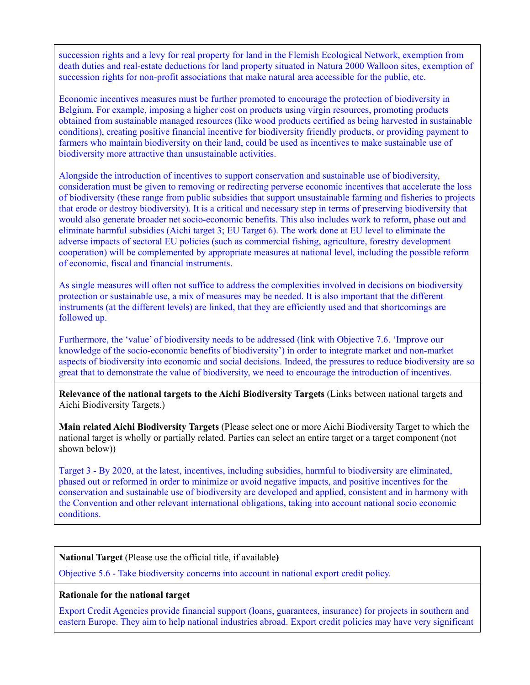succession rights and a levy for real property for land in the Flemish Ecological Network, exemption from death duties and real-estate deductions for land property situated in Natura 2000 Walloon sites, exemption of succession rights for non-profit associations that make natural area accessible for the public, etc.

Economic incentives measures must be further promoted to encourage the protection of biodiversity in Belgium. For example, imposing a higher cost on products using virgin resources, promoting products obtained from sustainable managed resources (like wood products certified as being harvested in sustainable conditions), creating positive financial incentive for biodiversity friendly products, or providing payment to farmers who maintain biodiversity on their land, could be used as incentives to make sustainable use of biodiversity more attractive than unsustainable activities.

Alongside the introduction of incentives to support conservation and sustainable use of biodiversity, consideration must be given to removing or redirecting perverse economic incentives that accelerate the loss of biodiversity (these range from public subsidies that support unsustainable farming and fisheries to projects that erode or destroy biodiversity). It is a critical and necessary step in terms of preserving biodiversity that would also generate broader net socio-economic benefits. This also includes work to reform, phase out and eliminate harmful subsidies (Aichi target 3; EU Target 6). The work done at EU level to eliminate the adverse impacts of sectoral EU policies (such as commercial fishing, agriculture, forestry development cooperation) will be complemented by appropriate measures at national level, including the possible reform of economic, fiscal and financial instruments.

As single measures will often not suffice to address the complexities involved in decisions on biodiversity protection or sustainable use, a mix of measures may be needed. It is also important that the different instruments (at the different levels) are linked, that they are efficiently used and that shortcomings are followed up.

Furthermore, the 'value' of biodiversity needs to be addressed (link with Objective 7.6. 'Improve our knowledge of the socio-economic benefits of biodiversity') in order to integrate market and non-market aspects of biodiversity into economic and social decisions. Indeed, the pressures to reduce biodiversity are so great that to demonstrate the value of biodiversity, we need to encourage the introduction of incentives.

**Relevance of the national targets to the Aichi Biodiversity Targets** (Links between national targets and Aichi Biodiversity Targets.)

**Main related Aichi Biodiversity Targets** (Please select one or more Aichi Biodiversity Target to which the national target is wholly or partially related. Parties can select an entire target or a target component (not shown below))

Target 3 - By 2020, at the latest, incentives, including subsidies, harmful to biodiversity are eliminated, phased out or reformed in order to minimize or avoid negative impacts, and positive incentives for the conservation and sustainable use of biodiversity are developed and applied, consistent and in harmony with the Convention and other relevant international obligations, taking into account national socio economic conditions.

**National Target** (Please use the official title, if available**)**

Objective 5.6 - Take biodiversity concerns into account in national export credit policy.

### **Rationale for the national target**

Export Credit Agencies provide financial support (loans, guarantees, insurance) for projects in southern and eastern Europe. They aim to help national industries abroad. Export credit policies may have very significant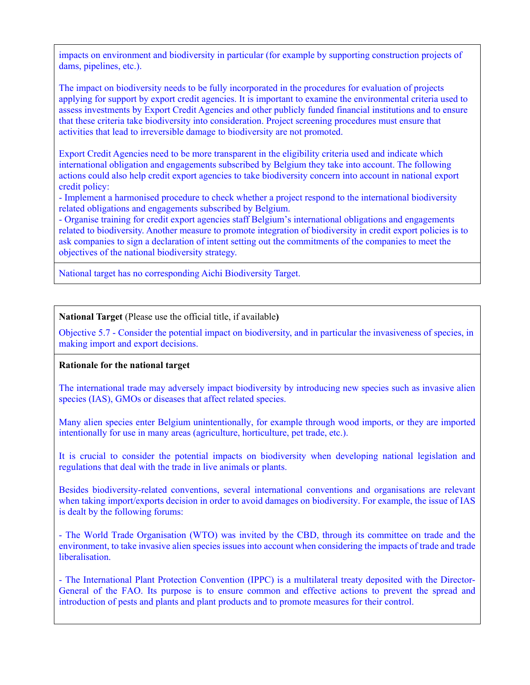impacts on environment and biodiversity in particular (for example by supporting construction projects of dams, pipelines, etc.).

The impact on biodiversity needs to be fully incorporated in the procedures for evaluation of projects applying for support by export credit agencies. It is important to examine the environmental criteria used to assess investments by Export Credit Agencies and other publicly funded financial institutions and to ensure that these criteria take biodiversity into consideration. Project screening procedures must ensure that activities that lead to irreversible damage to biodiversity are not promoted.

Export Credit Agencies need to be more transparent in the eligibility criteria used and indicate which international obligation and engagements subscribed by Belgium they take into account. The following actions could also help credit export agencies to take biodiversity concern into account in national export credit policy:

- Implement a harmonised procedure to check whether a project respond to the international biodiversity related obligations and engagements subscribed by Belgium.

- Organise training for credit export agencies staff Belgium's international obligations and engagements related to biodiversity. Another measure to promote integration of biodiversity in credit export policies is to ask companies to sign a declaration of intent setting out the commitments of the companies to meet the objectives of the national biodiversity strategy.

National target has no corresponding Aichi Biodiversity Target.

**National Target** (Please use the official title, if available**)**

Objective 5.7 - Consider the potential impact on biodiversity, and in particular the invasiveness of species, in making import and export decisions.

### **Rationale for the national target**

The international trade may adversely impact biodiversity by introducing new species such as invasive alien species (IAS), GMOs or diseases that affect related species.

Many alien species enter Belgium unintentionally, for example through wood imports, or they are imported intentionally for use in many areas (agriculture, horticulture, pet trade, etc.).

It is crucial to consider the potential impacts on biodiversity when developing national legislation and regulations that deal with the trade in live animals or plants.

Besides biodiversity-related conventions, several international conventions and organisations are relevant when taking import/exports decision in order to avoid damages on biodiversity. For example, the issue of IAS is dealt by the following forums:

- The World Trade Organisation (WTO) was invited by the CBD, through its committee on trade and the environment, to take invasive alien species issues into account when considering the impacts of trade and trade liberalisation.

- The International Plant Protection Convention (IPPC) is a multilateral treaty deposited with the Director-General of the FAO. Its purpose is to ensure common and effective actions to prevent the spread and introduction of pests and plants and plant products and to promote measures for their control.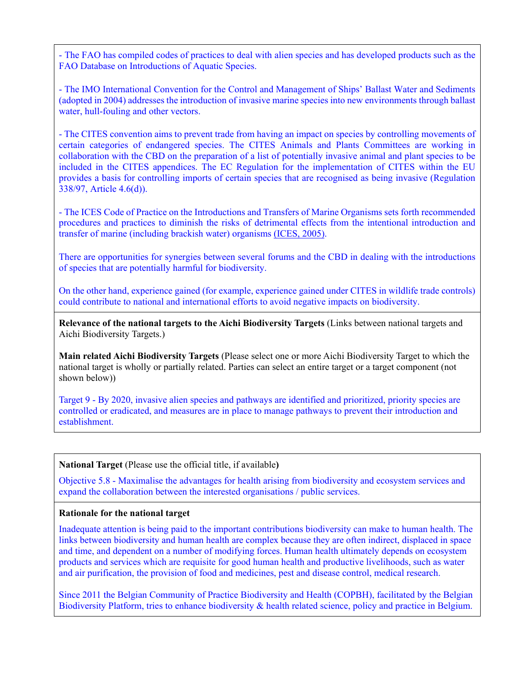- The FAO has compiled codes of practices to deal with alien species and has developed products such as the FAO Database on Introductions of Aquatic Species.

- The IMO International Convention for the Control and Management of Ships' Ballast Water and Sediments (adopted in 2004) addresses the introduction of invasive marine species into new environments through ballast water, hull-fouling and other vectors.

- The CITES convention aims to prevent trade from having an impact on species by controlling movements of certain categories of endangered species. The CITES Animals and Plants Committees are working in collaboration with the CBD on the preparation of a list of potentially invasive animal and plant species to be included in the CITES appendices. The EC Regulation for the implementation of CITES within the EU provides a basis for controlling imports of certain species that are recognised as being invasive (Regulation 338/97, Article 4.6(d)).

- The ICES Code of Practice on the Introductions and Transfers of Marine Organisms sets forth recommended procedures and practices to diminish the risks of detrimental effects from the intentional introduction and transfer of marine (including brackish water) organisms [\(ICES, 2005\).](http://www.biodiv.be/implementation/docs/stratactplan/biodiversity-strategy-2020/references)

There are opportunities for synergies between several forums and the CBD in dealing with the introductions of species that are potentially harmful for biodiversity.

On the other hand, experience gained (for example, experience gained under CITES in wildlife trade controls) could contribute to national and international efforts to avoid negative impacts on biodiversity.

**Relevance of the national targets to the Aichi Biodiversity Targets** (Links between national targets and Aichi Biodiversity Targets.)

**Main related Aichi Biodiversity Targets** (Please select one or more Aichi Biodiversity Target to which the national target is wholly or partially related. Parties can select an entire target or a target component (not shown below))

Target 9 - By 2020, invasive alien species and pathways are identified and prioritized, priority species are controlled or eradicated, and measures are in place to manage pathways to prevent their introduction and establishment.

#### **National Target** (Please use the official title, if available**)**

Objective 5.8 - Maximalise the advantages for health arising from biodiversity and ecosystem services and expand the collaboration between the interested organisations / public services.

#### **Rationale for the national target**

Inadequate attention is being paid to the important contributions biodiversity can make to human health. The links between biodiversity and human health are complex because they are often indirect, displaced in space and time, and dependent on a number of modifying forces. Human health ultimately depends on ecosystem products and services which are requisite for good human health and productive livelihoods, such as water and air purification, the provision of food and medicines, pest and disease control, medical research.

Since 2011 the Belgian Community of Practice Biodiversity and Health (COPBH), facilitated by the Belgian Biodiversity Platform, tries to enhance biodiversity & health related science, policy and practice in Belgium.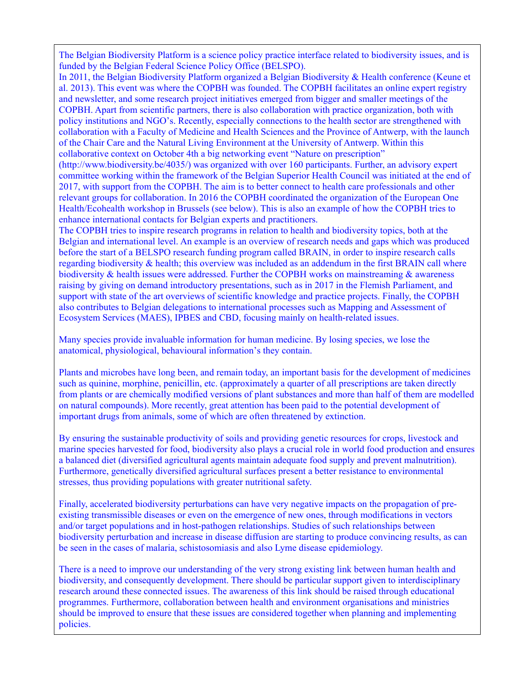The Belgian Biodiversity Platform is a science policy practice interface related to biodiversity issues, and is funded by the Belgian Federal Science Policy Office (BELSPO).

In 2011, the Belgian Biodiversity Platform organized a Belgian Biodiversity & Health conference (Keune et al. 2013). This event was where the COPBH was founded. The COPBH facilitates an online expert registry and newsletter, and some research project initiatives emerged from bigger and smaller meetings of the COPBH. Apart from scientific partners, there is also collaboration with practice organization, both with policy institutions and NGO's. Recently, especially connections to the health sector are strengthened with collaboration with a Faculty of Medicine and Health Sciences and the Province of Antwerp, with the launch of the Chair Care and the Natural Living Environment at the University of Antwerp. Within this collaborative context on October 4th a big networking event "Nature on prescription"

(http://www.biodiversity.be/4035/) was organized with over 160 participants. Further, an advisory expert committee working within the framework of the Belgian Superior Health Council was initiated at the end of 2017, with support from the COPBH. The aim is to better connect to health care professionals and other relevant groups for collaboration. In 2016 the COPBH coordinated the organization of the European One Health/Ecohealth workshop in Brussels (see below). This is also an example of how the COPBH tries to enhance international contacts for Belgian experts and practitioners.

The COPBH tries to inspire research programs in relation to health and biodiversity topics, both at the Belgian and international level. An example is an overview of research needs and gaps which was produced before the start of a BELSPO research funding program called BRAIN, in order to inspire research calls regarding biodiversity & health; this overview was included as an addendum in the first BRAIN call where biodiversity & health issues were addressed. Further the COPBH works on mainstreaming & awareness raising by giving on demand introductory presentations, such as in 2017 in the Flemish Parliament, and support with state of the art overviews of scientific knowledge and practice projects. Finally, the COPBH also contributes to Belgian delegations to international processes such as Mapping and Assessment of Ecosystem Services (MAES), IPBES and CBD, focusing mainly on health-related issues.

Many species provide invaluable information for human medicine. By losing species, we lose the anatomical, physiological, behavioural information's they contain.

Plants and microbes have long been, and remain today, an important basis for the development of medicines such as quinine, morphine, penicillin, etc. (approximately a quarter of all prescriptions are taken directly from plants or are chemically modified versions of plant substances and more than half of them are modelled on natural compounds). More recently, great attention has been paid to the potential development of important drugs from animals, some of which are often threatened by extinction.

By ensuring the sustainable productivity of soils and providing genetic resources for crops, livestock and marine species harvested for food, biodiversity also plays a crucial role in world food production and ensures a balanced diet (diversified agricultural agents maintain adequate food supply and prevent malnutrition). Furthermore, genetically diversified agricultural surfaces present a better resistance to environmental stresses, thus providing populations with greater nutritional safety.

Finally, accelerated biodiversity perturbations can have very negative impacts on the propagation of preexisting transmissible diseases or even on the emergence of new ones, through modifications in vectors and/or target populations and in host-pathogen relationships. Studies of such relationships between biodiversity perturbation and increase in disease diffusion are starting to produce convincing results, as can be seen in the cases of malaria, schistosomiasis and also Lyme disease epidemiology.

There is a need to improve our understanding of the very strong existing link between human health and biodiversity, and consequently development. There should be particular support given to interdisciplinary research around these connected issues. The awareness of this link should be raised through educational programmes. Furthermore, collaboration between health and environment organisations and ministries should be improved to ensure that these issues are considered together when planning and implementing policies.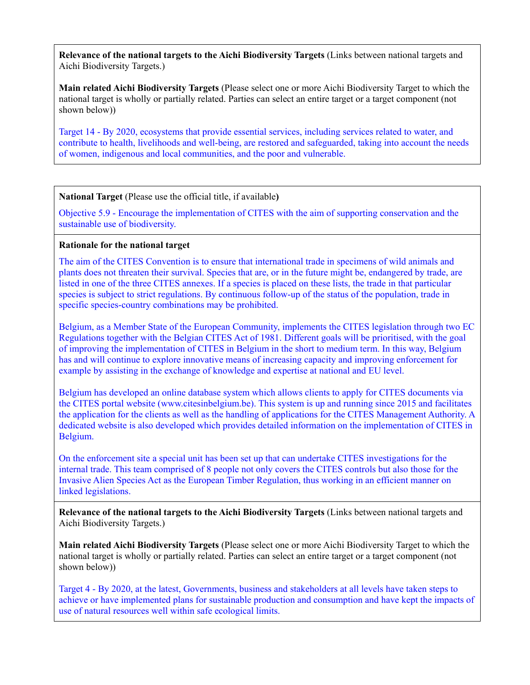**Main related Aichi Biodiversity Targets** (Please select one or more Aichi Biodiversity Target to which the national target is wholly or partially related. Parties can select an entire target or a target component (not shown below))

Target 14 - By 2020, ecosystems that provide essential services, including services related to water, and contribute to health, livelihoods and well-being, are restored and safeguarded, taking into account the needs of women, indigenous and local communities, and the poor and vulnerable.

# **National Target** (Please use the official title, if available**)**

Objective 5.9 - Encourage the implementation of CITES with the aim of supporting conservation and the sustainable use of biodiversity.

### **Rationale for the national target**

The aim of the CITES Convention is to ensure that international trade in specimens of wild animals and plants does not threaten their survival. Species that are, or in the future might be, endangered by trade, are listed in one of the three CITES annexes. If a species is placed on these lists, the trade in that particular species is subject to strict regulations. By continuous follow-up of the status of the population, trade in specific species-country combinations may be prohibited.

Belgium, as a Member State of the European Community, implements the CITES legislation through two EC Regulations together with the Belgian CITES Act of 1981. Different goals will be prioritised, with the goal of improving the implementation of CITES in Belgium in the short to medium term. In this way, Belgium has and will continue to explore innovative means of increasing capacity and improving enforcement for example by assisting in the exchange of knowledge and expertise at national and EU level.

Belgium has developed an online database system which allows clients to apply for CITES documents via the CITES portal website (www.citesinbelgium.be). This system is up and running since 2015 and facilitates the application for the clients as well as the handling of applications for the CITES Management Authority. A dedicated website is also developed which provides detailed information on the implementation of CITES in Belgium.

On the enforcement site a special unit has been set up that can undertake CITES investigations for the internal trade. This team comprised of 8 people not only covers the CITES controls but also those for the Invasive Alien Species Act as the European Timber Regulation, thus working in an efficient manner on linked legislations.

**Relevance of the national targets to the Aichi Biodiversity Targets** (Links between national targets and Aichi Biodiversity Targets.)

**Main related Aichi Biodiversity Targets** (Please select one or more Aichi Biodiversity Target to which the national target is wholly or partially related. Parties can select an entire target or a target component (not shown below))

Target 4 - By 2020, at the latest, Governments, business and stakeholders at all levels have taken steps to achieve or have implemented plans for sustainable production and consumption and have kept the impacts of use of natural resources well within safe ecological limits.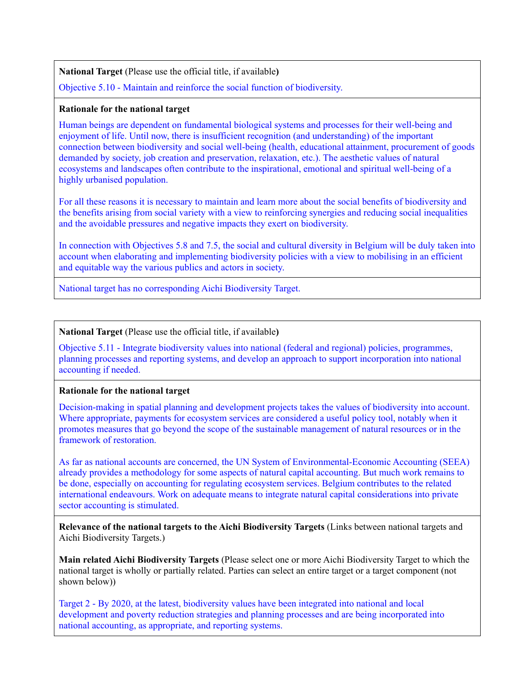**National Target** (Please use the official title, if available**)**

Objective 5.10 - Maintain and reinforce the social function of biodiversity.

### **Rationale for the national target**

Human beings are dependent on fundamental biological systems and processes for their well-being and enjoyment of life. Until now, there is insufficient recognition (and understanding) of the important connection between biodiversity and social well-being (health, educational attainment, procurement of goods demanded by society, job creation and preservation, relaxation, etc.). The aesthetic values of natural ecosystems and landscapes often contribute to the inspirational, emotional and spiritual well-being of a highly urbanised population.

For all these reasons it is necessary to maintain and learn more about the social benefits of biodiversity and the benefits arising from social variety with a view to reinforcing synergies and reducing social inequalities and the avoidable pressures and negative impacts they exert on biodiversity.

In connection with Objectives 5.8 and 7.5, the social and cultural diversity in Belgium will be duly taken into account when elaborating and implementing biodiversity policies with a view to mobilising in an efficient and equitable way the various publics and actors in society.

National target has no corresponding Aichi Biodiversity Target.

## **National Target** (Please use the official title, if available**)**

Objective 5.11 - Integrate biodiversity values into national (federal and regional) policies, programmes, planning processes and reporting systems, and develop an approach to support incorporation into national accounting if needed.

# **Rationale for the national target**

Decision-making in spatial planning and development projects takes the values of biodiversity into account. Where appropriate, payments for ecosystem services are considered a useful policy tool, notably when it promotes measures that go beyond the scope of the sustainable management of natural resources or in the framework of restoration.

As far as national accounts are concerned, the UN System of Environmental-Economic Accounting (SEEA) already provides a methodology for some aspects of natural capital accounting. But much work remains to be done, especially on accounting for regulating ecosystem services. Belgium contributes to the related international endeavours. Work on adequate means to integrate natural capital considerations into private sector accounting is stimulated.

**Relevance of the national targets to the Aichi Biodiversity Targets** (Links between national targets and Aichi Biodiversity Targets.)

**Main related Aichi Biodiversity Targets** (Please select one or more Aichi Biodiversity Target to which the national target is wholly or partially related. Parties can select an entire target or a target component (not shown below))

Target 2 - By 2020, at the latest, biodiversity values have been integrated into national and local development and poverty reduction strategies and planning processes and are being incorporated into national accounting, as appropriate, and reporting systems.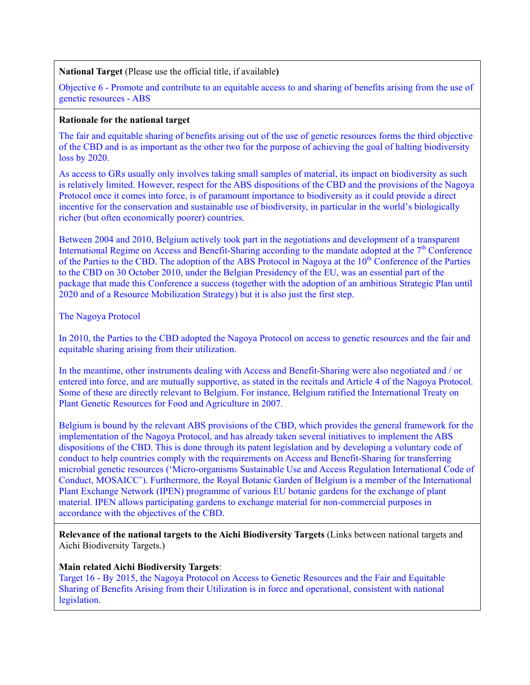**National Target** (Please use the official title, if available**)**

Objective 6 - Promote and contribute to an equitable access to and sharing of benefits arising from the use of genetic resources - ABS

### **Rationale for the national target**

The fair and equitable sharing of benefits arising out of the use of genetic resources forms the third objective of the CBD and is as important as the other two for the purpose of achieving the goal of halting biodiversity loss by 2020.

As access to GRs usually only involves taking small samples of material, its impact on biodiversity as such is relatively limited. However, respect for the ABS dispositions of the CBD and the provisions of the Nagoya Protocol once it comes into force, is of paramount importance to biodiversity as it could provide a direct incentive for the conservation and sustainable use of biodiversity, in particular in the world's biologically richer (but often economically poorer) countries.

Between 2004 and 2010, Belgium actively took part in the negotiations and development of a transparent International Regime on Access and Benefit-Sharing according to the mandate adopted at the 7<sup>th</sup> Conference of the Parties to the CBD. The adoption of the ABS Protocol in Nagoya at the 10<sup>th</sup> Conference of the Parties to the CBD on 30 October 2010, under the Belgian Presidency of the EU, was an essential part of the package that made this Conference a success (together with the adoption of an ambitious Strategic Plan until 2020 and of a Resource Mobilization Strategy) but it is also just the first step.

### The Nagoya Protocol

In 2010, the Parties to the CBD adopted the Nagoya Protocol on access to genetic resources and the fair and equitable sharing arising from their utilization.

In the meantime, other instruments dealing with Access and Benefit-Sharing were also negotiated and / or entered into force, and are mutually supportive, as stated in the recitals and Article 4 of the Nagoya Protocol. Some of these are directly relevant to Belgium. For instance, Belgium ratified the International Treaty on Plant Genetic Resources for Food and Agriculture in 2007.

Belgium is bound by the relevant ABS provisions of the CBD, which provides the general framework for the implementation of the Nagoya Protocol, and has already taken several initiatives to implement the ABS dispositions of the CBD. This is done through its patent legislation and by developing a voluntary code of conduct to help countries comply with the requirements on Access and Benefit-Sharing for transferring microbial genetic resources ('Micro-organisms Sustainable Use and Access Regulation International Code of Conduct, MOSAICC'). Furthermore, the Royal Botanic Garden of Belgium is a member of the International Plant Exchange Network (IPEN) programme of various EU botanic gardens for the exchange of plant material. IPEN allows participating gardens to exchange material for non-commercial purposes in accordance with the objectives of the CBD.

**Relevance of the national targets to the Aichi Biodiversity Targets** (Links between national targets and Aichi Biodiversity Targets.)

### **Main related Aichi Biodiversity Targets**:

Target 16 - By 2015, the Nagoya Protocol on Access to Genetic Resources and the Fair and Equitable Sharing of Benefits Arising from their Utilization is in force and operational, consistent with national legislation.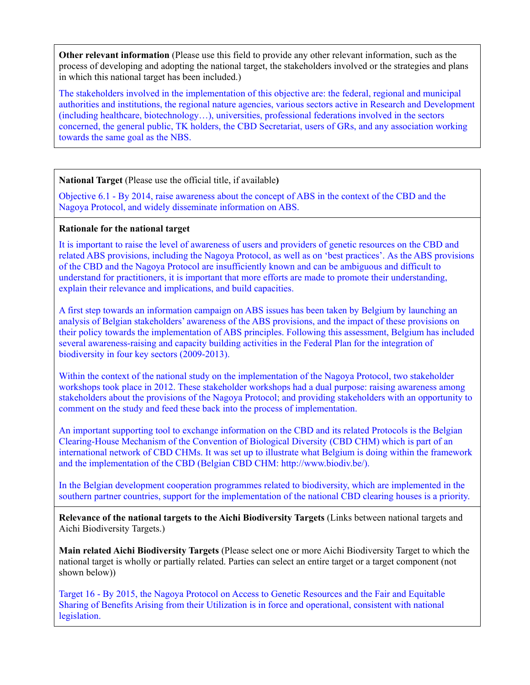**Other relevant information** (Please use this field to provide any other relevant information, such as the process of developing and adopting the national target, the stakeholders involved or the strategies and plans in which this national target has been included.)

The stakeholders involved in the implementation of this objective are: the federal, regional and municipal authorities and institutions, the regional nature agencies, various sectors active in Research and Development (including healthcare, biotechnology…), universities, professional federations involved in the sectors concerned, the general public, TK holders, the CBD Secretariat, users of GRs, and any association working towards the same goal as the NBS.

## **National Target** (Please use the official title, if available**)**

Objective 6.1 - By 2014, raise awareness about the concept of ABS in the context of the CBD and the Nagoya Protocol, and widely disseminate information on ABS.

### **Rationale for the national target**

It is important to raise the level of awareness of users and providers of genetic resources on the CBD and related ABS provisions, including the Nagoya Protocol, as well as on 'best practices'. As the ABS provisions of the CBD and the Nagoya Protocol are insufficiently known and can be ambiguous and difficult to understand for practitioners, it is important that more efforts are made to promote their understanding, explain their relevance and implications, and build capacities.

A first step towards an information campaign on ABS issues has been taken by Belgium by launching an analysis of Belgian stakeholders' awareness of the ABS provisions, and the impact of these provisions on their policy towards the implementation of ABS principles. Following this assessment, Belgium has included several awareness-raising and capacity building activities in the Federal Plan for the integration of biodiversity in four key sectors (2009-2013).

Within the context of the national study on the implementation of the Nagoya Protocol, two stakeholder workshops took place in 2012. These stakeholder workshops had a dual purpose: raising awareness among stakeholders about the provisions of the Nagoya Protocol; and providing stakeholders with an opportunity to comment on the study and feed these back into the process of implementation.

An important supporting tool to exchange information on the CBD and its related Protocols is the Belgian Clearing-House Mechanism of the Convention of Biological Diversity (CBD CHM) which is part of an international network of CBD CHMs. It was set up to illustrate what Belgium is doing within the framework and the implementation of the CBD (Belgian CBD CHM: http://www.biodiv.be/).

In the Belgian development cooperation programmes related to biodiversity, which are implemented in the southern partner countries, support for the implementation of the national CBD clearing houses is a priority.

**Relevance of the national targets to the Aichi Biodiversity Targets** (Links between national targets and Aichi Biodiversity Targets.)

**Main related Aichi Biodiversity Targets** (Please select one or more Aichi Biodiversity Target to which the national target is wholly or partially related. Parties can select an entire target or a target component (not shown below))

Target 16 - By 2015, the Nagoya Protocol on Access to Genetic Resources and the Fair and Equitable Sharing of Benefits Arising from their Utilization is in force and operational, consistent with national legislation.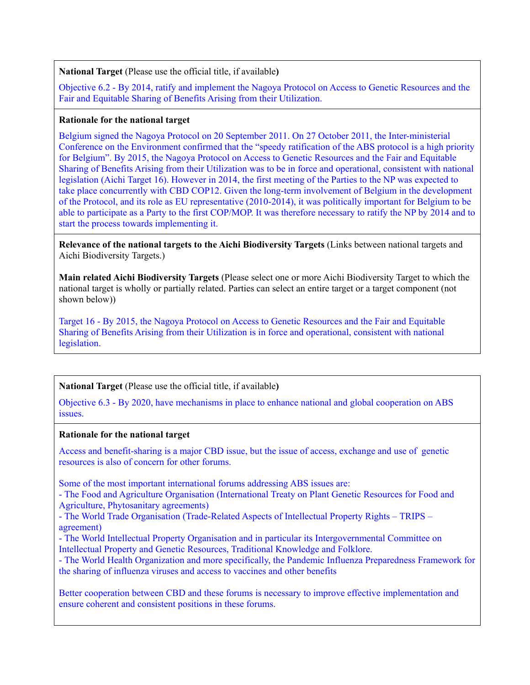**National Target** (Please use the official title, if available**)**

Objective 6.2 - By 2014, ratify and implement the Nagoya Protocol on Access to Genetic Resources and the Fair and Equitable Sharing of Benefits Arising from their Utilization.

### **Rationale for the national target**

Belgium signed the Nagoya Protocol on 20 September 2011. On 27 October 2011, the Inter-ministerial Conference on the Environment confirmed that the "speedy ratification of the ABS protocol is a high priority for Belgium". By 2015, the Nagoya Protocol on Access to Genetic Resources and the Fair and Equitable Sharing of Benefits Arising from their Utilization was to be in force and operational, consistent with national legislation (Aichi Target 16). However in 2014, the first meeting of the Parties to the NP was expected to take place concurrently with CBD COP12. Given the long-term involvement of Belgium in the development of the Protocol, and its role as EU representative (2010-2014), it was politically important for Belgium to be able to participate as a Party to the first COP/MOP. It was therefore necessary to ratify the NP by 2014 and to start the process towards implementing it.

**Relevance of the national targets to the Aichi Biodiversity Targets** (Links between national targets and Aichi Biodiversity Targets.)

**Main related Aichi Biodiversity Targets** (Please select one or more Aichi Biodiversity Target to which the national target is wholly or partially related. Parties can select an entire target or a target component (not shown below))

Target 16 - By 2015, the Nagoya Protocol on Access to Genetic Resources and the Fair and Equitable Sharing of Benefits Arising from their Utilization is in force and operational, consistent with national legislation.

**National Target** (Please use the official title, if available**)**

Objective 6.3 - By 2020, have mechanisms in place to enhance national and global cooperation on ABS issues.

### **Rationale for the national target**

Access and benefit-sharing is a major CBD issue, but the issue of access, exchange and use of genetic resources is also of concern for other forums.

Some of the most important international forums addressing ABS issues are:

- The Food and Agriculture Organisation (International Treaty on Plant Genetic Resources for Food and Agriculture, Phytosanitary agreements)

- The World Trade Organisation (Trade-Related Aspects of Intellectual Property Rights – TRIPS – agreement)

- The World Intellectual Property Organisation and in particular its Intergovernmental Committee on Intellectual Property and Genetic Resources, Traditional Knowledge and Folklore.

- The World Health Organization and more specifically, the Pandemic Influenza Preparedness Framework for the sharing of influenza viruses and access to vaccines and other benefits

Better cooperation between CBD and these forums is necessary to improve effective implementation and ensure coherent and consistent positions in these forums.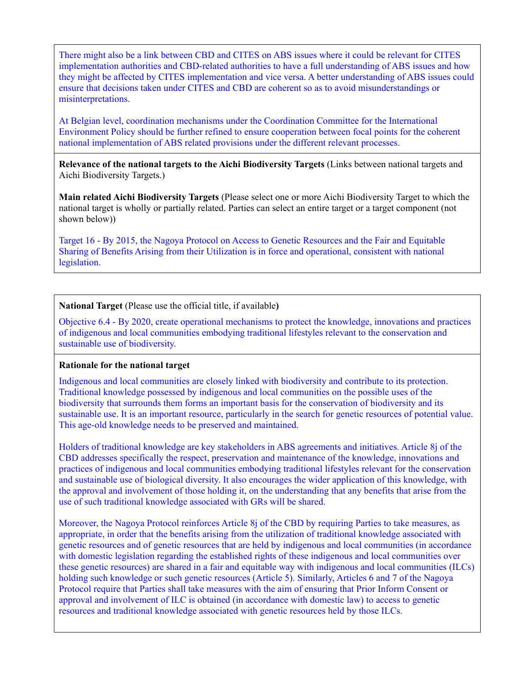There might also be a link between CBD and CITES on ABS issues where it could be relevant for CITES implementation authorities and CBD-related authorities to have a full understanding of ABS issues and how they might be affected by CITES implementation and vice versa. A better understanding of ABS issues could ensure that decisions taken under CITES and CBD are coherent so as to avoid misunderstandings or misinterpretations.

At Belgian level, coordination mechanisms under the Coordination Committee for the International Environment Policy should be further refined to ensure cooperation between focal points for the coherent national implementation of ABS related provisions under the different relevant processes.

**Relevance of the national targets to the Aichi Biodiversity Targets** (Links between national targets and Aichi Biodiversity Targets.)

**Main related Aichi Biodiversity Targets** (Please select one or more Aichi Biodiversity Target to which the national target is wholly or partially related. Parties can select an entire target or a target component (not shown below))

Target 16 - By 2015, the Nagoya Protocol on Access to Genetic Resources and the Fair and Equitable Sharing of Benefits Arising from their Utilization is in force and operational, consistent with national legislation.

#### **National Target** (Please use the official title, if available**)**

Objective 6.4 - By 2020, create operational mechanisms to protect the knowledge, innovations and practices of indigenous and local communities embodying traditional lifestyles relevant to the conservation and sustainable use of biodiversity.

#### **Rationale for the national target**

Indigenous and local communities are closely linked with biodiversity and contribute to its protection. Traditional knowledge possessed by indigenous and local communities on the possible uses of the biodiversity that surrounds them forms an important basis for the conservation of biodiversity and its sustainable use. It is an important resource, particularly in the search for genetic resources of potential value. This age-old knowledge needs to be preserved and maintained.

Holders of traditional knowledge are key stakeholders in ABS agreements and initiatives. Article 8j of the CBD addresses specifically the respect, preservation and maintenance of the knowledge, innovations and practices of indigenous and local communities embodying traditional lifestyles relevant for the conservation and sustainable use of biological diversity. It also encourages the wider application of this knowledge, with the approval and involvement of those holding it, on the understanding that any benefits that arise from the use of such traditional knowledge associated with GRs will be shared.

Moreover, the Nagoya Protocol reinforces Article 8j of the CBD by requiring Parties to take measures, as appropriate, in order that the benefits arising from the utilization of traditional knowledge associated with genetic resources and of genetic resources that are held by indigenous and local communities (in accordance with domestic legislation regarding the established rights of these indigenous and local communities over these genetic resources) are shared in a fair and equitable way with indigenous and local communities (ILCs) holding such knowledge or such genetic resources (Article 5). Similarly, Articles 6 and 7 of the Nagoya Protocol require that Parties shall take measures with the aim of ensuring that Prior Inform Consent or approval and involvement of ILC is obtained (in accordance with domestic law) to access to genetic resources and traditional knowledge associated with genetic resources held by those ILCs.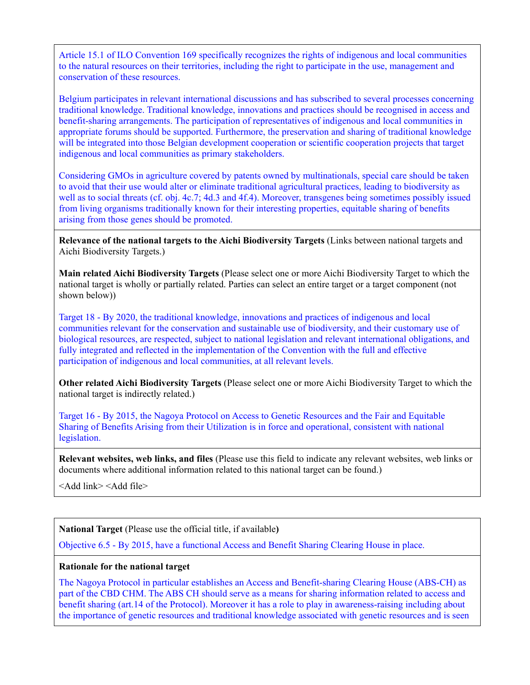Article 15.1 of ILO Convention 169 specifically recognizes the rights of indigenous and local communities to the natural resources on their territories, including the right to participate in the use, management and conservation of these resources.

Belgium participates in relevant international discussions and has subscribed to several processes concerning traditional knowledge. Traditional knowledge, innovations and practices should be recognised in access and benefit-sharing arrangements. The participation of representatives of indigenous and local communities in appropriate forums should be supported. Furthermore, the preservation and sharing of traditional knowledge will be integrated into those Belgian development cooperation or scientific cooperation projects that target indigenous and local communities as primary stakeholders.

Considering GMOs in agriculture covered by patents owned by multinationals, special care should be taken to avoid that their use would alter or eliminate traditional agricultural practices, leading to biodiversity as well as to social threats (cf. obj. 4c.7; 4d.3 and 4f.4). Moreover, transgenes being sometimes possibly issued from living organisms traditionally known for their interesting properties, equitable sharing of benefits arising from those genes should be promoted.

**Relevance of the national targets to the Aichi Biodiversity Targets** (Links between national targets and Aichi Biodiversity Targets.)

**Main related Aichi Biodiversity Targets** (Please select one or more Aichi Biodiversity Target to which the national target is wholly or partially related. Parties can select an entire target or a target component (not shown below))

Target 18 - By 2020, the traditional knowledge, innovations and practices of indigenous and local communities relevant for the conservation and sustainable use of biodiversity, and their customary use of biological resources, are respected, subject to national legislation and relevant international obligations, and fully integrated and reflected in the implementation of the Convention with the full and effective participation of indigenous and local communities, at all relevant levels.

**Other related Aichi Biodiversity Targets** (Please select one or more Aichi Biodiversity Target to which the national target is indirectly related.)

Target 16 - By 2015, the Nagoya Protocol on Access to Genetic Resources and the Fair and Equitable Sharing of Benefits Arising from their Utilization is in force and operational, consistent with national legislation.

**Relevant websites, web links, and files** (Please use this field to indicate any relevant websites, web links or documents where additional information related to this national target can be found.)

<Add link> <Add file>

**National Target** (Please use the official title, if available**)**

Objective 6.5 - By 2015, have a functional Access and Benefit Sharing Clearing House in place.

### **Rationale for the national target**

The Nagoya Protocol in particular establishes an Access and Benefit-sharing Clearing House (ABS-CH) as part of the CBD CHM. The ABS CH should serve as a means for sharing information related to access and benefit sharing (art.14 of the Protocol). Moreover it has a role to play in awareness-raising including about the importance of genetic resources and traditional knowledge associated with genetic resources and is seen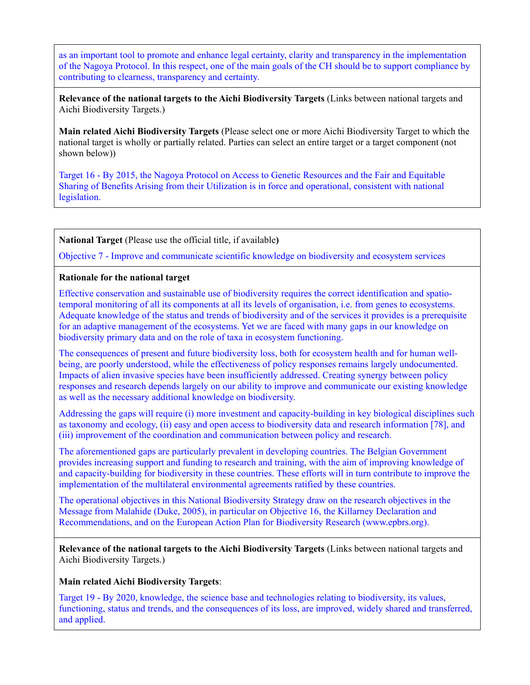as an important tool to promote and enhance legal certainty, clarity and transparency in the implementation of the Nagoya Protocol. In this respect, one of the main goals of the CH should be to support compliance by contributing to clearness, transparency and certainty.

**Relevance of the national targets to the Aichi Biodiversity Targets** (Links between national targets and Aichi Biodiversity Targets.)

**Main related Aichi Biodiversity Targets** (Please select one or more Aichi Biodiversity Target to which the national target is wholly or partially related. Parties can select an entire target or a target component (not shown below))

Target 16 - By 2015, the Nagoya Protocol on Access to Genetic Resources and the Fair and Equitable Sharing of Benefits Arising from their Utilization is in force and operational, consistent with national legislation.

**National Target** (Please use the official title, if available**)**

Objective 7 - Improve and communicate scientific knowledge on biodiversity and ecosystem services

### **Rationale for the national target**

Effective conservation and sustainable use of biodiversity requires the correct identification and spatiotemporal monitoring of all its components at all its levels of organisation, i.e. from genes to ecosystems. Adequate knowledge of the status and trends of biodiversity and of the services it provides is a prerequisite for an adaptive management of the ecosystems. Yet we are faced with many gaps in our knowledge on biodiversity primary data and on the role of taxa in ecosystem functioning.

The consequences of present and future biodiversity loss, both for ecosystem health and for human wellbeing, are poorly understood, while the effectiveness of policy responses remains largely undocumented. Impacts of alien invasive species have been insufficiently addressed. Creating synergy between policy responses and research depends largely on our ability to improve and communicate our existing knowledge as well as the necessary additional knowledge on biodiversity.

Addressing the gaps will require (i) more investment and capacity-building in key biological disciplines such as taxonomy and ecology, (ii) easy and open access to biodiversity data and research information [78], and (iii) improvement of the coordination and communication between policy and research.

The aforementioned gaps are particularly prevalent in developing countries. The Belgian Government provides increasing support and funding to research and training, with the aim of improving knowledge of and capacity-building for biodiversity in these countries. These efforts will in turn contribute to improve the implementation of the multilateral environmental agreements ratified by these countries.

The operational objectives in this National Biodiversity Strategy draw on the research objectives in the Message from Malahide (Duke, 2005), in particular on Objective 16, the Killarney Declaration and Recommendations, and on the European Action Plan for Biodiversity Research (www.epbrs.org).

**Relevance of the national targets to the Aichi Biodiversity Targets** (Links between national targets and Aichi Biodiversity Targets.)

#### **Main related Aichi Biodiversity Targets**:

Target 19 - By 2020, knowledge, the science base and technologies relating to biodiversity, its values, functioning, status and trends, and the consequences of its loss, are improved, widely shared and transferred, and applied.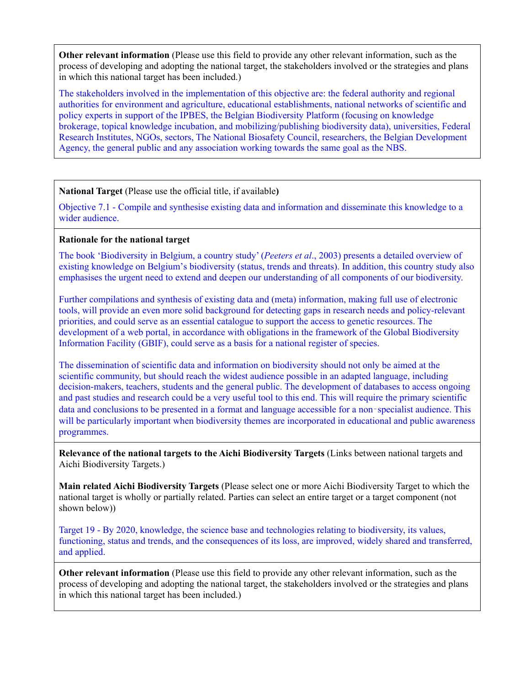**Other relevant information** (Please use this field to provide any other relevant information, such as the process of developing and adopting the national target, the stakeholders involved or the strategies and plans in which this national target has been included.)

The stakeholders involved in the implementation of this objective are: the federal authority and regional authorities for environment and agriculture, educational establishments, national networks of scientific and policy experts in support of the IPBES, the Belgian Biodiversity Platform (focusing on knowledge brokerage, topical knowledge incubation, and mobilizing/publishing biodiversity data), universities, Federal Research Institutes, NGOs, sectors, The National Biosafety Council, researchers, the Belgian Development Agency, the general public and any association working towards the same goal as the NBS.

## **National Target** (Please use the official title, if available**)**

Objective 7.1 - Compile and synthesise existing data and information and disseminate this knowledge to a wider audience.

### **Rationale for the national target**

The book 'Biodiversity in Belgium, a country study' (*Peeters et al*., 2003) presents a detailed overview of existing knowledge on Belgium's biodiversity (status, trends and threats). In addition, this country study also emphasises the urgent need to extend and deepen our understanding of all components of our biodiversity.

Further compilations and synthesis of existing data and (meta) information, making full use of electronic tools, will provide an even more solid background for detecting gaps in research needs and policy-relevant priorities, and could serve as an essential catalogue to support the access to genetic resources. The development of a web portal, in accordance with obligations in the framework of the Global Biodiversity Information Facility (GBIF), could serve as a basis for a national register of species.

The dissemination of scientific data and information on biodiversity should not only be aimed at the scientific community, but should reach the widest audience possible in an adapted language, including decision-makers, teachers, students and the general public. The development of databases to access ongoing and past studies and research could be a very useful tool to this end. This will require the primary scientific data and conclusions to be presented in a format and language accessible for a non‑specialist audience. This will be particularly important when biodiversity themes are incorporated in educational and public awareness programmes.

**Relevance of the national targets to the Aichi Biodiversity Targets** (Links between national targets and Aichi Biodiversity Targets.)

**Main related Aichi Biodiversity Targets** (Please select one or more Aichi Biodiversity Target to which the national target is wholly or partially related. Parties can select an entire target or a target component (not shown below))

Target 19 - By 2020, knowledge, the science base and technologies relating to biodiversity, its values, functioning, status and trends, and the consequences of its loss, are improved, widely shared and transferred, and applied.

**Other relevant information** (Please use this field to provide any other relevant information, such as the process of developing and adopting the national target, the stakeholders involved or the strategies and plans in which this national target has been included.)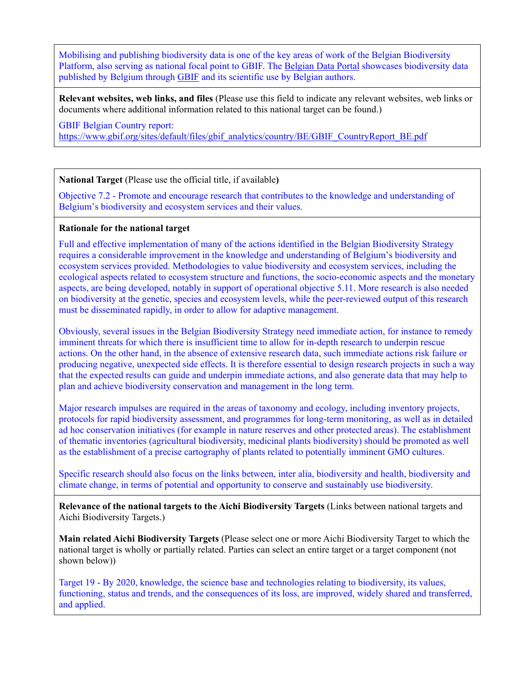Mobilising and publishing biodiversity data is one of the key areas of work of the Belgian Biodiversity Platform, also serving as national focal point to GBIF. The [Belgian Data Portal](http://data.biodiversity.be/) showcases biodiversity data published by Belgium through [GBIF](http://www.gbif.org/) and its scientific use by Belgian authors.

**Relevant websites, web links, and files** (Please use this field to indicate any relevant websites, web links or documents where additional information related to this national target can be found.)

GBIF Belgian Country report:

[https://www.gbif.org/sites/default/files/gbif\\_analytics/country/BE/GBIF\\_CountryReport\\_BE.pdf](https://www.gbif.org/sites/default/files/gbif_analytics/country/BE/GBIF_CountryReport_BE.pdf)

**National Target** (Please use the official title, if available**)**

Objective 7.2 - Promote and encourage research that contributes to the knowledge and understanding of Belgium's biodiversity and ecosystem services and their values.

## **Rationale for the national target**

Full and effective implementation of many of the actions identified in the Belgian Biodiversity Strategy requires a considerable improvement in the knowledge and understanding of Belgium's biodiversity and ecosystem services provided. Methodologies to value biodiversity and ecosystem services, including the ecological aspects related to ecosystem structure and functions, the socio-economic aspects and the monetary aspects, are being developed, notably in support of operational objective 5.11. More research is also needed on biodiversity at the genetic, species and ecosystem levels, while the peer-reviewed output of this research must be disseminated rapidly, in order to allow for adaptive management.

Obviously, several issues in the Belgian Biodiversity Strategy need immediate action, for instance to remedy imminent threats for which there is insufficient time to allow for in-depth research to underpin rescue actions. On the other hand, in the absence of extensive research data, such immediate actions risk failure or producing negative, unexpected side effects. It is therefore essential to design research projects in such a way that the expected results can guide and underpin immediate actions, and also generate data that may help to plan and achieve biodiversity conservation and management in the long term.

Major research impulses are required in the areas of taxonomy and ecology, including inventory projects, protocols for rapid biodiversity assessment, and programmes for long-term monitoring, as well as in detailed ad hoc conservation initiatives (for example in nature reserves and other protected areas). The establishment of thematic inventories (agricultural biodiversity, medicinal plants biodiversity) should be promoted as well as the establishment of a precise cartography of plants related to potentially imminent GMO cultures.

Specific research should also focus on the links between, inter alia, biodiversity and health, biodiversity and climate change, in terms of potential and opportunity to conserve and sustainably use biodiversity.

**Relevance of the national targets to the Aichi Biodiversity Targets** (Links between national targets and Aichi Biodiversity Targets.)

**Main related Aichi Biodiversity Targets** (Please select one or more Aichi Biodiversity Target to which the national target is wholly or partially related. Parties can select an entire target or a target component (not shown below))

Target 19 - By 2020, knowledge, the science base and technologies relating to biodiversity, its values, functioning, status and trends, and the consequences of its loss, are improved, widely shared and transferred, and applied.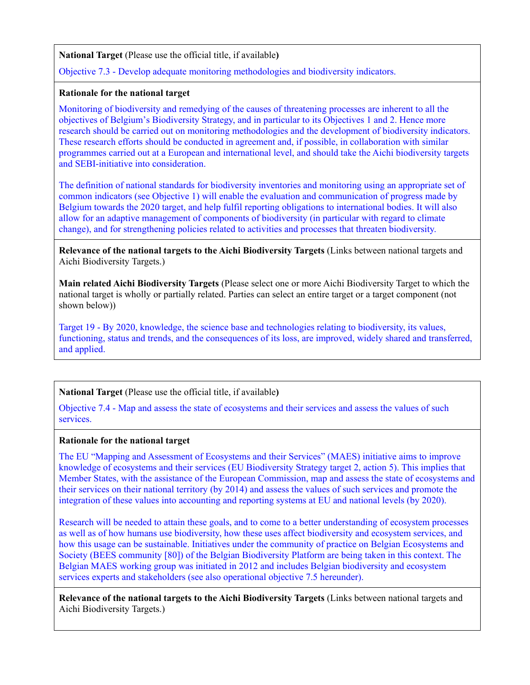## **National Target** (Please use the official title, if available**)**

Objective 7.3 - Develop adequate monitoring methodologies and biodiversity indicators.

## **Rationale for the national target**

Monitoring of biodiversity and remedying of the causes of threatening processes are inherent to all the objectives of Belgium's Biodiversity Strategy, and in particular to its Objectives 1 and 2. Hence more research should be carried out on monitoring methodologies and the development of biodiversity indicators. These research efforts should be conducted in agreement and, if possible, in collaboration with similar programmes carried out at a European and international level, and should take the Aichi biodiversity targets and SEBI-initiative into consideration.

The definition of national standards for biodiversity inventories and monitoring using an appropriate set of common indicators (see Objective 1) will enable the evaluation and communication of progress made by Belgium towards the 2020 target, and help fulfil reporting obligations to international bodies. It will also allow for an adaptive management of components of biodiversity (in particular with regard to climate change), and for strengthening policies related to activities and processes that threaten biodiversity.

**Relevance of the national targets to the Aichi Biodiversity Targets** (Links between national targets and Aichi Biodiversity Targets.)

**Main related Aichi Biodiversity Targets** (Please select one or more Aichi Biodiversity Target to which the national target is wholly or partially related. Parties can select an entire target or a target component (not shown below))

Target 19 - By 2020, knowledge, the science base and technologies relating to biodiversity, its values, functioning, status and trends, and the consequences of its loss, are improved, widely shared and transferred, and applied.

# **National Target** (Please use the official title, if available**)**

Objective 7.4 - Map and assess the state of ecosystems and their services and assess the values of such services.

### **Rationale for the national target**

The EU "Mapping and Assessment of Ecosystems and their Services" (MAES) initiative aims to improve knowledge of ecosystems and their services (EU Biodiversity Strategy target 2, action 5). This implies that Member States, with the assistance of the European Commission, map and assess the state of ecosystems and their services on their national territory (by 2014) and assess the values of such services and promote the integration of these values into accounting and reporting systems at EU and national levels (by 2020).

Research will be needed to attain these goals, and to come to a better understanding of ecosystem processes as well as of how humans use biodiversity, how these uses affect biodiversity and ecosystem services, and how this usage can be sustainable. Initiatives under the community of practice on Belgian Ecosystems and Society (BEES community [80]) of the Belgian Biodiversity Platform are being taken in this context. The Belgian MAES working group was initiated in 2012 and includes Belgian biodiversity and ecosystem services experts and stakeholders (see also operational objective 7.5 hereunder).

**Relevance of the national targets to the Aichi Biodiversity Targets** (Links between national targets and Aichi Biodiversity Targets.)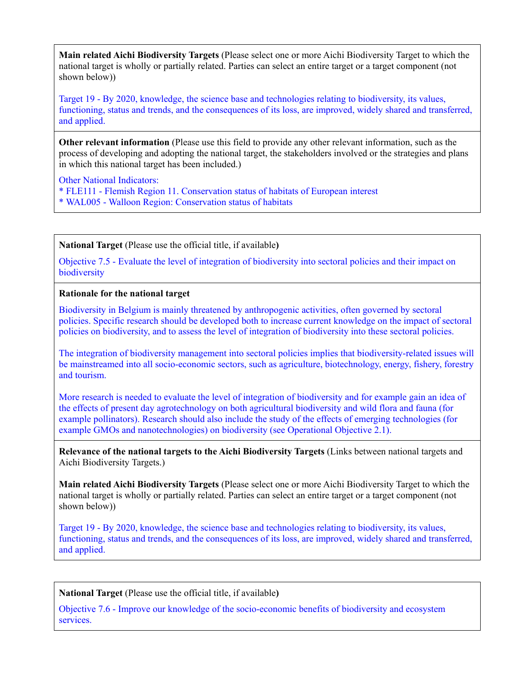**Main related Aichi Biodiversity Targets** (Please select one or more Aichi Biodiversity Target to which the national target is wholly or partially related. Parties can select an entire target or a target component (not shown below))

Target 19 - By 2020, knowledge, the science base and technologies relating to biodiversity, its values, functioning, status and trends, and the consequences of its loss, are improved, widely shared and transferred, and applied.

**Other relevant information** (Please use this field to provide any other relevant information, such as the process of developing and adopting the national target, the stakeholders involved or the strategies and plans in which this national target has been included.)

Other National Indicators:

\* FLE111 - Flemish Region 11. Conservation status of habitats of European interest \* WAL005 - Walloon Region: Conservation status of habitats

**National Target** (Please use the official title, if available**)**

Objective 7.5 - Evaluate the level of integration of biodiversity into sectoral policies and their impact on biodiversity

### **Rationale for the national target**

Biodiversity in Belgium is mainly threatened by anthropogenic activities, often governed by sectoral policies. Specific research should be developed both to increase current knowledge on the impact of sectoral policies on biodiversity, and to assess the level of integration of biodiversity into these sectoral policies.

The integration of biodiversity management into sectoral policies implies that biodiversity-related issues will be mainstreamed into all socio-economic sectors, such as agriculture, biotechnology, energy, fishery, forestry and tourism.

More research is needed to evaluate the level of integration of biodiversity and for example gain an idea of the effects of present day agrotechnology on both agricultural biodiversity and wild flora and fauna (for example pollinators). Research should also include the study of the effects of emerging technologies (for example GMOs and nanotechnologies) on biodiversity (see Operational Objective 2.1).

**Relevance of the national targets to the Aichi Biodiversity Targets** (Links between national targets and Aichi Biodiversity Targets.)

**Main related Aichi Biodiversity Targets** (Please select one or more Aichi Biodiversity Target to which the national target is wholly or partially related. Parties can select an entire target or a target component (not shown below))

Target 19 - By 2020, knowledge, the science base and technologies relating to biodiversity, its values, functioning, status and trends, and the consequences of its loss, are improved, widely shared and transferred, and applied.

**National Target** (Please use the official title, if available**)**

Objective 7.6 - Improve our knowledge of the socio-economic benefits of biodiversity and ecosystem services.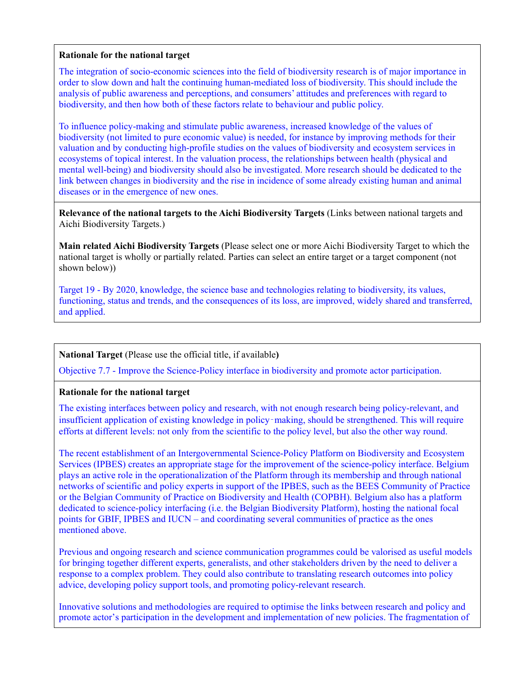#### **Rationale for the national target**

The integration of socio-economic sciences into the field of biodiversity research is of major importance in order to slow down and halt the continuing human-mediated loss of biodiversity. This should include the analysis of public awareness and perceptions, and consumers' attitudes and preferences with regard to biodiversity, and then how both of these factors relate to behaviour and public policy.

To influence policy-making and stimulate public awareness, increased knowledge of the values of biodiversity (not limited to pure economic value) is needed, for instance by improving methods for their valuation and by conducting high-profile studies on the values of biodiversity and ecosystem services in ecosystems of topical interest. In the valuation process, the relationships between health (physical and mental well-being) and biodiversity should also be investigated. More research should be dedicated to the link between changes in biodiversity and the rise in incidence of some already existing human and animal diseases or in the emergence of new ones.

**Relevance of the national targets to the Aichi Biodiversity Targets** (Links between national targets and Aichi Biodiversity Targets.)

**Main related Aichi Biodiversity Targets** (Please select one or more Aichi Biodiversity Target to which the national target is wholly or partially related. Parties can select an entire target or a target component (not shown below))

Target 19 - By 2020, knowledge, the science base and technologies relating to biodiversity, its values, functioning, status and trends, and the consequences of its loss, are improved, widely shared and transferred, and applied.

## **National Target** (Please use the official title, if available**)**

Objective 7.7 - Improve the Science-Policy interface in biodiversity and promote actor participation.

## **Rationale for the national target**

The existing interfaces between policy and research, with not enough research being policy-relevant, and insufficient application of existing knowledge in policy–making, should be strengthened. This will require efforts at different levels: not only from the scientific to the policy level, but also the other way round.

The recent establishment of an Intergovernmental Science-Policy Platform on Biodiversity and Ecosystem Services (IPBES) creates an appropriate stage for the improvement of the science-policy interface. Belgium plays an active role in the operationalization of the Platform through its membership and through national networks of scientific and policy experts in support of the IPBES, such as the BEES Community of Practice or the Belgian Community of Practice on Biodiversity and Health (COPBH). Belgium also has a platform dedicated to science-policy interfacing (i.e. the Belgian Biodiversity Platform), hosting the national focal points for GBIF, IPBES and IUCN – and coordinating several communities of practice as the ones mentioned above.

Previous and ongoing research and science communication programmes could be valorised as useful models for bringing together different experts, generalists, and other stakeholders driven by the need to deliver a response to a complex problem. They could also contribute to translating research outcomes into policy advice, developing policy support tools, and promoting policy-relevant research.

Innovative solutions and methodologies are required to optimise the links between research and policy and promote actor's participation in the development and implementation of new policies. The fragmentation of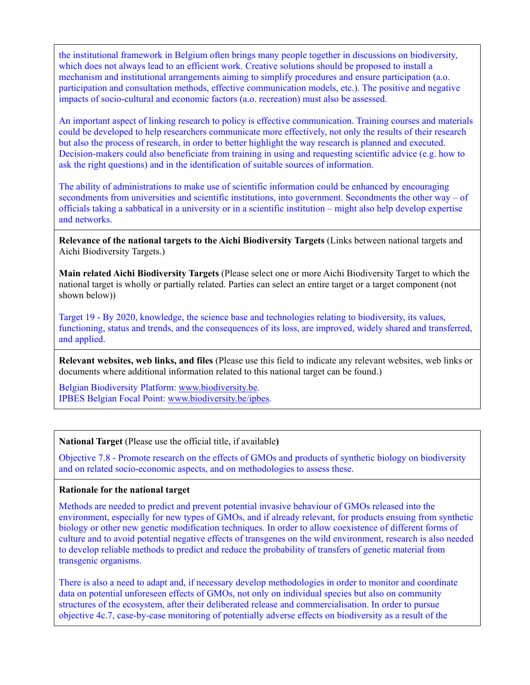the institutional framework in Belgium often brings many people together in discussions on biodiversity, which does not always lead to an efficient work. Creative solutions should be proposed to install a mechanism and institutional arrangements aiming to simplify procedures and ensure participation (a.o. participation and consultation methods, effective communication models, etc.). The positive and negative impacts of socio-cultural and economic factors (a.o. recreation) must also be assessed.

An important aspect of linking research to policy is effective communication. Training courses and materials could be developed to help researchers communicate more effectively, not only the results of their research but also the process of research, in order to better highlight the way research is planned and executed. Decision-makers could also beneficiate from training in using and requesting scientific advice (e.g. how to ask the right questions) and in the identification of suitable sources of information.

The ability of administrations to make use of scientific information could be enhanced by encouraging secondments from universities and scientific institutions, into government. Secondments the other way – of officials taking a sabbatical in a university or in a scientific institution – might also help develop expertise and networks.

**Relevance of the national targets to the Aichi Biodiversity Targets** (Links between national targets and Aichi Biodiversity Targets.)

**Main related Aichi Biodiversity Targets** (Please select one or more Aichi Biodiversity Target to which the national target is wholly or partially related. Parties can select an entire target or a target component (not shown below))

Target 19 - By 2020, knowledge, the science base and technologies relating to biodiversity, its values, functioning, status and trends, and the consequences of its loss, are improved, widely shared and transferred, and applied.

**Relevant websites, web links, and files** (Please use this field to indicate any relevant websites, web links or documents where additional information related to this national target can be found.)

Belgian Biodiversity Platform: [www.biodiversity.be.](http://www.biodiversity.be/) IPBES Belgian Focal Point: [www.biodiversity.be/ipbes.](http://www.biodiversity.be/ipbes)

**National Target** (Please use the official title, if available**)**

Objective 7.8 - Promote research on the effects of GMOs and products of synthetic biology on biodiversity and on related socio-economic aspects, and on methodologies to assess these.

### **Rationale for the national target**

Methods are needed to predict and prevent potential invasive behaviour of GMOs released into the environment, especially for new types of GMOs, and if already relevant, for products ensuing from synthetic biology or other new genetic modification techniques. In order to allow coexistence of different forms of culture and to avoid potential negative effects of transgenes on the wild environment, research is also needed to develop reliable methods to predict and reduce the probability of transfers of genetic material from transgenic organisms.

There is also a need to adapt and, if necessary develop methodologies in order to monitor and coordinate data on potential unforeseen effects of GMOs, not only on individual species but also on community structures of the ecosystem, after their deliberated release and commercialisation. In order to pursue objective 4c.7, case-by-case monitoring of potentially adverse effects on biodiversity as a result of the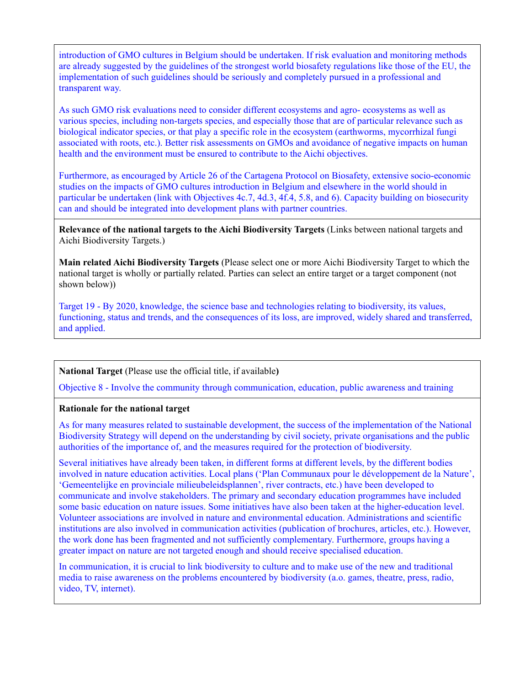introduction of GMO cultures in Belgium should be undertaken. If risk evaluation and monitoring methods are already suggested by the guidelines of the strongest world biosafety regulations like those of the EU, the implementation of such guidelines should be seriously and completely pursued in a professional and transparent way.

As such GMO risk evaluations need to consider different ecosystems and agro- ecosystems as well as various species, including non-targets species, and especially those that are of particular relevance such as biological indicator species, or that play a specific role in the ecosystem (earthworms, mycorrhizal fungi associated with roots, etc.). Better risk assessments on GMOs and avoidance of negative impacts on human health and the environment must be ensured to contribute to the Aichi objectives.

Furthermore, as encouraged by Article 26 of the Cartagena Protocol on Biosafety, extensive socio-economic studies on the impacts of GMO cultures introduction in Belgium and elsewhere in the world should in particular be undertaken (link with Objectives 4c.7, 4d.3, 4f.4, 5.8, and 6). Capacity building on biosecurity can and should be integrated into development plans with partner countries.

**Relevance of the national targets to the Aichi Biodiversity Targets** (Links between national targets and Aichi Biodiversity Targets.)

**Main related Aichi Biodiversity Targets** (Please select one or more Aichi Biodiversity Target to which the national target is wholly or partially related. Parties can select an entire target or a target component (not shown below))

Target 19 - By 2020, knowledge, the science base and technologies relating to biodiversity, its values, functioning, status and trends, and the consequences of its loss, are improved, widely shared and transferred, and applied.

## **National Target** (Please use the official title, if available**)**

Objective 8 - Involve the community through communication, education, public awareness and training

## **Rationale for the national target**

As for many measures related to sustainable development, the success of the implementation of the National Biodiversity Strategy will depend on the understanding by civil society, private organisations and the public authorities of the importance of, and the measures required for the protection of biodiversity.

Several initiatives have already been taken, in different forms at different levels, by the different bodies involved in nature education activities. Local plans ('Plan Communaux pour le développement de la Nature', 'Gemeentelijke en provinciale milieubeleidsplannen', river contracts, etc.) have been developed to communicate and involve stakeholders. The primary and secondary education programmes have included some basic education on nature issues. Some initiatives have also been taken at the higher-education level. Volunteer associations are involved in nature and environmental education. Administrations and scientific institutions are also involved in communication activities (publication of brochures, articles, etc.). However, the work done has been fragmented and not sufficiently complementary. Furthermore, groups having a greater impact on nature are not targeted enough and should receive specialised education.

In communication, it is crucial to link biodiversity to culture and to make use of the new and traditional media to raise awareness on the problems encountered by biodiversity (a.o. games, theatre, press, radio, video, TV, internet).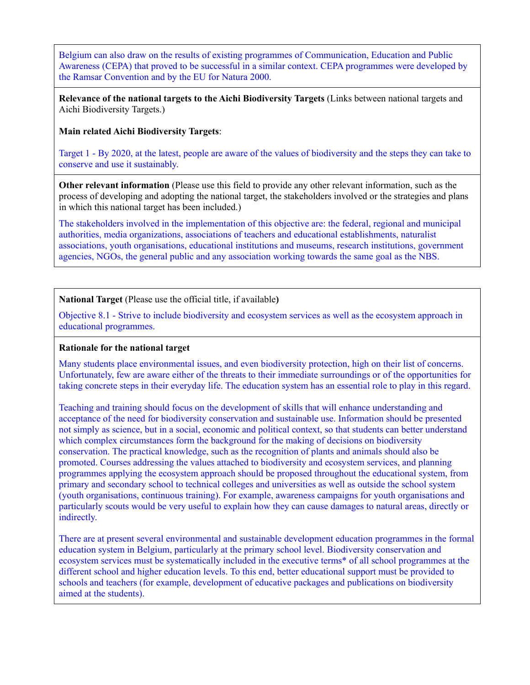Belgium can also draw on the results of existing programmes of Communication, Education and Public Awareness (CEPA) that proved to be successful in a similar context. CEPA programmes were developed by the Ramsar Convention and by the EU for Natura 2000.

**Relevance of the national targets to the Aichi Biodiversity Targets** (Links between national targets and Aichi Biodiversity Targets.)

**Main related Aichi Biodiversity Targets**:

Target 1 - By 2020, at the latest, people are aware of the values of biodiversity and the steps they can take to conserve and use it sustainably.

**Other relevant information** (Please use this field to provide any other relevant information, such as the process of developing and adopting the national target, the stakeholders involved or the strategies and plans in which this national target has been included.)

The stakeholders involved in the implementation of this objective are: the federal, regional and municipal authorities, media organizations, associations of teachers and educational establishments, naturalist associations, youth organisations, educational institutions and museums, research institutions, government agencies, NGOs, the general public and any association working towards the same goal as the NBS.

**National Target** (Please use the official title, if available**)**

Objective 8.1 - Strive to include biodiversity and ecosystem services as well as the ecosystem approach in educational programmes.

## **Rationale for the national target**

Many students place environmental issues, and even biodiversity protection, high on their list of concerns. Unfortunately, few are aware either of the threats to their immediate surroundings or of the opportunities for taking concrete steps in their everyday life. The education system has an essential role to play in this regard.

Teaching and training should focus on the development of skills that will enhance understanding and acceptance of the need for biodiversity conservation and sustainable use. Information should be presented not simply as science, but in a social, economic and political context, so that students can better understand which complex circumstances form the background for the making of decisions on biodiversity conservation. The practical knowledge, such as the recognition of plants and animals should also be promoted. Courses addressing the values attached to biodiversity and ecosystem services, and planning programmes applying the ecosystem approach should be proposed throughout the educational system, from primary and secondary school to technical colleges and universities as well as outside the school system (youth organisations, continuous training). For example, awareness campaigns for youth organisations and particularly scouts would be very useful to explain how they can cause damages to natural areas, directly or indirectly.

There are at present several environmental and sustainable development education programmes in the formal education system in Belgium, particularly at the primary school level. Biodiversity conservation and ecosystem services must be systematically included in the executive terms\* of all school programmes at the different school and higher education levels. To this end, better educational support must be provided to schools and teachers (for example, development of educative packages and publications on biodiversity aimed at the students).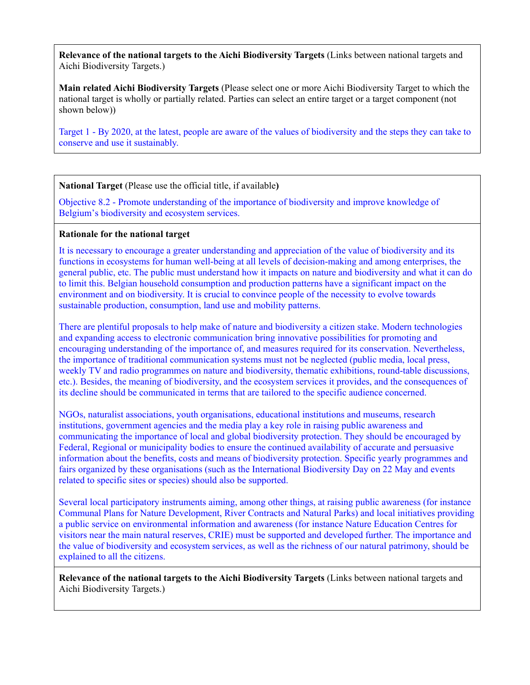**Relevance of the national targets to the Aichi Biodiversity Targets** (Links between national targets and Aichi Biodiversity Targets.)

**Main related Aichi Biodiversity Targets** (Please select one or more Aichi Biodiversity Target to which the national target is wholly or partially related. Parties can select an entire target or a target component (not shown below))

Target 1 - By 2020, at the latest, people are aware of the values of biodiversity and the steps they can take to conserve and use it sustainably.

**National Target** (Please use the official title, if available**)**

Objective 8.2 - Promote understanding of the importance of biodiversity and improve knowledge of Belgium's biodiversity and ecosystem services.

# **Rationale for the national target**

It is necessary to encourage a greater understanding and appreciation of the value of biodiversity and its functions in ecosystems for human well-being at all levels of decision-making and among enterprises, the general public, etc. The public must understand how it impacts on nature and biodiversity and what it can do to limit this. Belgian household consumption and production patterns have a significant impact on the environment and on biodiversity. It is crucial to convince people of the necessity to evolve towards sustainable production, consumption, land use and mobility patterns.

There are plentiful proposals to help make of nature and biodiversity a citizen stake. Modern technologies and expanding access to electronic communication bring innovative possibilities for promoting and encouraging understanding of the importance of, and measures required for its conservation. Nevertheless, the importance of traditional communication systems must not be neglected (public media, local press, weekly TV and radio programmes on nature and biodiversity, thematic exhibitions, round-table discussions, etc.). Besides, the meaning of biodiversity, and the ecosystem services it provides, and the consequences of its decline should be communicated in terms that are tailored to the specific audience concerned.

NGOs, naturalist associations, youth organisations, educational institutions and museums, research institutions, government agencies and the media play a key role in raising public awareness and communicating the importance of local and global biodiversity protection. They should be encouraged by Federal, Regional or municipality bodies to ensure the continued availability of accurate and persuasive information about the benefits, costs and means of biodiversity protection. Specific yearly programmes and fairs organized by these organisations (such as the International Biodiversity Day on 22 May and events related to specific sites or species) should also be supported.

Several local participatory instruments aiming, among other things, at raising public awareness (for instance Communal Plans for Nature Development, River Contracts and Natural Parks) and local initiatives providing a public service on environmental information and awareness (for instance Nature Education Centres for visitors near the main natural reserves, CRIE) must be supported and developed further. The importance and the value of biodiversity and ecosystem services, as well as the richness of our natural patrimony, should be explained to all the citizens.

**Relevance of the national targets to the Aichi Biodiversity Targets** (Links between national targets and Aichi Biodiversity Targets.)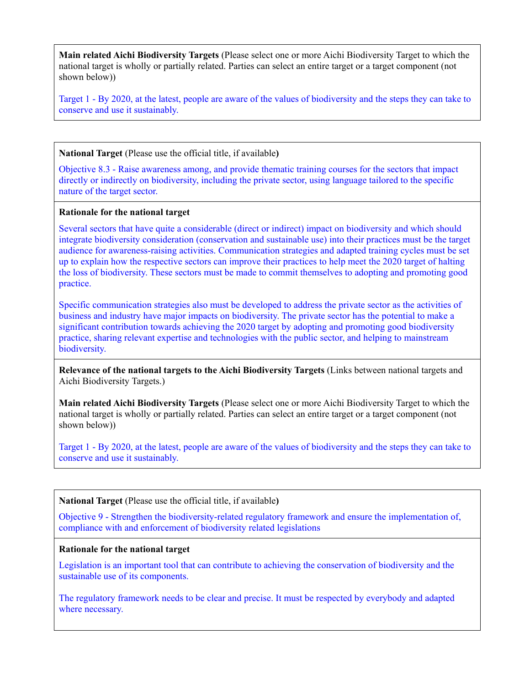**Main related Aichi Biodiversity Targets** (Please select one or more Aichi Biodiversity Target to which the national target is wholly or partially related. Parties can select an entire target or a target component (not shown below))

Target 1 - By 2020, at the latest, people are aware of the values of biodiversity and the steps they can take to conserve and use it sustainably.

**National Target** (Please use the official title, if available**)**

Objective 8.3 - Raise awareness among, and provide thematic training courses for the sectors that impact directly or indirectly on biodiversity, including the private sector, using language tailored to the specific nature of the target sector.

#### **Rationale for the national target**

Several sectors that have quite a considerable (direct or indirect) impact on biodiversity and which should integrate biodiversity consideration (conservation and sustainable use) into their practices must be the target audience for awareness-raising activities. Communication strategies and adapted training cycles must be set up to explain how the respective sectors can improve their practices to help meet the 2020 target of halting the loss of biodiversity. These sectors must be made to commit themselves to adopting and promoting good practice.

Specific communication strategies also must be developed to address the private sector as the activities of business and industry have major impacts on biodiversity. The private sector has the potential to make a significant contribution towards achieving the 2020 target by adopting and promoting good biodiversity practice, sharing relevant expertise and technologies with the public sector, and helping to mainstream biodiversity.

**Relevance of the national targets to the Aichi Biodiversity Targets** (Links between national targets and Aichi Biodiversity Targets.)

**Main related Aichi Biodiversity Targets** (Please select one or more Aichi Biodiversity Target to which the national target is wholly or partially related. Parties can select an entire target or a target component (not shown below))

Target 1 - By 2020, at the latest, people are aware of the values of biodiversity and the steps they can take to conserve and use it sustainably.

**National Target** (Please use the official title, if available**)**

Objective 9 - Strengthen the biodiversity-related regulatory framework and ensure the implementation of, compliance with and enforcement of biodiversity related legislations

#### **Rationale for the national target**

Legislation is an important tool that can contribute to achieving the conservation of biodiversity and the sustainable use of its components.

The regulatory framework needs to be clear and precise. It must be respected by everybody and adapted where necessary.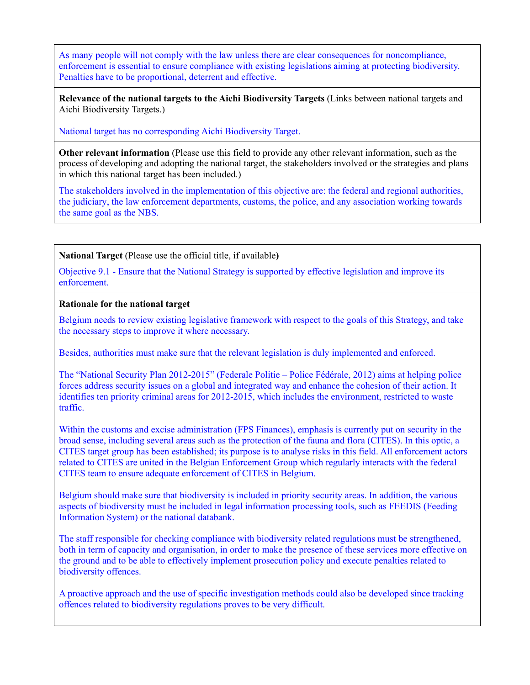As many people will not comply with the law unless there are clear consequences for noncompliance, enforcement is essential to ensure compliance with existing legislations aiming at protecting biodiversity. Penalties have to be proportional, deterrent and effective.

**Relevance of the national targets to the Aichi Biodiversity Targets** (Links between national targets and Aichi Biodiversity Targets.)

National target has no corresponding Aichi Biodiversity Target.

**Other relevant information** (Please use this field to provide any other relevant information, such as the process of developing and adopting the national target, the stakeholders involved or the strategies and plans in which this national target has been included.)

The stakeholders involved in the implementation of this objective are: the federal and regional authorities, the judiciary, the law enforcement departments, customs, the police, and any association working towards the same goal as the NBS.

**National Target** (Please use the official title, if available**)**

Objective 9.1 - Ensure that the National Strategy is supported by effective legislation and improve its enforcement.

**Rationale for the national target**

Belgium needs to review existing legislative framework with respect to the goals of this Strategy, and take the necessary steps to improve it where necessary.

Besides, authorities must make sure that the relevant legislation is duly implemented and enforced.

The "National Security Plan 2012-2015" (Federale Politie – Police Fédérale, 2012) aims at helping police forces address security issues on a global and integrated way and enhance the cohesion of their action. It identifies ten priority criminal areas for 2012-2015, which includes the environment, restricted to waste traffic.

Within the customs and excise administration (FPS Finances), emphasis is currently put on security in the broad sense, including several areas such as the protection of the fauna and flora (CITES). In this optic, a CITES target group has been established; its purpose is to analyse risks in this field. All enforcement actors related to CITES are united in the Belgian Enforcement Group which regularly interacts with the federal CITES team to ensure adequate enforcement of CITES in Belgium.

Belgium should make sure that biodiversity is included in priority security areas. In addition, the various aspects of biodiversity must be included in legal information processing tools, such as FEEDIS (Feeding Information System) or the national databank.

The staff responsible for checking compliance with biodiversity related regulations must be strengthened, both in term of capacity and organisation, in order to make the presence of these services more effective on the ground and to be able to effectively implement prosecution policy and execute penalties related to biodiversity offences.

A proactive approach and the use of specific investigation methods could also be developed since tracking offences related to biodiversity regulations proves to be very difficult.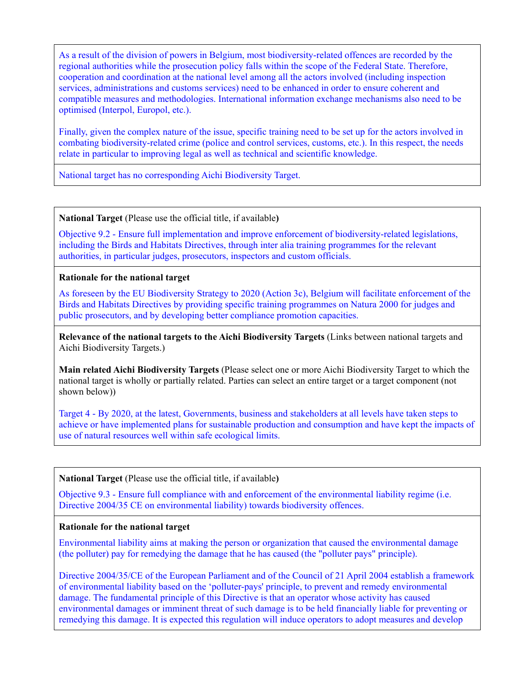As a result of the division of powers in Belgium, most biodiversity-related offences are recorded by the regional authorities while the prosecution policy falls within the scope of the Federal State. Therefore, cooperation and coordination at the national level among all the actors involved (including inspection services, administrations and customs services) need to be enhanced in order to ensure coherent and compatible measures and methodologies. International information exchange mechanisms also need to be optimised (Interpol, Europol, etc.).

Finally, given the complex nature of the issue, specific training need to be set up for the actors involved in combating biodiversity-related crime (police and control services, customs, etc.). In this respect, the needs relate in particular to improving legal as well as technical and scientific knowledge.

National target has no corresponding Aichi Biodiversity Target.

**National Target** (Please use the official title, if available**)**

Objective 9.2 - Ensure full implementation and improve enforcement of biodiversity-related legislations, including the Birds and Habitats Directives, through inter alia training programmes for the relevant authorities, in particular judges, prosecutors, inspectors and custom officials.

## **Rationale for the national target**

As foreseen by the EU Biodiversity Strategy to 2020 (Action 3c), Belgium will facilitate enforcement of the Birds and Habitats Directives by providing specific training programmes on Natura 2000 for judges and public prosecutors, and by developing better compliance promotion capacities.

**Relevance of the national targets to the Aichi Biodiversity Targets** (Links between national targets and Aichi Biodiversity Targets.)

**Main related Aichi Biodiversity Targets** (Please select one or more Aichi Biodiversity Target to which the national target is wholly or partially related. Parties can select an entire target or a target component (not shown below))

Target 4 - By 2020, at the latest, Governments, business and stakeholders at all levels have taken steps to achieve or have implemented plans for sustainable production and consumption and have kept the impacts of use of natural resources well within safe ecological limits.

# **National Target** (Please use the official title, if available**)**

Objective 9.3 - Ensure full compliance with and enforcement of the environmental liability regime (i.e. Directive 2004/35 CE on environmental liability) towards biodiversity offences.

#### **Rationale for the national target**

Environmental liability aims at making the person or organization that caused the environmental damage (the polluter) pay for remedying the damage that he has caused (the "polluter pays" principle).

Directive 2004/35/CE of the European Parliament and of the Council of 21 April 2004 establish a framework of environmental liability based on the 'polluter-pays' principle, to prevent and remedy environmental damage. The fundamental principle of this Directive is that an operator whose activity has caused environmental damages or imminent threat of such damage is to be held financially liable for preventing or remedying this damage. It is expected this regulation will induce operators to adopt measures and develop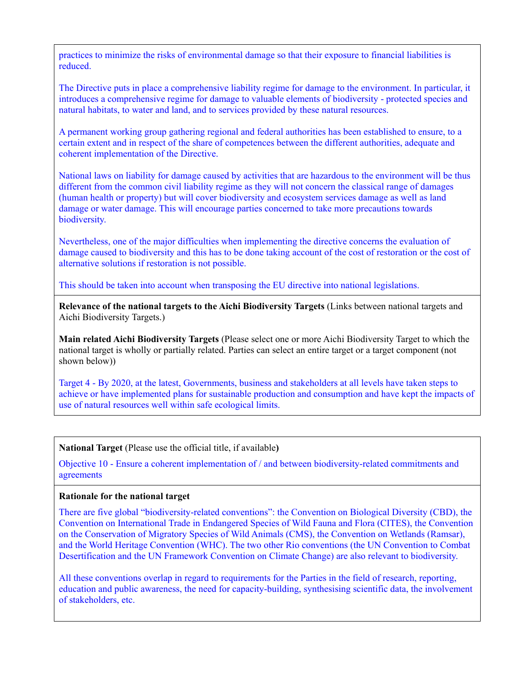practices to minimize the risks of environmental damage so that their exposure to financial liabilities is reduced.

The Directive puts in place a comprehensive liability regime for damage to the environment. In particular, it introduces a comprehensive regime for damage to valuable elements of biodiversity - protected species and natural habitats, to water and land, and to services provided by these natural resources.

A permanent working group gathering regional and federal authorities has been established to ensure, to a certain extent and in respect of the share of competences between the different authorities, adequate and coherent implementation of the Directive.

National laws on liability for damage caused by activities that are hazardous to the environment will be thus different from the common civil liability regime as they will not concern the classical range of damages (human health or property) but will cover biodiversity and ecosystem services damage as well as land damage or water damage. This will encourage parties concerned to take more precautions towards biodiversity.

Nevertheless, one of the major difficulties when implementing the directive concerns the evaluation of damage caused to biodiversity and this has to be done taking account of the cost of restoration or the cost of alternative solutions if restoration is not possible.

This should be taken into account when transposing the EU directive into national legislations.

**Relevance of the national targets to the Aichi Biodiversity Targets** (Links between national targets and Aichi Biodiversity Targets.)

**Main related Aichi Biodiversity Targets** (Please select one or more Aichi Biodiversity Target to which the national target is wholly or partially related. Parties can select an entire target or a target component (not shown below))

Target 4 - By 2020, at the latest, Governments, business and stakeholders at all levels have taken steps to achieve or have implemented plans for sustainable production and consumption and have kept the impacts of use of natural resources well within safe ecological limits.

**National Target** (Please use the official title, if available**)**

Objective 10 - Ensure a coherent implementation of / and between biodiversity-related commitments and agreements

#### **Rationale for the national target**

There are five global "biodiversity-related conventions": the Convention on Biological Diversity (CBD), the Convention on International Trade in Endangered Species of Wild Fauna and Flora (CITES), the Convention on the Conservation of Migratory Species of Wild Animals (CMS), the Convention on Wetlands (Ramsar), and the World Heritage Convention (WHC). The two other Rio conventions (the UN Convention to Combat Desertification and the UN Framework Convention on Climate Change) are also relevant to biodiversity.

All these conventions overlap in regard to requirements for the Parties in the field of research, reporting, education and public awareness, the need for capacity-building, synthesising scientific data, the involvement of stakeholders, etc.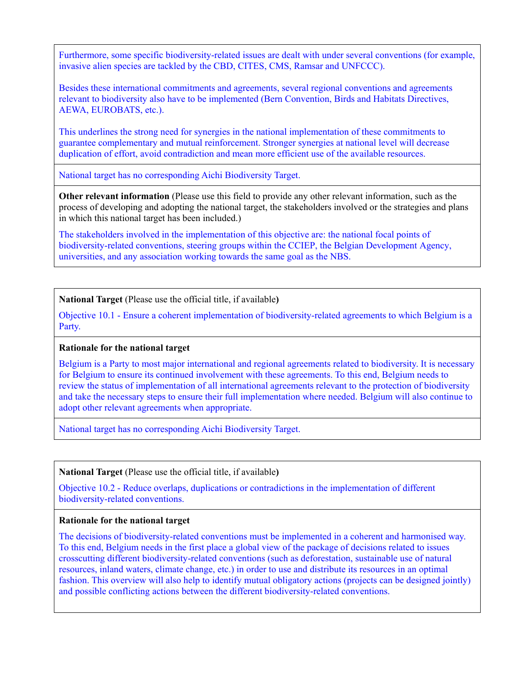Furthermore, some specific biodiversity-related issues are dealt with under several conventions (for example, invasive alien species are tackled by the CBD, CITES, CMS, Ramsar and UNFCCC).

Besides these international commitments and agreements, several regional conventions and agreements relevant to biodiversity also have to be implemented (Bern Convention, Birds and Habitats Directives, AEWA, EUROBATS, etc.).

This underlines the strong need for synergies in the national implementation of these commitments to guarantee complementary and mutual reinforcement. Stronger synergies at national level will decrease duplication of effort, avoid contradiction and mean more efficient use of the available resources.

National target has no corresponding Aichi Biodiversity Target.

**Other relevant information** (Please use this field to provide any other relevant information, such as the process of developing and adopting the national target, the stakeholders involved or the strategies and plans in which this national target has been included.)

The stakeholders involved in the implementation of this objective are: the national focal points of biodiversity-related conventions, steering groups within the CCIEP, the Belgian Development Agency, universities, and any association working towards the same goal as the NBS.

**National Target** (Please use the official title, if available**)**

Objective 10.1 - Ensure a coherent implementation of biodiversity-related agreements to which Belgium is a Party.

## **Rationale for the national target**

Belgium is a Party to most major international and regional agreements related to biodiversity. It is necessary for Belgium to ensure its continued involvement with these agreements. To this end, Belgium needs to review the status of implementation of all international agreements relevant to the protection of biodiversity and take the necessary steps to ensure their full implementation where needed. Belgium will also continue to adopt other relevant agreements when appropriate.

National target has no corresponding Aichi Biodiversity Target.

**National Target** (Please use the official title, if available**)**

Objective 10.2 - Reduce overlaps, duplications or contradictions in the implementation of different biodiversity-related conventions.

## **Rationale for the national target**

The decisions of biodiversity-related conventions must be implemented in a coherent and harmonised way. To this end, Belgium needs in the first place a global view of the package of decisions related to issues crosscutting different biodiversity-related conventions (such as deforestation, sustainable use of natural resources, inland waters, climate change, etc.) in order to use and distribute its resources in an optimal fashion. This overview will also help to identify mutual obligatory actions (projects can be designed jointly) and possible conflicting actions between the different biodiversity-related conventions.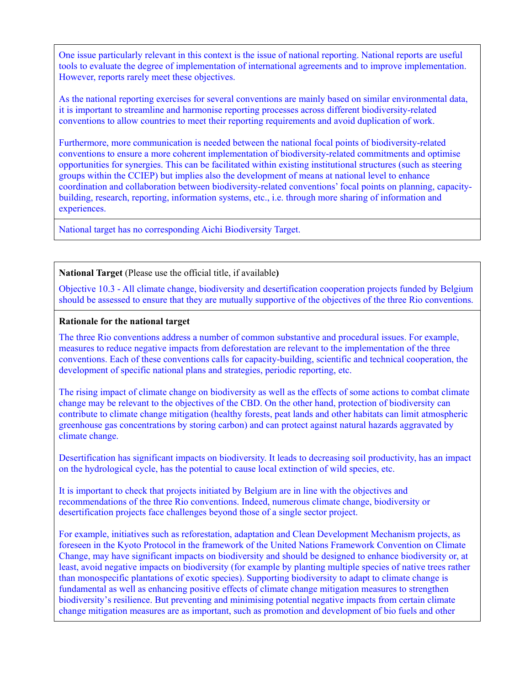One issue particularly relevant in this context is the issue of national reporting. National reports are useful tools to evaluate the degree of implementation of international agreements and to improve implementation. However, reports rarely meet these objectives.

As the national reporting exercises for several conventions are mainly based on similar environmental data, it is important to streamline and harmonise reporting processes across different biodiversity-related conventions to allow countries to meet their reporting requirements and avoid duplication of work.

Furthermore, more communication is needed between the national focal points of biodiversity-related conventions to ensure a more coherent implementation of biodiversity-related commitments and optimise opportunities for synergies. This can be facilitated within existing institutional structures (such as steering groups within the CCIEP) but implies also the development of means at national level to enhance coordination and collaboration between biodiversity-related conventions' focal points on planning, capacitybuilding, research, reporting, information systems, etc., i.e. through more sharing of information and experiences.

National target has no corresponding Aichi Biodiversity Target.

**National Target** (Please use the official title, if available**)**

Objective 10.3 - All climate change, biodiversity and desertification cooperation projects funded by Belgium should be assessed to ensure that they are mutually supportive of the objectives of the three Rio conventions.

#### **Rationale for the national target**

The three Rio conventions address a number of common substantive and procedural issues. For example, measures to reduce negative impacts from deforestation are relevant to the implementation of the three conventions. Each of these conventions calls for capacity-building, scientific and technical cooperation, the development of specific national plans and strategies, periodic reporting, etc.

The rising impact of climate change on biodiversity as well as the effects of some actions to combat climate change may be relevant to the objectives of the CBD. On the other hand, protection of biodiversity can contribute to climate change mitigation (healthy forests, peat lands and other habitats can limit atmospheric greenhouse gas concentrations by storing carbon) and can protect against natural hazards aggravated by climate change.

Desertification has significant impacts on biodiversity. It leads to decreasing soil productivity, has an impact on the hydrological cycle, has the potential to cause local extinction of wild species, etc.

It is important to check that projects initiated by Belgium are in line with the objectives and recommendations of the three Rio conventions. Indeed, numerous climate change, biodiversity or desertification projects face challenges beyond those of a single sector project.

For example, initiatives such as reforestation, adaptation and Clean Development Mechanism projects, as foreseen in the Kyoto Protocol in the framework of the United Nations Framework Convention on Climate Change, may have significant impacts on biodiversity and should be designed to enhance biodiversity or, at least, avoid negative impacts on biodiversity (for example by planting multiple species of native trees rather than monospecific plantations of exotic species). Supporting biodiversity to adapt to climate change is fundamental as well as enhancing positive effects of climate change mitigation measures to strengthen biodiversity's resilience. But preventing and minimising potential negative impacts from certain climate change mitigation measures are as important, such as promotion and development of bio fuels and other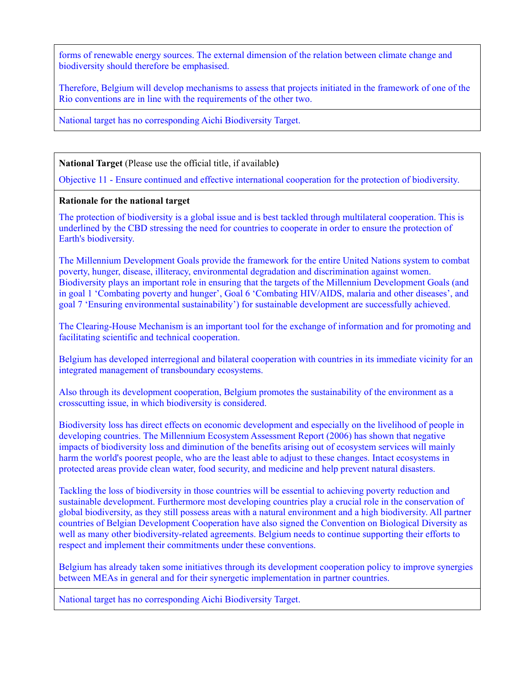forms of renewable energy sources. The external dimension of the relation between climate change and biodiversity should therefore be emphasised.

Therefore, Belgium will develop mechanisms to assess that projects initiated in the framework of one of the Rio conventions are in line with the requirements of the other two.

National target has no corresponding Aichi Biodiversity Target.

**National Target** (Please use the official title, if available**)**

Objective 11 - Ensure continued and effective international cooperation for the protection of biodiversity.

## **Rationale for the national target**

The protection of biodiversity is a global issue and is best tackled through multilateral cooperation. This is underlined by the CBD stressing the need for countries to cooperate in order to ensure the protection of Earth's biodiversity.

The Millennium Development Goals provide the framework for the entire United Nations system to combat poverty, hunger, disease, illiteracy, environmental degradation and discrimination against women. Biodiversity plays an important role in ensuring that the targets of the Millennium Development Goals (and in goal 1 'Combating poverty and hunger', Goal 6 'Combating HIV/AIDS, malaria and other diseases', and goal 7 'Ensuring environmental sustainability') for sustainable development are successfully achieved.

The Clearing-House Mechanism is an important tool for the exchange of information and for promoting and facilitating scientific and technical cooperation.

Belgium has developed interregional and bilateral cooperation with countries in its immediate vicinity for an integrated management of transboundary ecosystems.

Also through its development cooperation, Belgium promotes the sustainability of the environment as a crosscutting issue, in which biodiversity is considered.

Biodiversity loss has direct effects on economic development and especially on the livelihood of people in developing countries. The Millennium Ecosystem Assessment Report (2006) has shown that negative impacts of biodiversity loss and diminution of the benefits arising out of ecosystem services will mainly harm the world's poorest people, who are the least able to adjust to these changes. Intact ecosystems in protected areas provide clean water, food security, and medicine and help prevent natural disasters.

Tackling the loss of biodiversity in those countries will be essential to achieving poverty reduction and sustainable development. Furthermore most developing countries play a crucial role in the conservation of global biodiversity, as they still possess areas with a natural environment and a high biodiversity. All partner countries of Belgian Development Cooperation have also signed the Convention on Biological Diversity as well as many other biodiversity-related agreements. Belgium needs to continue supporting their efforts to respect and implement their commitments under these conventions.

Belgium has already taken some initiatives through its development cooperation policy to improve synergies between MEAs in general and for their synergetic implementation in partner countries.

National target has no corresponding Aichi Biodiversity Target.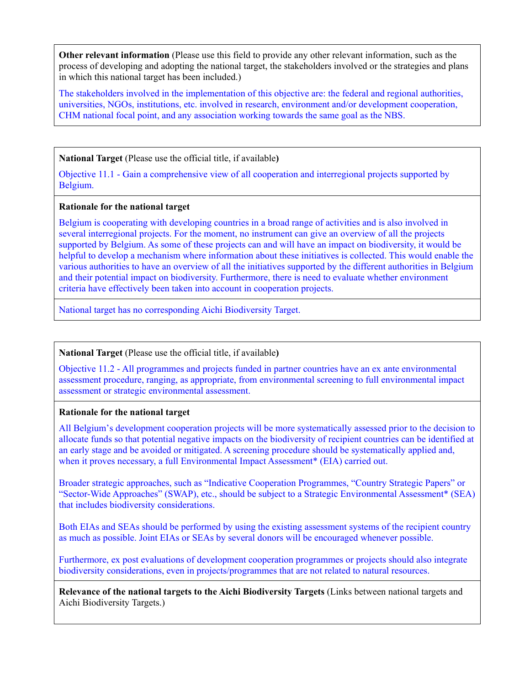**Other relevant information** (Please use this field to provide any other relevant information, such as the process of developing and adopting the national target, the stakeholders involved or the strategies and plans in which this national target has been included.)

The stakeholders involved in the implementation of this objective are: the federal and regional authorities, universities, NGOs, institutions, etc. involved in research, environment and/or development cooperation, CHM national focal point, and any association working towards the same goal as the NBS.

**National Target** (Please use the official title, if available**)**

Objective 11.1 - Gain a comprehensive view of all cooperation and interregional projects supported by Belgium.

## **Rationale for the national target**

Belgium is cooperating with developing countries in a broad range of activities and is also involved in several interregional projects. For the moment, no instrument can give an overview of all the projects supported by Belgium. As some of these projects can and will have an impact on biodiversity, it would be helpful to develop a mechanism where information about these initiatives is collected. This would enable the various authorities to have an overview of all the initiatives supported by the different authorities in Belgium and their potential impact on biodiversity. Furthermore, there is need to evaluate whether environment criteria have effectively been taken into account in cooperation projects.

National target has no corresponding Aichi Biodiversity Target.

## **National Target** (Please use the official title, if available**)**

Objective 11.2 - All programmes and projects funded in partner countries have an ex ante environmental assessment procedure, ranging, as appropriate, from environmental screening to full environmental impact assessment or strategic environmental assessment.

## **Rationale for the national target**

All Belgium's development cooperation projects will be more systematically assessed prior to the decision to allocate funds so that potential negative impacts on the biodiversity of recipient countries can be identified at an early stage and be avoided or mitigated. A screening procedure should be systematically applied and, when it proves necessary, a full Environmental Impact Assessment\* (EIA) carried out.

Broader strategic approaches, such as "Indicative Cooperation Programmes, "Country Strategic Papers" or "Sector-Wide Approaches" (SWAP), etc., should be subject to a Strategic Environmental Assessment\* (SEA) that includes biodiversity considerations.

Both EIAs and SEAs should be performed by using the existing assessment systems of the recipient country as much as possible. Joint EIAs or SEAs by several donors will be encouraged whenever possible.

Furthermore, ex post evaluations of development cooperation programmes or projects should also integrate biodiversity considerations, even in projects/programmes that are not related to natural resources.

**Relevance of the national targets to the Aichi Biodiversity Targets** (Links between national targets and Aichi Biodiversity Targets.)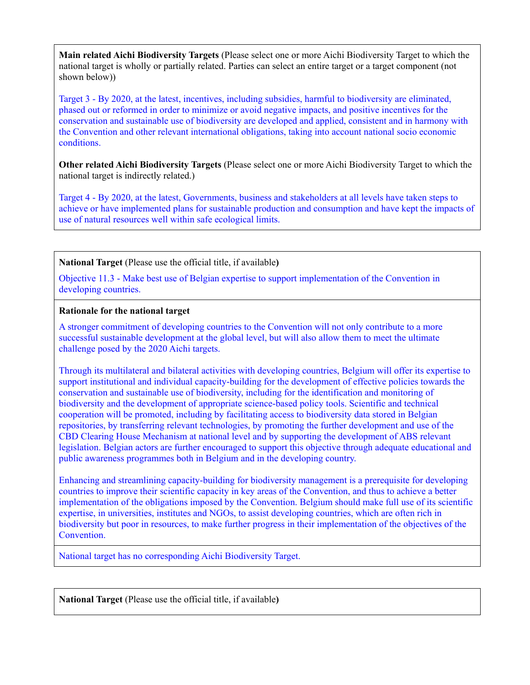**Main related Aichi Biodiversity Targets** (Please select one or more Aichi Biodiversity Target to which the national target is wholly or partially related. Parties can select an entire target or a target component (not shown below))

Target 3 - By 2020, at the latest, incentives, including subsidies, harmful to biodiversity are eliminated, phased out or reformed in order to minimize or avoid negative impacts, and positive incentives for the conservation and sustainable use of biodiversity are developed and applied, consistent and in harmony with the Convention and other relevant international obligations, taking into account national socio economic conditions.

**Other related Aichi Biodiversity Targets** (Please select one or more Aichi Biodiversity Target to which the national target is indirectly related.)

Target 4 - By 2020, at the latest, Governments, business and stakeholders at all levels have taken steps to achieve or have implemented plans for sustainable production and consumption and have kept the impacts of use of natural resources well within safe ecological limits.

**National Target** (Please use the official title, if available**)**

Objective 11.3 - Make best use of Belgian expertise to support implementation of the Convention in developing countries.

## **Rationale for the national target**

A stronger commitment of developing countries to the Convention will not only contribute to a more successful sustainable development at the global level, but will also allow them to meet the ultimate challenge posed by the 2020 Aichi targets.

Through its multilateral and bilateral activities with developing countries, Belgium will offer its expertise to support institutional and individual capacity-building for the development of effective policies towards the conservation and sustainable use of biodiversity, including for the identification and monitoring of biodiversity and the development of appropriate science-based policy tools. Scientific and technical cooperation will be promoted, including by facilitating access to biodiversity data stored in Belgian repositories, by transferring relevant technologies, by promoting the further development and use of the CBD Clearing House Mechanism at national level and by supporting the development of ABS relevant legislation. Belgian actors are further encouraged to support this objective through adequate educational and public awareness programmes both in Belgium and in the developing country.

Enhancing and streamlining capacity-building for biodiversity management is a prerequisite for developing countries to improve their scientific capacity in key areas of the Convention, and thus to achieve a better implementation of the obligations imposed by the Convention. Belgium should make full use of its scientific expertise, in universities, institutes and NGOs, to assist developing countries, which are often rich in biodiversity but poor in resources, to make further progress in their implementation of the objectives of the Convention.

National target has no corresponding Aichi Biodiversity Target.

**National Target** (Please use the official title, if available**)**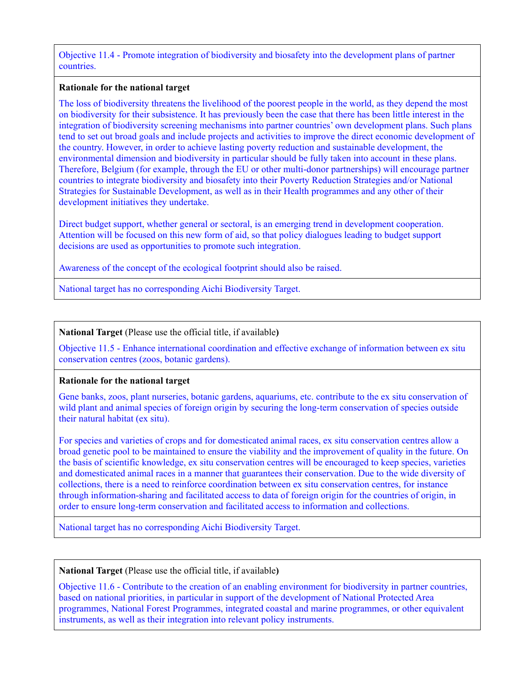Objective 11.4 - Promote integration of biodiversity and biosafety into the development plans of partner countries.

## **Rationale for the national target**

The loss of biodiversity threatens the livelihood of the poorest people in the world, as they depend the most on biodiversity for their subsistence. It has previously been the case that there has been little interest in the integration of biodiversity screening mechanisms into partner countries' own development plans. Such plans tend to set out broad goals and include projects and activities to improve the direct economic development of the country. However, in order to achieve lasting poverty reduction and sustainable development, the environmental dimension and biodiversity in particular should be fully taken into account in these plans. Therefore, Belgium (for example, through the EU or other multi-donor partnerships) will encourage partner countries to integrate biodiversity and biosafety into their Poverty Reduction Strategies and/or National Strategies for Sustainable Development, as well as in their Health programmes and any other of their development initiatives they undertake.

Direct budget support, whether general or sectoral, is an emerging trend in development cooperation. Attention will be focused on this new form of aid, so that policy dialogues leading to budget support decisions are used as opportunities to promote such integration.

Awareness of the concept of the ecological footprint should also be raised.

National target has no corresponding Aichi Biodiversity Target.

# **National Target** (Please use the official title, if available**)**

Objective 11.5 - Enhance international coordination and effective exchange of information between ex situ conservation centres (zoos, botanic gardens).

## **Rationale for the national target**

Gene banks, zoos, plant nurseries, botanic gardens, aquariums, etc. contribute to the ex situ conservation of wild plant and animal species of foreign origin by securing the long-term conservation of species outside their natural habitat (ex situ).

For species and varieties of crops and for domesticated animal races, ex situ conservation centres allow a broad genetic pool to be maintained to ensure the viability and the improvement of quality in the future. On the basis of scientific knowledge, ex situ conservation centres will be encouraged to keep species, varieties and domesticated animal races in a manner that guarantees their conservation. Due to the wide diversity of collections, there is a need to reinforce coordination between ex situ conservation centres, for instance through information-sharing and facilitated access to data of foreign origin for the countries of origin, in order to ensure long-term conservation and facilitated access to information and collections.

National target has no corresponding Aichi Biodiversity Target.

## **National Target** (Please use the official title, if available**)**

Objective 11.6 - Contribute to the creation of an enabling environment for biodiversity in partner countries, based on national priorities, in particular in support of the development of National Protected Area programmes, National Forest Programmes, integrated coastal and marine programmes, or other equivalent instruments, as well as their integration into relevant policy instruments.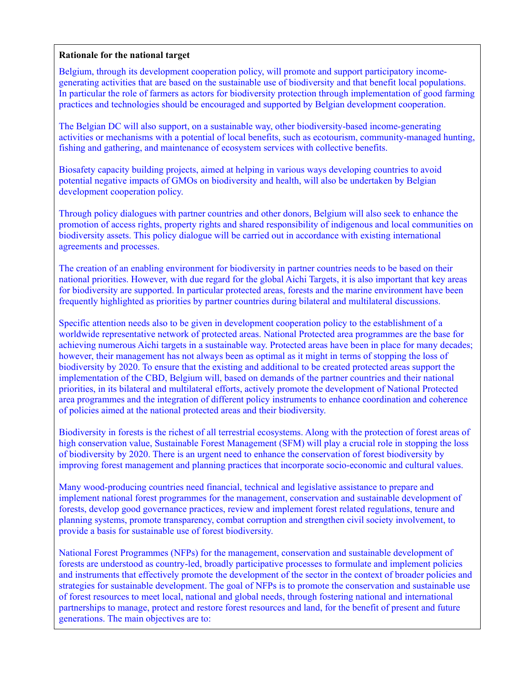## **Rationale for the national target**

Belgium, through its development cooperation policy, will promote and support participatory incomegenerating activities that are based on the sustainable use of biodiversity and that benefit local populations. In particular the role of farmers as actors for biodiversity protection through implementation of good farming practices and technologies should be encouraged and supported by Belgian development cooperation.

The Belgian DC will also support, on a sustainable way, other biodiversity-based income-generating activities or mechanisms with a potential of local benefits, such as ecotourism, community-managed hunting, fishing and gathering, and maintenance of ecosystem services with collective benefits.

Biosafety capacity building projects, aimed at helping in various ways developing countries to avoid potential negative impacts of GMOs on biodiversity and health, will also be undertaken by Belgian development cooperation policy.

Through policy dialogues with partner countries and other donors, Belgium will also seek to enhance the promotion of access rights, property rights and shared responsibility of indigenous and local communities on biodiversity assets. This policy dialogue will be carried out in accordance with existing international agreements and processes.

The creation of an enabling environment for biodiversity in partner countries needs to be based on their national priorities. However, with due regard for the global Aichi Targets, it is also important that key areas for biodiversity are supported. In particular protected areas, forests and the marine environment have been frequently highlighted as priorities by partner countries during bilateral and multilateral discussions.

Specific attention needs also to be given in development cooperation policy to the establishment of a worldwide representative network of protected areas. National Protected area programmes are the base for achieving numerous Aichi targets in a sustainable way. Protected areas have been in place for many decades; however, their management has not always been as optimal as it might in terms of stopping the loss of biodiversity by 2020. To ensure that the existing and additional to be created protected areas support the implementation of the CBD, Belgium will, based on demands of the partner countries and their national priorities, in its bilateral and multilateral efforts, actively promote the development of National Protected area programmes and the integration of different policy instruments to enhance coordination and coherence of policies aimed at the national protected areas and their biodiversity.

Biodiversity in forests is the richest of all terrestrial ecosystems. Along with the protection of forest areas of high conservation value, Sustainable Forest Management (SFM) will play a crucial role in stopping the loss of biodiversity by 2020. There is an urgent need to enhance the conservation of forest biodiversity by improving forest management and planning practices that incorporate socio-economic and cultural values.

Many wood-producing countries need financial, technical and legislative assistance to prepare and implement national forest programmes for the management, conservation and sustainable development of forests, develop good governance practices, review and implement forest related regulations, tenure and planning systems, promote transparency, combat corruption and strengthen civil society involvement, to provide a basis for sustainable use of forest biodiversity.

National Forest Programmes (NFPs) for the management, conservation and sustainable development of forests are understood as country-led, broadly participative processes to formulate and implement policies and instruments that effectively promote the development of the sector in the context of broader policies and strategies for sustainable development. The goal of NFPs is to promote the conservation and sustainable use of forest resources to meet local, national and global needs, through fostering national and international partnerships to manage, protect and restore forest resources and land, for the benefit of present and future generations. The main objectives are to: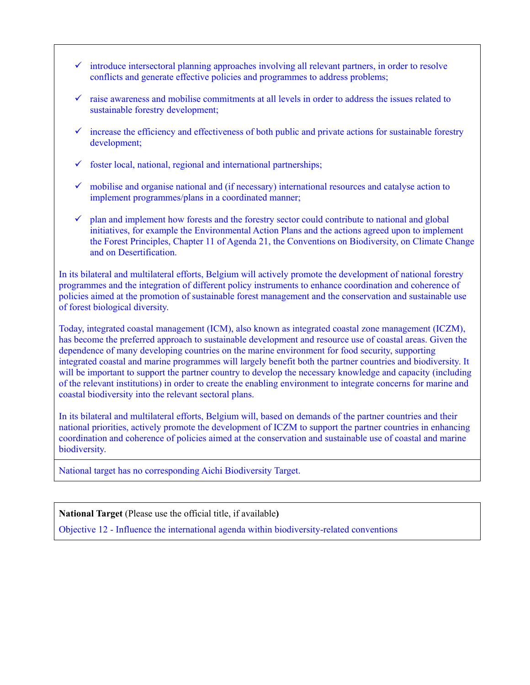- $\checkmark$  introduce intersectoral planning approaches involving all relevant partners, in order to resolve conflicts and generate effective policies and programmes to address problems;
- raise awareness and mobilise commitments at all levels in order to address the issues related to sustainable forestry development;
- $\checkmark$  increase the efficiency and effectiveness of both public and private actions for sustainable forestry development;
- $\checkmark$  foster local, national, regional and international partnerships;
- $\checkmark$  mobilise and organise national and (if necessary) international resources and catalyse action to implement programmes/plans in a coordinated manner;
- $\checkmark$  plan and implement how forests and the forestry sector could contribute to national and global initiatives, for example the Environmental Action Plans and the actions agreed upon to implement the Forest Principles, Chapter 11 of Agenda 21, the Conventions on Biodiversity, on Climate Change and on Desertification.

In its bilateral and multilateral efforts, Belgium will actively promote the development of national forestry programmes and the integration of different policy instruments to enhance coordination and coherence of policies aimed at the promotion of sustainable forest management and the conservation and sustainable use of forest biological diversity.

Today, integrated coastal management (ICM), also known as integrated coastal zone management (ICZM), has become the preferred approach to sustainable development and resource use of coastal areas. Given the dependence of many developing countries on the marine environment for food security, supporting integrated coastal and marine programmes will largely benefit both the partner countries and biodiversity. It will be important to support the partner country to develop the necessary knowledge and capacity (including of the relevant institutions) in order to create the enabling environment to integrate concerns for marine and coastal biodiversity into the relevant sectoral plans.

In its bilateral and multilateral efforts, Belgium will, based on demands of the partner countries and their national priorities, actively promote the development of ICZM to support the partner countries in enhancing coordination and coherence of policies aimed at the conservation and sustainable use of coastal and marine biodiversity.

National target has no corresponding Aichi Biodiversity Target.

**National Target** (Please use the official title, if available**)**

Objective 12 - Influence the international agenda within biodiversity-related conventions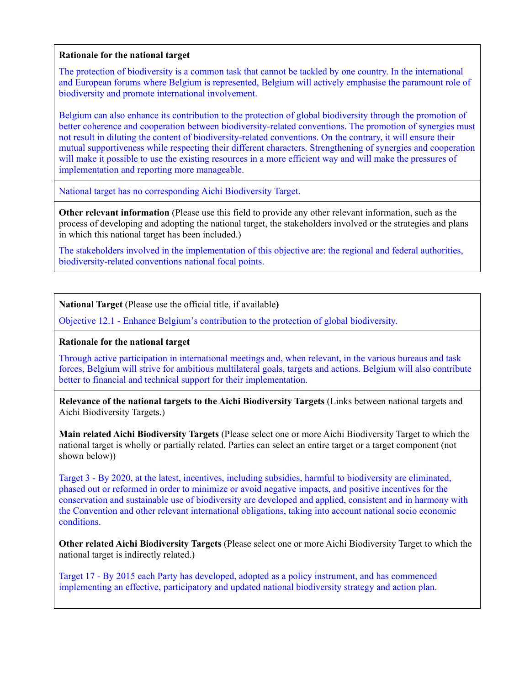## **Rationale for the national target**

The protection of biodiversity is a common task that cannot be tackled by one country. In the international and European forums where Belgium is represented, Belgium will actively emphasise the paramount role of biodiversity and promote international involvement.

Belgium can also enhance its contribution to the protection of global biodiversity through the promotion of better coherence and cooperation between biodiversity-related conventions. The promotion of synergies must not result in diluting the content of biodiversity-related conventions. On the contrary, it will ensure their mutual supportiveness while respecting their different characters. Strengthening of synergies and cooperation will make it possible to use the existing resources in a more efficient way and will make the pressures of implementation and reporting more manageable.

National target has no corresponding Aichi Biodiversity Target.

**Other relevant information** (Please use this field to provide any other relevant information, such as the process of developing and adopting the national target, the stakeholders involved or the strategies and plans in which this national target has been included.)

The stakeholders involved in the implementation of this objective are: the regional and federal authorities, biodiversity-related conventions national focal points.

**National Target** (Please use the official title, if available**)**

Objective 12.1 - Enhance Belgium's contribution to the protection of global biodiversity.

## **Rationale for the national target**

Through active participation in international meetings and, when relevant, in the various bureaus and task forces, Belgium will strive for ambitious multilateral goals, targets and actions. Belgium will also contribute better to financial and technical support for their implementation.

**Relevance of the national targets to the Aichi Biodiversity Targets** (Links between national targets and Aichi Biodiversity Targets.)

**Main related Aichi Biodiversity Targets** (Please select one or more Aichi Biodiversity Target to which the national target is wholly or partially related. Parties can select an entire target or a target component (not shown below))

Target 3 - By 2020, at the latest, incentives, including subsidies, harmful to biodiversity are eliminated, phased out or reformed in order to minimize or avoid negative impacts, and positive incentives for the conservation and sustainable use of biodiversity are developed and applied, consistent and in harmony with the Convention and other relevant international obligations, taking into account national socio economic conditions.

**Other related Aichi Biodiversity Targets** (Please select one or more Aichi Biodiversity Target to which the national target is indirectly related.)

Target 17 - By 2015 each Party has developed, adopted as a policy instrument, and has commenced implementing an effective, participatory and updated national biodiversity strategy and action plan.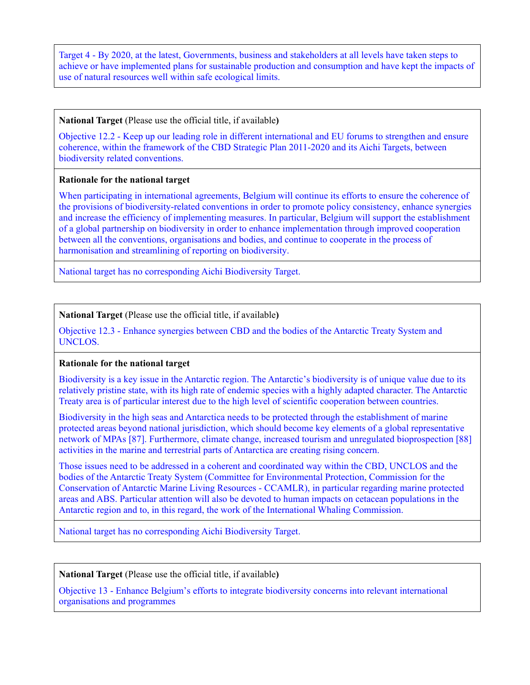Target 4 - By 2020, at the latest, Governments, business and stakeholders at all levels have taken steps to achieve or have implemented plans for sustainable production and consumption and have kept the impacts of use of natural resources well within safe ecological limits.

#### **National Target** (Please use the official title, if available**)**

Objective 12.2 - Keep up our leading role in different international and EU forums to strengthen and ensure coherence, within the framework of the CBD Strategic Plan 2011-2020 and its Aichi Targets, between biodiversity related conventions.

## **Rationale for the national target**

When participating in international agreements, Belgium will continue its efforts to ensure the coherence of the provisions of biodiversity-related conventions in order to promote policy consistency, enhance synergies and increase the efficiency of implementing measures. In particular, Belgium will support the establishment of a global partnership on biodiversity in order to enhance implementation through improved cooperation between all the conventions, organisations and bodies, and continue to cooperate in the process of harmonisation and streamlining of reporting on biodiversity.

National target has no corresponding Aichi Biodiversity Target.

**National Target** (Please use the official title, if available**)**

Objective 12.3 - Enhance synergies between CBD and the bodies of the Antarctic Treaty System and UNCLOS.

## **Rationale for the national target**

Biodiversity is a key issue in the Antarctic region. The Antarctic's biodiversity is of unique value due to its relatively pristine state, with its high rate of endemic species with a highly adapted character. The Antarctic Treaty area is of particular interest due to the high level of scientific cooperation between countries.

Biodiversity in the high seas and Antarctica needs to be protected through the establishment of marine protected areas beyond national jurisdiction, which should become key elements of a global representative network of MPAs [87]. Furthermore, climate change, increased tourism and unregulated bioprospection [88] activities in the marine and terrestrial parts of Antarctica are creating rising concern.

Those issues need to be addressed in a coherent and coordinated way within the CBD, UNCLOS and the bodies of the Antarctic Treaty System (Committee for Environmental Protection, Commission for the Conservation of Antarctic Marine Living Resources - CCAMLR), in particular regarding marine protected areas and ABS. Particular attention will also be devoted to human impacts on cetacean populations in the Antarctic region and to, in this regard, the work of the International Whaling Commission.

National target has no corresponding Aichi Biodiversity Target.

**National Target** (Please use the official title, if available**)**

Objective 13 - Enhance Belgium's efforts to integrate biodiversity concerns into relevant international organisations and programmes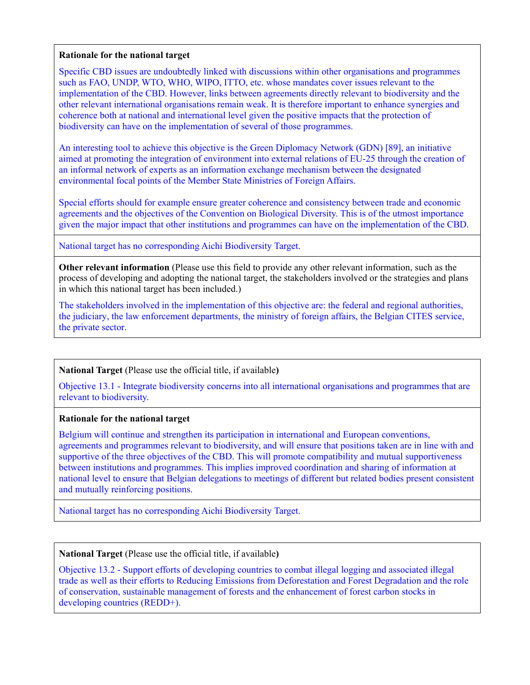#### **Rationale for the national target**

Specific CBD issues are undoubtedly linked with discussions within other organisations and programmes such as FAO, UNDP, WTO, WHO, WIPO, ITTO, etc. whose mandates cover issues relevant to the implementation of the CBD. However, links between agreements directly relevant to biodiversity and the other relevant international organisations remain weak. It is therefore important to enhance synergies and coherence both at national and international level given the positive impacts that the protection of biodiversity can have on the implementation of several of those programmes.

An interesting tool to achieve this objective is the Green Diplomacy Network (GDN) [89], an initiative aimed at promoting the integration of environment into external relations of EU-25 through the creation of an informal network of experts as an information exchange mechanism between the designated environmental focal points of the Member State Ministries of Foreign Affairs.

Special efforts should for example ensure greater coherence and consistency between trade and economic agreements and the objectives of the Convention on Biological Diversity. This is of the utmost importance given the major impact that other institutions and programmes can have on the implementation of the CBD.

National target has no corresponding Aichi Biodiversity Target.

**Other relevant information** (Please use this field to provide any other relevant information, such as the process of developing and adopting the national target, the stakeholders involved or the strategies and plans in which this national target has been included.)

The stakeholders involved in the implementation of this objective are: the federal and regional authorities, the judiciary, the law enforcement departments, the ministry of foreign affairs, the Belgian CITES service, the private sector.

# **National Target** (Please use the official title, if available**)**

Objective 13.1 - Integrate biodiversity concerns into all international organisations and programmes that are relevant to biodiversity.

# **Rationale for the national target**

Belgium will continue and strengthen its participation in international and European conventions, agreements and programmes relevant to biodiversity, and will ensure that positions taken are in line with and supportive of the three objectives of the CBD. This will promote compatibility and mutual supportiveness between institutions and programmes. This implies improved coordination and sharing of information at national level to ensure that Belgian delegations to meetings of different but related bodies present consistent and mutually reinforcing positions.

National target has no corresponding Aichi Biodiversity Target.

## **National Target** (Please use the official title, if available**)**

Objective 13.2 - Support efforts of developing countries to combat illegal logging and associated illegal trade as well as their efforts to Reducing Emissions from Deforestation and Forest Degradation and the role of conservation, sustainable management of forests and the enhancement of forest carbon stocks in developing countries (REDD+).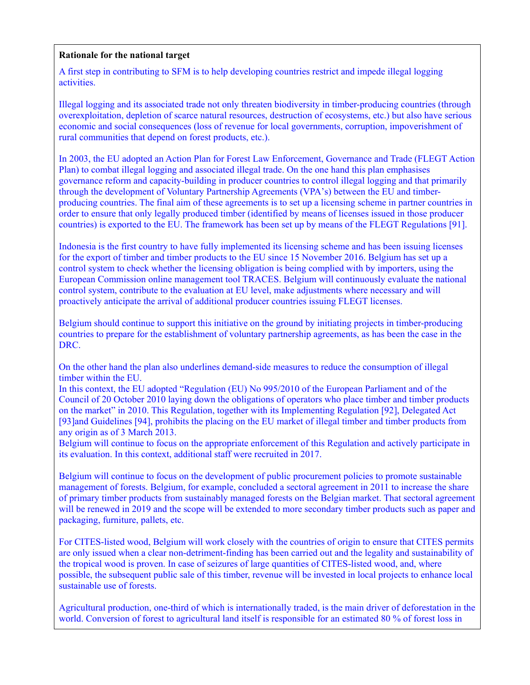# **Rationale for the national target**

A first step in contributing to SFM is to help developing countries restrict and impede illegal logging activities.

Illegal logging and its associated trade not only threaten biodiversity in timber-producing countries (through overexploitation, depletion of scarce natural resources, destruction of ecosystems, etc.) but also have serious economic and social consequences (loss of revenue for local governments, corruption, impoverishment of rural communities that depend on forest products, etc.).

In 2003, the EU adopted an Action Plan for Forest Law Enforcement, Governance and Trade (FLEGT Action Plan) to combat illegal logging and associated illegal trade. On the one hand this plan emphasises governance reform and capacity-building in producer countries to control illegal logging and that primarily through the development of Voluntary Partnership Agreements (VPA's) between the EU and timberproducing countries. The final aim of these agreements is to set up a licensing scheme in partner countries in order to ensure that only legally produced timber (identified by means of licenses issued in those producer countries) is exported to the EU. The framework has been set up by means of the FLEGT Regulations [91].

Indonesia is the first country to have fully implemented its licensing scheme and has been issuing licenses for the export of timber and timber products to the EU since 15 November 2016. Belgium has set up a control system to check whether the licensing obligation is being complied with by importers, using the European Commission online management tool TRACES. Belgium will continuously evaluate the national control system, contribute to the evaluation at EU level, make adjustments where necessary and will proactively anticipate the arrival of additional producer countries issuing FLEGT licenses.

Belgium should continue to support this initiative on the ground by initiating projects in timber-producing countries to prepare for the establishment of voluntary partnership agreements, as has been the case in the DRC.

On the other hand the plan also underlines demand-side measures to reduce the consumption of illegal timber within the EU.

In this context, the EU adopted "Regulation (EU) No 995/2010 of the European Parliament and of the Council of 20 October 2010 laying down the obligations of operators who place timber and timber products on the market" in 2010. This Regulation, together with its Implementing Regulation [92], Delegated Act [93]and Guidelines [94], prohibits the placing on the EU market of illegal timber and timber products from any origin as of 3 March 2013.

Belgium will continue to focus on the appropriate enforcement of this Regulation and actively participate in its evaluation. In this context, additional staff were recruited in 2017.

Belgium will continue to focus on the development of public procurement policies to promote sustainable management of forests. Belgium, for example, concluded a sectoral agreement in 2011 to increase the share of primary timber products from sustainably managed forests on the Belgian market. That sectoral agreement will be renewed in 2019 and the scope will be extended to more secondary timber products such as paper and packaging, furniture, pallets, etc.

For CITES-listed wood, Belgium will work closely with the countries of origin to ensure that CITES permits are only issued when a clear non-detriment-finding has been carried out and the legality and sustainability of the tropical wood is proven. In case of seizures of large quantities of CITES-listed wood, and, where possible, the subsequent public sale of this timber, revenue will be invested in local projects to enhance local sustainable use of forests.

Agricultural production, one-third of which is internationally traded, is the main driver of deforestation in the world. Conversion of forest to agricultural land itself is responsible for an estimated 80 % of forest loss in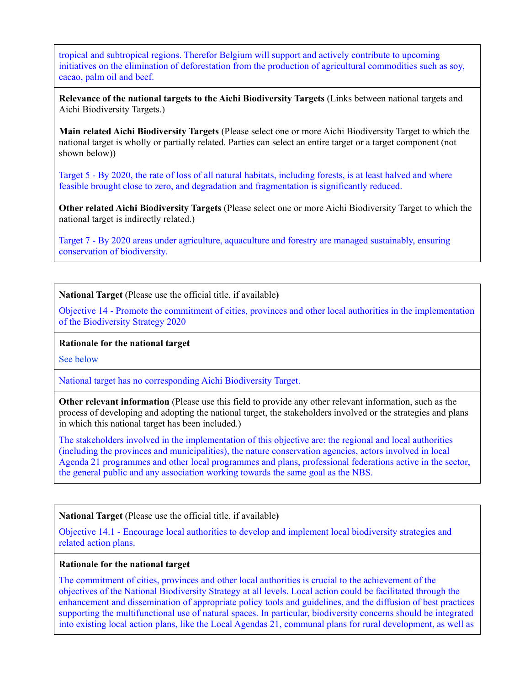tropical and subtropical regions. Therefor Belgium will support and actively contribute to upcoming initiatives on the elimination of deforestation from the production of agricultural commodities such as soy, cacao, palm oil and beef.

**Relevance of the national targets to the Aichi Biodiversity Targets** (Links between national targets and Aichi Biodiversity Targets.)

**Main related Aichi Biodiversity Targets** (Please select one or more Aichi Biodiversity Target to which the national target is wholly or partially related. Parties can select an entire target or a target component (not shown below))

Target 5 - By 2020, the rate of loss of all natural habitats, including forests, is at least halved and where feasible brought close to zero, and degradation and fragmentation is significantly reduced.

**Other related Aichi Biodiversity Targets** (Please select one or more Aichi Biodiversity Target to which the national target is indirectly related.)

Target 7 - By 2020 areas under agriculture, aquaculture and forestry are managed sustainably, ensuring conservation of biodiversity.

**National Target** (Please use the official title, if available**)**

Objective 14 - Promote the commitment of cities, provinces and other local authorities in the implementation of the Biodiversity Strategy 2020

#### **Rationale for the national target**

See below

National target has no corresponding Aichi Biodiversity Target.

**Other relevant information** (Please use this field to provide any other relevant information, such as the process of developing and adopting the national target, the stakeholders involved or the strategies and plans in which this national target has been included.)

The stakeholders involved in the implementation of this objective are: the regional and local authorities (including the provinces and municipalities), the nature conservation agencies, actors involved in local Agenda 21 programmes and other local programmes and plans, professional federations active in the sector, the general public and any association working towards the same goal as the NBS.

**National Target** (Please use the official title, if available**)**

Objective 14.1 - Encourage local authorities to develop and implement local biodiversity strategies and related action plans.

#### **Rationale for the national target**

The commitment of cities, provinces and other local authorities is crucial to the achievement of the objectives of the National Biodiversity Strategy at all levels. Local action could be facilitated through the enhancement and dissemination of appropriate policy tools and guidelines, and the diffusion of best practices supporting the multifunctional use of natural spaces. In particular, biodiversity concerns should be integrated into existing local action plans, like the Local Agendas 21, communal plans for rural development, as well as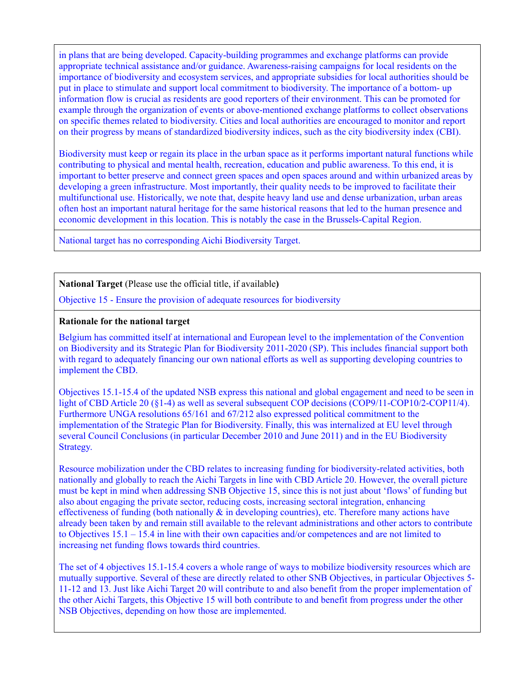in plans that are being developed. Capacity-building programmes and exchange platforms can provide appropriate technical assistance and/or guidance. Awareness-raising campaigns for local residents on the importance of biodiversity and ecosystem services, and appropriate subsidies for local authorities should be put in place to stimulate and support local commitment to biodiversity. The importance of a bottom- up information flow is crucial as residents are good reporters of their environment. This can be promoted for example through the organization of events or above-mentioned exchange platforms to collect observations on specific themes related to biodiversity. Cities and local authorities are encouraged to monitor and report on their progress by means of standardized biodiversity indices, such as the city biodiversity index (CBI).

Biodiversity must keep or regain its place in the urban space as it performs important natural functions while contributing to physical and mental health, recreation, education and public awareness. To this end, it is important to better preserve and connect green spaces and open spaces around and within urbanized areas by developing a green infrastructure. Most importantly, their quality needs to be improved to facilitate their multifunctional use. Historically, we note that, despite heavy land use and dense urbanization, urban areas often host an important natural heritage for the same historical reasons that led to the human presence and economic development in this location. This is notably the case in the Brussels-Capital Region.

National target has no corresponding Aichi Biodiversity Target.

**National Target** (Please use the official title, if available**)**

Objective 15 - Ensure the provision of adequate resources for biodiversity

# **Rationale for the national target**

Belgium has committed itself at international and European level to the implementation of the Convention on Biodiversity and its Strategic Plan for Biodiversity 2011-2020 (SP). This includes financial support both with regard to adequately financing our own national efforts as well as supporting developing countries to implement the CBD.

Objectives 15.1-15.4 of the updated NSB express this national and global engagement and need to be seen in light of CBD Article 20 (§1-4) as well as several subsequent COP decisions (COP9/11-COP10/2-COP11/4). Furthermore UNGA resolutions 65/161 and 67/212 also expressed political commitment to the implementation of the Strategic Plan for Biodiversity. Finally, this was internalized at EU level through several Council Conclusions (in particular December 2010 and June 2011) and in the EU Biodiversity Strategy.

Resource mobilization under the CBD relates to increasing funding for biodiversity-related activities, both nationally and globally to reach the Aichi Targets in line with CBD Article 20. However, the overall picture must be kept in mind when addressing SNB Objective 15, since this is not just about 'flows' of funding but also about engaging the private sector, reducing costs, increasing sectoral integration, enhancing effectiveness of funding (both nationally  $\&$  in developing countries), etc. Therefore many actions have already been taken by and remain still available to the relevant administrations and other actors to contribute to Objectives 15.1 – 15.4 in line with their own capacities and/or competences and are not limited to increasing net funding flows towards third countries.

The set of 4 objectives 15.1-15.4 covers a whole range of ways to mobilize biodiversity resources which are mutually supportive. Several of these are directly related to other SNB Objectives, in particular Objectives 5- 11-12 and 13. Just like Aichi Target 20 will contribute to and also benefit from the proper implementation of the other Aichi Targets, this Objective 15 will both contribute to and benefit from progress under the other NSB Objectives, depending on how those are implemented.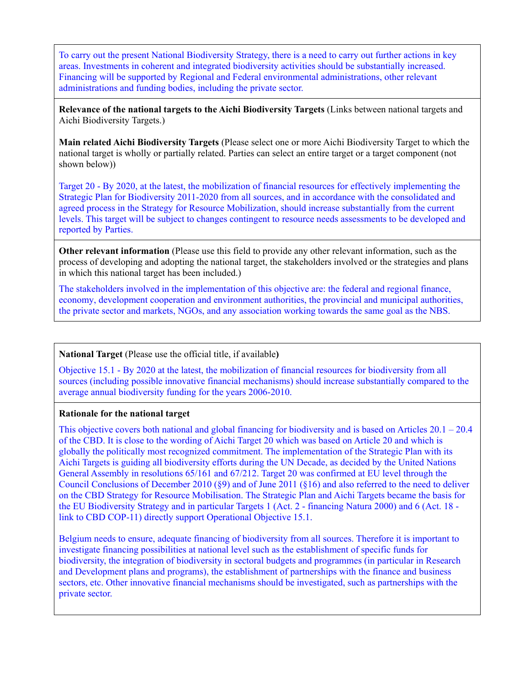To carry out the present National Biodiversity Strategy, there is a need to carry out further actions in key areas. Investments in coherent and integrated biodiversity activities should be substantially increased. Financing will be supported by Regional and Federal environmental administrations, other relevant administrations and funding bodies, including the private sector.

**Relevance of the national targets to the Aichi Biodiversity Targets** (Links between national targets and Aichi Biodiversity Targets.)

**Main related Aichi Biodiversity Targets** (Please select one or more Aichi Biodiversity Target to which the national target is wholly or partially related. Parties can select an entire target or a target component (not shown below))

Target 20 - By 2020, at the latest, the mobilization of financial resources for effectively implementing the Strategic Plan for Biodiversity 2011-2020 from all sources, and in accordance with the consolidated and agreed process in the Strategy for Resource Mobilization, should increase substantially from the current levels. This target will be subject to changes contingent to resource needs assessments to be developed and reported by Parties.

**Other relevant information** (Please use this field to provide any other relevant information, such as the process of developing and adopting the national target, the stakeholders involved or the strategies and plans in which this national target has been included.)

The stakeholders involved in the implementation of this objective are: the federal and regional finance, economy, development cooperation and environment authorities, the provincial and municipal authorities, the private sector and markets, NGOs, and any association working towards the same goal as the NBS.

#### **National Target** (Please use the official title, if available**)**

Objective 15.1 - By 2020 at the latest, the mobilization of financial resources for biodiversity from all sources (including possible innovative financial mechanisms) should increase substantially compared to the average annual biodiversity funding for the years 2006-2010.

#### **Rationale for the national target**

This objective covers both national and global financing for biodiversity and is based on Articles  $20.1 - 20.4$ of the CBD. It is close to the wording of Aichi Target 20 which was based on Article 20 and which is globally the politically most recognized commitment. The implementation of the Strategic Plan with its Aichi Targets is guiding all biodiversity efforts during the UN Decade, as decided by the United Nations General Assembly in resolutions 65/161 and 67/212. Target 20 was confirmed at EU level through the Council Conclusions of December 2010 (§9) and of June 2011 (§16) and also referred to the need to deliver on the CBD Strategy for Resource Mobilisation. The Strategic Plan and Aichi Targets became the basis for the EU Biodiversity Strategy and in particular Targets 1 (Act. 2 - financing Natura 2000) and 6 (Act. 18 link to CBD COP-11) directly support Operational Objective 15.1.

Belgium needs to ensure, adequate financing of biodiversity from all sources. Therefore it is important to investigate financing possibilities at national level such as the establishment of specific funds for biodiversity, the integration of biodiversity in sectoral budgets and programmes (in particular in Research and Development plans and programs), the establishment of partnerships with the finance and business sectors, etc. Other innovative financial mechanisms should be investigated, such as partnerships with the private sector.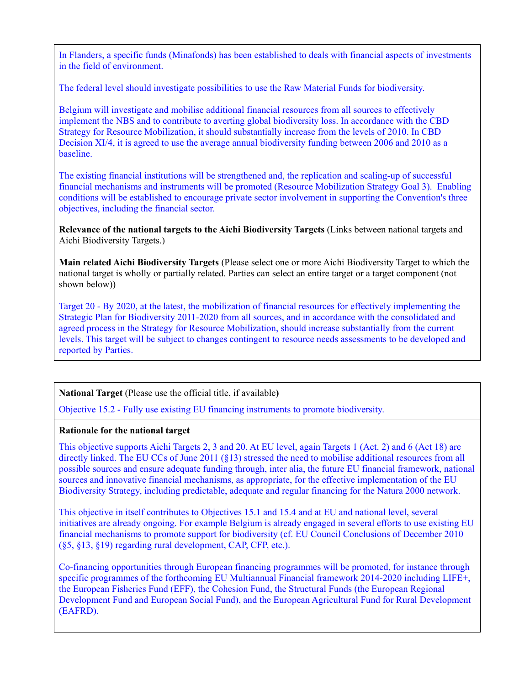In Flanders, a specific funds (Minafonds) has been established to deals with financial aspects of investments in the field of environment.

The federal level should investigate possibilities to use the Raw Material Funds for biodiversity.

Belgium will investigate and mobilise additional financial resources from all sources to effectively implement the NBS and to contribute to averting global biodiversity loss. In accordance with the CBD Strategy for Resource Mobilization, it should substantially increase from the levels of 2010. In CBD Decision XI/4, it is agreed to use the average annual biodiversity funding between 2006 and 2010 as a baseline.

The existing financial institutions will be strengthened and, the replication and scaling-up of successful financial mechanisms and instruments will be promoted (Resource Mobilization Strategy Goal 3). Enabling conditions will be established to encourage private sector involvement in supporting the Convention's three objectives, including the financial sector.

**Relevance of the national targets to the Aichi Biodiversity Targets** (Links between national targets and Aichi Biodiversity Targets.)

**Main related Aichi Biodiversity Targets** (Please select one or more Aichi Biodiversity Target to which the national target is wholly or partially related. Parties can select an entire target or a target component (not shown below))

Target 20 - By 2020, at the latest, the mobilization of financial resources for effectively implementing the Strategic Plan for Biodiversity 2011-2020 from all sources, and in accordance with the consolidated and agreed process in the Strategy for Resource Mobilization, should increase substantially from the current levels. This target will be subject to changes contingent to resource needs assessments to be developed and reported by Parties.

# **National Target** (Please use the official title, if available**)**

Objective 15.2 - Fully use existing EU financing instruments to promote biodiversity.

## **Rationale for the national target**

This objective supports Aichi Targets 2, 3 and 20. At EU level, again Targets 1 (Act. 2) and 6 (Act 18) are directly linked. The EU CCs of June 2011 (§13) stressed the need to mobilise additional resources from all possible sources and ensure adequate funding through, inter alia, the future EU financial framework, national sources and innovative financial mechanisms, as appropriate, for the effective implementation of the EU Biodiversity Strategy, including predictable, adequate and regular financing for the Natura 2000 network.

This objective in itself contributes to Objectives 15.1 and 15.4 and at EU and national level, several initiatives are already ongoing. For example Belgium is already engaged in several efforts to use existing EU financial mechanisms to promote support for biodiversity (cf. EU Council Conclusions of December 2010 (§5, §13, §19) regarding rural development, CAP, CFP, etc.).

Co-financing opportunities through European financing programmes will be promoted, for instance through specific programmes of the forthcoming EU Multiannual Financial framework 2014-2020 including LIFE+, the European Fisheries Fund (EFF), the Cohesion Fund, the Structural Funds (the European Regional Development Fund and European Social Fund), and the European Agricultural Fund for Rural Development (EAFRD).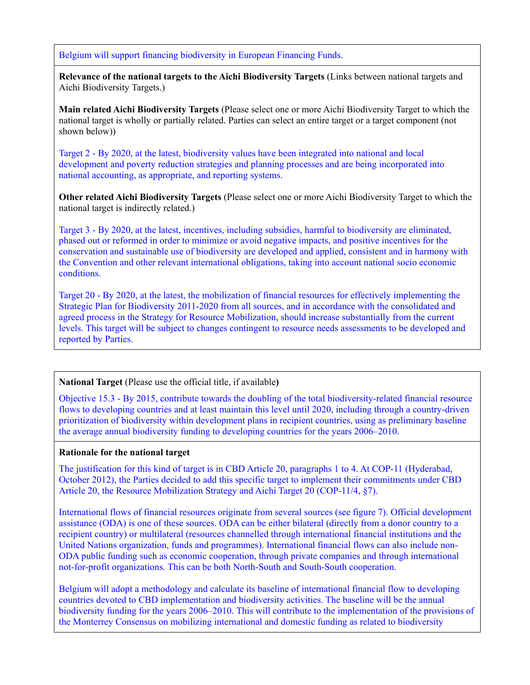Belgium will support financing biodiversity in European Financing Funds.

**Relevance of the national targets to the Aichi Biodiversity Targets** (Links between national targets and Aichi Biodiversity Targets.)

**Main related Aichi Biodiversity Targets** (Please select one or more Aichi Biodiversity Target to which the national target is wholly or partially related. Parties can select an entire target or a target component (not shown below))

Target 2 - By 2020, at the latest, biodiversity values have been integrated into national and local development and poverty reduction strategies and planning processes and are being incorporated into national accounting, as appropriate, and reporting systems.

**Other related Aichi Biodiversity Targets** (Please select one or more Aichi Biodiversity Target to which the national target is indirectly related.)

Target 3 - By 2020, at the latest, incentives, including subsidies, harmful to biodiversity are eliminated, phased out or reformed in order to minimize or avoid negative impacts, and positive incentives for the conservation and sustainable use of biodiversity are developed and applied, consistent and in harmony with the Convention and other relevant international obligations, taking into account national socio economic conditions.

Target 20 - By 2020, at the latest, the mobilization of financial resources for effectively implementing the Strategic Plan for Biodiversity 2011-2020 from all sources, and in accordance with the consolidated and agreed process in the Strategy for Resource Mobilization, should increase substantially from the current levels. This target will be subject to changes contingent to resource needs assessments to be developed and reported by Parties.

#### **National Target** (Please use the official title, if available**)**

Objective 15.3 - By 2015, contribute towards the doubling of the total biodiversity-related financial resource flows to developing countries and at least maintain this level until 2020, including through a country-driven prioritization of biodiversity within development plans in recipient countries, using as preliminary baseline the average annual biodiversity funding to developing countries for the years 2006–2010.

#### **Rationale for the national target**

The justification for this kind of target is in CBD Article 20, paragraphs 1 to 4. At COP-11 (Hyderabad, October 2012), the Parties decided to add this specific target to implement their commitments under CBD Article 20, the Resource Mobilization Strategy and Aichi Target 20 (COP-11/4, §7).

International flows of financial resources originate from several sources (see figure 7). Official development assistance (ODA) is one of these sources. ODA can be either bilateral (directly from a donor country to a recipient country) or multilateral (resources channelled through international financial institutions and the United Nations organization, funds and programmes). International financial flows can also include non-ODA public funding such as economic cooperation, through private companies and through international not-for-profit organizations. This can be both North-South and South-South cooperation.

Belgium will adopt a methodology and calculate its baseline of international financial flow to developing countries devoted to CBD implementation and biodiversity activities. The baseline will be the annual biodiversity funding for the years 2006–2010. This will contribute to the implementation of the provisions of the Monterrey Consensus on mobilizing international and domestic funding as related to biodiversity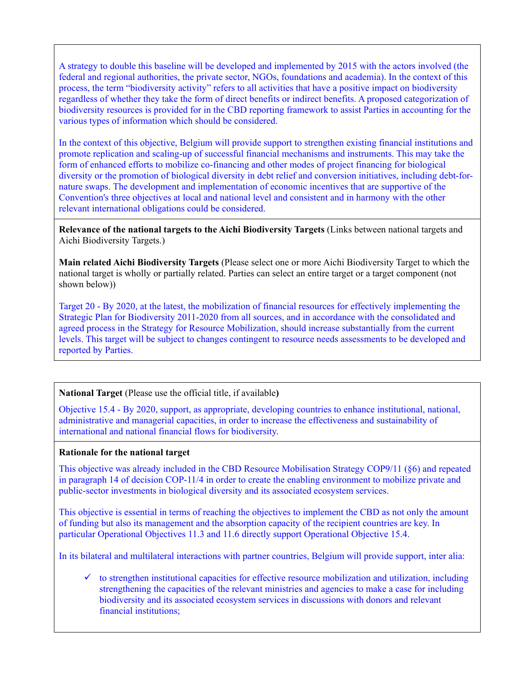A strategy to double this baseline will be developed and implemented by 2015 with the actors involved (the federal and regional authorities, the private sector, NGOs, foundations and academia). In the context of this process, the term "biodiversity activity" refers to all activities that have a positive impact on biodiversity regardless of whether they take the form of direct benefits or indirect benefits. A proposed categorization of biodiversity resources is provided for in the CBD reporting framework to assist Parties in accounting for the various types of information which should be considered.

In the context of this objective, Belgium will provide support to strengthen existing financial institutions and promote replication and scaling-up of successful financial mechanisms and instruments. This may take the form of enhanced efforts to mobilize co-financing and other modes of project financing for biological diversity or the promotion of biological diversity in debt relief and conversion initiatives, including debt-fornature swaps. The development and implementation of economic incentives that are supportive of the Convention's three objectives at local and national level and consistent and in harmony with the other relevant international obligations could be considered.

**Relevance of the national targets to the Aichi Biodiversity Targets** (Links between national targets and Aichi Biodiversity Targets.)

**Main related Aichi Biodiversity Targets** (Please select one or more Aichi Biodiversity Target to which the national target is wholly or partially related. Parties can select an entire target or a target component (not shown below))

Target 20 - By 2020, at the latest, the mobilization of financial resources for effectively implementing the Strategic Plan for Biodiversity 2011-2020 from all sources, and in accordance with the consolidated and agreed process in the Strategy for Resource Mobilization, should increase substantially from the current levels. This target will be subject to changes contingent to resource needs assessments to be developed and reported by Parties.

## **National Target** (Please use the official title, if available**)**

Objective 15.4 - By 2020, support, as appropriate, developing countries to enhance institutional, national, administrative and managerial capacities, in order to increase the effectiveness and sustainability of international and national financial flows for biodiversity.

## **Rationale for the national target**

This objective was already included in the CBD Resource Mobilisation Strategy COP9/11 (§6) and repeated in paragraph 14 of decision COP-11/4 in order to create the enabling environment to mobilize private and public-sector investments in biological diversity and its associated ecosystem services.

This objective is essential in terms of reaching the objectives to implement the CBD as not only the amount of funding but also its management and the absorption capacity of the recipient countries are key. In particular Operational Objectives 11.3 and 11.6 directly support Operational Objective 15.4.

In its bilateral and multilateral interactions with partner countries, Belgium will provide support, inter alia:

 $\checkmark$  to strengthen institutional capacities for effective resource mobilization and utilization, including strengthening the capacities of the relevant ministries and agencies to make a case for including biodiversity and its associated ecosystem services in discussions with donors and relevant financial institutions;